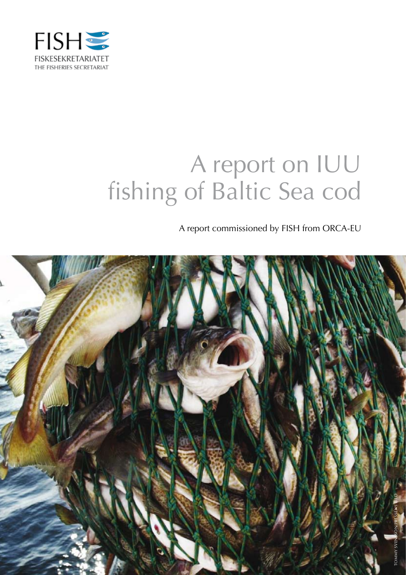

# A report on IUU fishing of Baltic Sea cod

A report commissioned by FISH from ORCA-EU

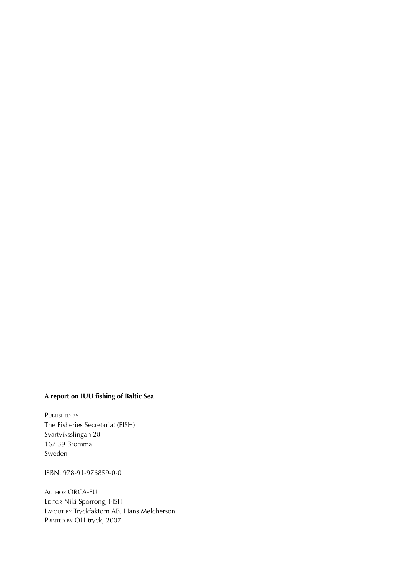## **A report on IUU fishing of Baltic Sea**

PUBLISHED BY The Fisheries Secretariat (FISH) Svartviksslingan 28 167 39 Bromma Sweden

ISBN: 978-91-976859-0-0

Author ORCA-EU EDITOR Niki Sporrong, FISH LAYOUT BY Tryckfaktorn AB, Hans Melcherson PRINTED BY OH-tryck, 2007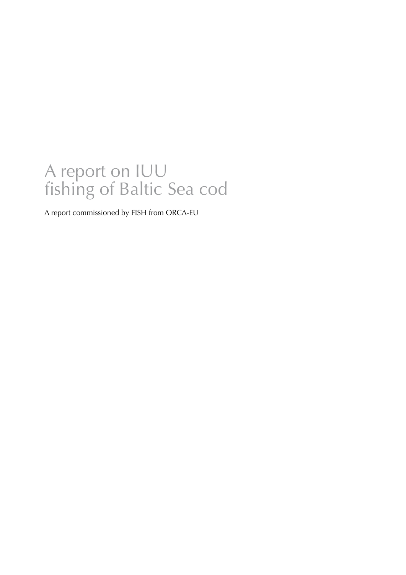## A report on IUU fishing of Baltic Sea cod

A report commissioned by FISH from ORCA-EU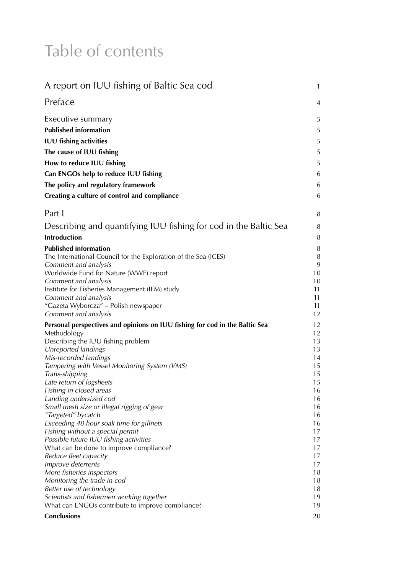## Table of contents

| A report on IUU fishing of Baltic Sea cod                                   | 1        |
|-----------------------------------------------------------------------------|----------|
| Preface                                                                     | 4        |
| Executive summary                                                           | 5        |
| <b>Published information</b>                                                | 5        |
| <b>IUU fishing activities</b>                                               | 5        |
| The cause of IUU fishing                                                    | 5        |
|                                                                             |          |
| How to reduce IUU fishing                                                   | 5        |
| Can ENGOs help to reduce IUU fishing                                        | 6        |
| The policy and regulatory framework                                         | 6        |
| Creating a culture of control and compliance                                | 6        |
| Part I                                                                      | 8        |
| Describing and quantifying IUU fishing for cod in the Baltic Sea            | 8        |
| Introduction                                                                | 8        |
| <b>Published information</b>                                                | 8        |
| The International Council for the Exploration of the Sea (ICES)             | 8        |
| Comment and analysis                                                        | 9        |
| Worldwide Fund for Nature (WWF) report                                      | 10       |
| Comment and analysis                                                        | 10       |
| Institute for Fisheries Management (IFM) study                              | 11       |
| Comment and analysis<br>"Gazeta Wyborcza" – Polish newspaper                | 11<br>11 |
| Comment and analysis                                                        | 12       |
| Personal perspectives and opinions on IUU fishing for cod in the Baltic Sea | 12       |
| Methodology                                                                 | 12       |
| Describing the IUU fishing problem                                          | 13       |
| Unreported landings                                                         | 13       |
| Mis-recorded landings                                                       | 14       |
| Tampering with Vessel Monitoring System (VMS)                               | 15       |
| Trans-shipping                                                              | 15       |
| Late return of logsheets                                                    | 15       |
| Fishing in closed areas<br>Landing undersized cod                           | 16<br>16 |
| Small mesh size or illegal rigging of gear                                  | 16       |
| "Targeted" bycatch                                                          | 16       |
| Exceeding 48 hour soak time for gillnets                                    | 16       |
| Fishing without a special permit                                            | 17       |
| Possible future IUU fishing activities                                      | 17       |
| What can be done to improve compliance?                                     | 17       |
| Reduce fleet capacity                                                       | 17       |
| Improve deterrents                                                          | 17       |
| More fisheries inspectors                                                   | 18       |
| Monitoring the trade in cod                                                 | 18       |
| Better use of technology                                                    | 18       |
| Scientists and fishermen working together                                   | 19       |
| What can ENGOs contribute to improve compliance?                            | 19       |
| Conclusions                                                                 | 20       |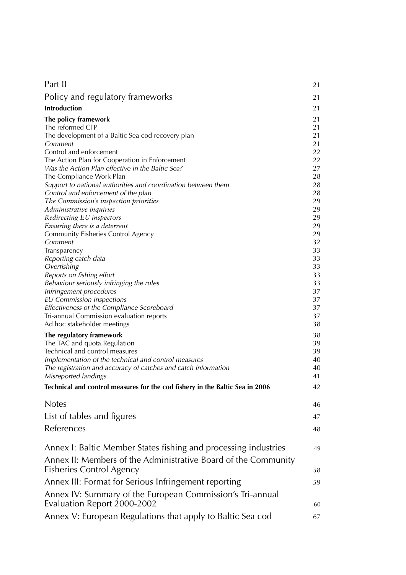| Part II                                                                                           | 21             |
|---------------------------------------------------------------------------------------------------|----------------|
| Policy and regulatory frameworks                                                                  | 21             |
| <b>Introduction</b>                                                                               | 21             |
| The policy framework<br>The reformed CFP                                                          | 21<br>21       |
| The development of a Baltic Sea cod recovery plan<br>Comment<br>Control and enforcement           | 21<br>21<br>22 |
| The Action Plan for Cooperation in Enforcement                                                    | 22             |
| Was the Action Plan effective in the Baltic Sea?<br>The Compliance Work Plan                      | 27<br>28       |
| Support to national authorities and coordination between them                                     | 28             |
| Control and enforcement of the plan                                                               | 28             |
| The Commission's inspection priorities                                                            | 29             |
| Administrative inquiries                                                                          | 29             |
| Redirecting EU inspectors                                                                         | 29             |
| Ensuring there is a deterrent                                                                     | 29             |
| Community Fisheries Control Agency                                                                | 29             |
| Comment                                                                                           | 32             |
| Transparency                                                                                      | 33             |
| Reporting catch data                                                                              | 33             |
| Overfishing                                                                                       | 33             |
| Reports on fishing effort                                                                         | 33             |
| Behaviour seriously infringing the rules                                                          | 33             |
| Infringement procedures                                                                           | 37             |
| <b>EU Commission inspections</b>                                                                  | 37             |
| Effectiveness of the Compliance Scoreboard                                                        | 37             |
| Tri-annual Commission evaluation reports                                                          | 37             |
| Ad hoc stakeholder meetings                                                                       | 38             |
| The regulatory framework                                                                          | 38             |
| The TAC and quota Regulation                                                                      | 39             |
| Technical and control measures                                                                    | 39             |
| Implementation of the technical and control measures                                              | 40             |
| The registration and accuracy of catches and catch information                                    | 40             |
| Misreported landings                                                                              | 41             |
| Technical and control measures for the cod fishery in the Baltic Sea in 2006                      | 42             |
| <b>Notes</b>                                                                                      | 46             |
| List of tables and figures                                                                        | 47             |
| References                                                                                        | 48             |
| Annex I: Baltic Member States fishing and processing industries                                   | 49             |
| Annex II: Members of the Administrative Board of the Community<br><b>Fisheries Control Agency</b> | 58             |
|                                                                                                   |                |
| Annex III: Format for Serious Infringement reporting                                              | 59             |
| Annex IV: Summary of the European Commission's Tri-annual<br>Evaluation Report 2000-2002          | 60             |
|                                                                                                   |                |
| Annex V: European Regulations that apply to Baltic Sea cod                                        | 67             |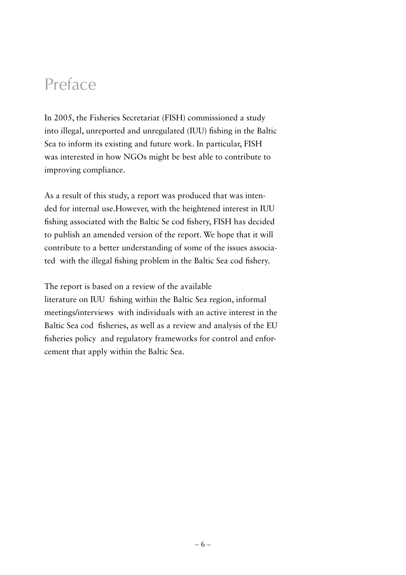## Preface

In 2005, the Fisheries Secretariat (FISH) commissioned a study into illegal, unreported and unregulated (IUU) fishing in the Baltic Sea to inform its existing and future work. In particular, FISH was interested in how NGOs might be best able to contribute to improving compliance.

As a result of this study, a report was produced that was intended for internal use.However, with the heightened interest in IUU fishing associated with the Baltic Se cod fishery, FISH has decided to publish an amended version of the report. We hope that it will contribute to a better understanding of some of the issues associated with the illegal fishing problem in the Baltic Sea cod fishery.

The report is based on a review of the available

literature on IUU fishing within the Baltic Sea region, informal meetings/interviews with individuals with an active interest in the Baltic Sea cod fisheries, as well as a review and analysis of the EU fisheries policy and regulatory frameworks for control and enforcement that apply within the Baltic Sea.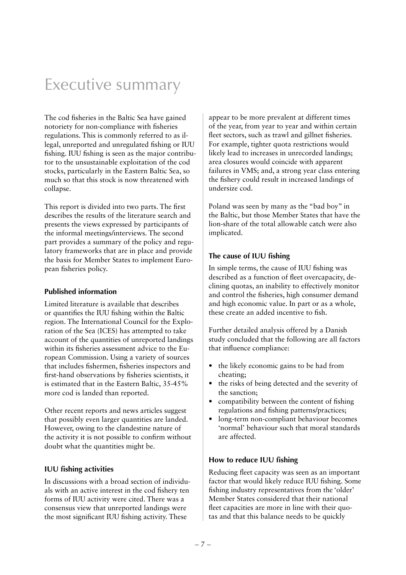## Executive summary

The cod fisheries in the Baltic Sea have gained notoriety for non-compliance with fisheries regulations. This is commonly referred to as illegal, unreported and unregulated fishing or IUU fishing. IUU fishing is seen as the major contributor to the unsustainable exploitation of the cod stocks, particularly in the Eastern Baltic Sea, so much so that this stock is now threatened with collapse.

This report is divided into two parts. The first describes the results of the literature search and presents the views expressed by participants of the informal meetings/interviews. The second part provides a summary of the policy and regulatory frameworks that are in place and provide the basis for Member States to implement European fisheries policy.

## **Published information**

Limited literature is available that describes or quantifies the IUU fishing within the Baltic region. The International Council for the Exploration of the Sea (ICES) has attempted to take account of the quantities of unreported landings within its fisheries assessment advice to the European Commission. Using a variety of sources that includes fishermen, fisheries inspectors and first-hand observations by fisheries scientists, it is estimated that in the Eastern Baltic, 35-45% more cod is landed than reported.

Other recent reports and news articles suggest that possibly even larger quantities are landed. However, owing to the clandestine nature of the activity it is not possible to confirm without doubt what the quantities might be.

## **IUU fishing activities**

In discussions with a broad section of individuals with an active interest in the cod fishery ten forms of IUU activity were cited. There was a consensus view that unreported landings were the most significant IUU fishing activity. These

appear to be more prevalent at different times of the year, from year to year and within certain fleet sectors, such as trawl and gillnet fisheries. For example, tighter quota restrictions would likely lead to increases in unrecorded landings; area closures would coincide with apparent failures in VMS; and, a strong year class entering the fishery could result in increased landings of undersize cod.

Poland was seen by many as the "bad boy" in the Baltic, but those Member States that have the lion-share of the total allowable catch were also implicated.

## **The cause of IUU fishing**

In simple terms, the cause of IUU fishing was described as a function of fleet overcapacity, declining quotas, an inability to effectively monitor and control the fisheries, high consumer demand and high economic value. In part or as a whole, these create an added incentive to fish.

Further detailed analysis offered by a Danish study concluded that the following are all factors that influence compliance:

- the likely economic gains to be had from cheating;
- the risks of being detected and the severity of the sanction;
- compatibility between the content of fishing regulations and fishing patterns/practices;
- long-term non-compliant behaviour becomes 'normal' behaviour such that moral standards are affected.

## **How to reduce IUU fishing**

Reducing fleet capacity was seen as an important factor that would likely reduce IUU fishing. Some fishing industry representatives from the 'older' Member States considered that their national fleet capacities are more in line with their quotas and that this balance needs to be quickly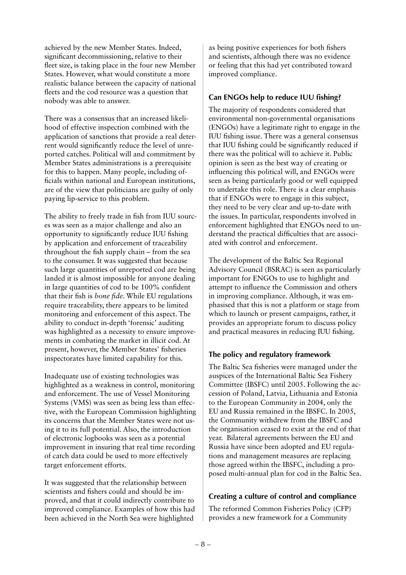achieved by the new Member States. Indeed, significant decommissioning, relative to their fleet size, is taking place in the four new Member States. However, what would constitute a more realistic balance between the capacity of national fleets and the cod resource was a question that nobody was able to answer.

There was a consensus that an increased likelihood of effective inspection combined with the application of sanctions that provide a real deterrent would significantly reduce the level of unreported catches. Political will and commitment by Member States administrations is a prerequisite for this to happen. Many people, including officials within national and European institutions, are of the view that politicians are guilty of only paying lip-service to this problem.

The ability to freely trade in fish from IUU sources was seen as a major challenge and also an opportunity to significantly reduce IUU fishing by application and enforcement of traceability throughout the fish supply chain – from the sea to the consumer. It was suggested that because such large quantities of unreported cod are being landed it is almost impossible for anyone dealing in large quantities of cod to be 100% confident that their fish is *bone fide*. While EU regulations require traceability, there appears to be limited monitoring and enforcement of this aspect. The ability to conduct in-depth 'forensic' auditing was highlighted as a necessity to ensure improvements in combating the market in illicit cod. At present, however, the Member States' fisheries inspectorates have limited capability for this.

Inadequate use of existing technologies was highlighted as a weakness in control, monitoring and enforcement. The use of Vessel Monitoring Systems (VMS) was seen as being less than effective, with the European Commission highlighting its concerns that the Member States were not using it to its full potential. Also, the introduction of electronic logbooks was seen as a potential improvement in insuring that real time recording of catch data could be used to more effectively target enforcement efforts.

It was suggested that the relationship between scientists and fishers could and should be improved, and that it could indirectly contribute to improved compliance. Examples of how this had been achieved in the North Sea were highlighted

as being positive experiences for both fishers and scientists, although there was no evidence or feeling that this had yet contributed toward improved compliance.

## **Can ENGOs help to reduce IUU fishing?**

The majority of respondents considered that environmental non-governmental organisations (ENGOs) have a legitimate right to engage in the IUU fishing issue. There was a general consensus that IUU fishing could be significantly reduced if there was the political will to achieve it. Public opinion is seen as the best way of creating or influencing this political will, and ENGOs were seen as being particularly good or well equipped to undertake this role. There is a clear emphasis that if ENGOs were to engage in this subject, they need to be very clear and up-to-date with the issues. In particular, respondents involved in enforcement highlighted that ENGOs need to understand the practical difficulties that are associated with control and enforcement.

The development of the Baltic Sea Regional Advisory Council (BSRAC) is seen as particularly important for ENGOs to use to highlight and attempt to influence the Commission and others in improving compliance. Although, it was emphasised that this is not a platform or stage from which to launch or present campaigns, rather, it provides an appropriate forum to discuss policy and practical measures in reducing IUU fishing.

## **The policy and regulatory framework**

The Baltic Sea fisheries were managed under the auspices of the International Baltic Sea Fishery Committee (IBSFC) until 2005. Following the accession of Poland, Latvia, Lithuania and Estonia to the European Community in 2004, only the EU and Russia remained in the IBSFC. In 2005, the Community withdrew from the IBSFC and the organisation ceased to exist at the end of that year. Bilateral agreements between the EU and Russia have since been adopted and EU regulations and management measures are replacing those agreed within the IBSFC, including a proposed multi-annual plan for cod in the Baltic Sea.

## **Creating a culture of control and compliance**

The reformed Common Fisheries Policy (CFP) provides a new framework for a Community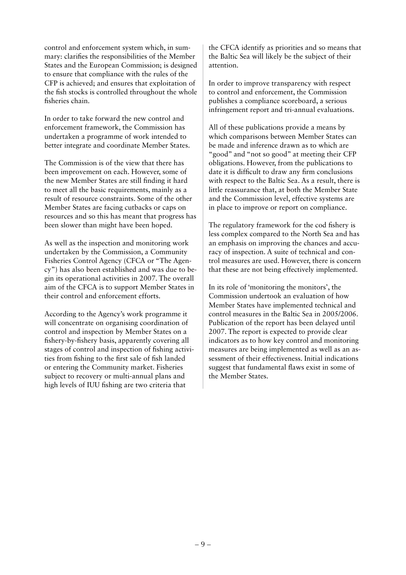control and enforcement system which, in summary: clarifies the responsibilities of the Member States and the European Commission; is designed to ensure that compliance with the rules of the CFP is achieved; and ensures that exploitation of the fish stocks is controlled throughout the whole fisheries chain.

In order to take forward the new control and enforcement framework, the Commission has undertaken a programme of work intended to better integrate and coordinate Member States.

The Commission is of the view that there has been improvement on each. However, some of the new Member States are still finding it hard to meet all the basic requirements, mainly as a result of resource constraints. Some of the other Member States are facing cutbacks or caps on resources and so this has meant that progress has been slower than might have been hoped.

As well as the inspection and monitoring work undertaken by the Commission, a Community Fisheries Control Agency (CFCA or "The Agency") has also been established and was due to begin its operational activities in 2007. The overall aim of the CFCA is to support Member States in their control and enforcement efforts.

According to the Agency's work programme it will concentrate on organising coordination of control and inspection by Member States on a fishery-by-fishery basis, apparently covering all stages of control and inspection of fishing activities from fishing to the first sale of fish landed or entering the Community market. Fisheries subject to recovery or multi-annual plans and high levels of IUU fishing are two criteria that

the CFCA identify as priorities and so means that the Baltic Sea will likely be the subject of their attention.

In order to improve transparency with respect to control and enforcement, the Commission publishes a compliance scoreboard, a serious infringement report and tri-annual evaluations.

All of these publications provide a means by which comparisons between Member States can be made and inference drawn as to which are "good" and "not so good" at meeting their CFP obligations. However, from the publications to date it is difficult to draw any firm conclusions with respect to the Baltic Sea. As a result, there is little reassurance that, at both the Member State and the Commission level, effective systems are in place to improve or report on compliance.

The regulatory framework for the cod fishery is less complex compared to the North Sea and has an emphasis on improving the chances and accuracy of inspection. A suite of technical and control measures are used. However, there is concern that these are not being effectively implemented.

In its role of 'monitoring the monitors', the Commission undertook an evaluation of how Member States have implemented technical and control measures in the Baltic Sea in 2005/2006. Publication of the report has been delayed until 2007. The report is expected to provide clear indicators as to how key control and monitoring measures are being implemented as well as an assessment of their effectiveness. Initial indications suggest that fundamental flaws exist in some of the Member States.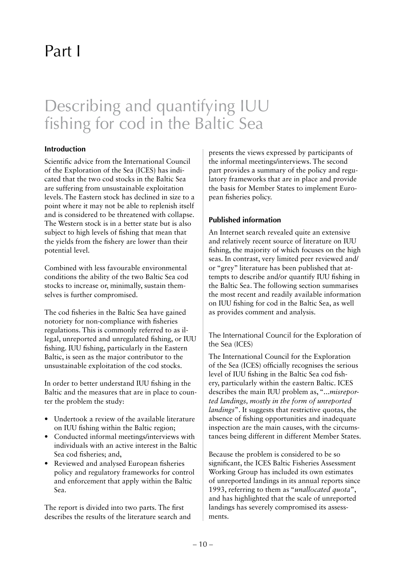## Part I

## Describing and quantifying IUU fishing for cod in the Baltic Sea

## **Introduction**

Scientific advice from the International Council of the Exploration of the Sea (ICES) has indicated that the two cod stocks in the Baltic Sea are suffering from unsustainable exploitation levels. The Eastern stock has declined in size to a point where it may not be able to replenish itself and is considered to be threatened with collapse. The Western stock is in a better state but is also subject to high levels of fishing that mean that the yields from the fishery are lower than their potential level.

Combined with less favourable environmental conditions the ability of the two Baltic Sea cod stocks to increase or, minimally, sustain themselves is further compromised.

The cod fisheries in the Baltic Sea have gained notoriety for non-compliance with fisheries regulations. This is commonly referred to as illegal, unreported and unregulated fishing, or IUU fishing. IUU fishing, particularly in the Eastern Baltic, is seen as the major contributor to the unsustainable exploitation of the cod stocks.

In order to better understand IUU fishing in the Baltic and the measures that are in place to counter the problem the study:

- Undertook a review of the available literature on IUU fishing within the Baltic region;
- Conducted informal meetings/interviews with individuals with an active interest in the Baltic Sea cod fisheries; and,
- Reviewed and analysed European fisheries policy and regulatory frameworks for control and enforcement that apply within the Baltic Sea.

The report is divided into two parts. The first describes the results of the literature search and presents the views expressed by participants of the informal meetings/interviews. The second part provides a summary of the policy and regulatory frameworks that are in place and provide the basis for Member States to implement European fisheries policy.

## **Published information**

An Internet search revealed quite an extensive and relatively recent source of literature on IUU fishing, the majority of which focuses on the high seas. In contrast, very limited peer reviewed and/ or "grey" literature has been published that attempts to describe and/or quantify IUU fishing in the Baltic Sea. The following section summarises the most recent and readily available information on IUU fishing for cod in the Baltic Sea, as well as provides comment and analysis.

The International Council for the Exploration of the Sea (ICES)

The International Council for the Exploration of the Sea (ICES) officially recognises the serious level of IUU fishing in the Baltic Sea cod fishery, particularly within the eastern Baltic. ICES describes the main IUU problem as, "*...misreported landings, mostly in the form of unreported landings*". It suggests that restrictive quotas, the absence of fishing opportunities and inadequate inspection are the main causes, with the circumstances being different in different Member States.

Because the problem is considered to be so significant, the ICES Baltic Fisheries Assessment Working Group has included its own estimates of unreported landings in its annual reports since 1993, referring to them as "*unallocated quota*", and has highlighted that the scale of unreported landings has severely compromised its assessments.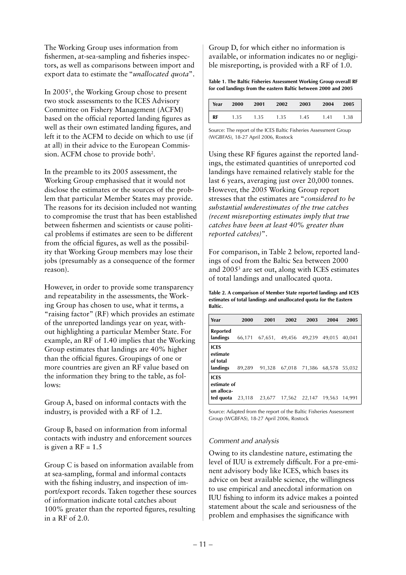The Working Group uses information from fishermen, at-sea-sampling and fisheries inspectors, as well as comparisons between import and export data to estimate the "*unallocated quota*".

In 20051 , the Working Group chose to present two stock assessments to the ICES Advisory Committee on Fishery Management (ACFM) based on the official reported landing figures as well as their own estimated landing figures, and left it to the ACFM to decide on which to use (if at all) in their advice to the European Commission. ACFM chose to provide both<sup>2</sup>.

In the preamble to its 2005 assessment, the Working Group emphasised that it would not disclose the estimates or the sources of the problem that particular Member States may provide. The reasons for its decision included not wanting to compromise the trust that has been established between fishermen and scientists or cause political problems if estimates are seen to be different from the official figures, as well as the possibility that Working Group members may lose their jobs (presumably as a consequence of the former reason).

However, in order to provide some transparency and repeatability in the assessments, the Working Group has chosen to use, what it terms, a "raising factor" (RF) which provides an estimate of the unreported landings year on year, without highlighting a particular Member State. For example, an RF of 1.40 implies that the Working Group estimates that landings are 40% higher than the official figures. Groupings of one or more countries are given an RF value based on the information they bring to the table, as follows:

Group A, based on informal contacts with the industry, is provided with a RF of 1.2.

Group B, based on information from informal contacts with industry and enforcement sources is given a  $RF = 1.5$ 

Group C is based on information available from at sea-sampling, formal and informal contacts with the fishing industry, and inspection of import/export records. Taken together these sources of information indicate total catches about 100% greater than the reported figures, resulting in a RF of 2.0.

Group D, for which either no information is available, or information indicates no or negligible misreporting, is provided with a RF of 1.0.

**Table 1. The Baltic Fisheries Assessment Working Group overall RF for cod landings from the eastern Baltic between 2000 and 2005**

| Year | 2000 | 2001 | 2002 | 2003 | 2004 | 2005 |
|------|------|------|------|------|------|------|
| RF   | 1.35 | 1.35 | 1.35 | 1.45 | 1.41 | 1.38 |

Source: The report of the ICES Baltic Fisheries Assessment Group (WGBFAS), 18-27 April 2006, Rostock

Using these RF figures against the reported landings, the estimated quantities of unreported cod landings have remained relatively stable for the last 6 years, averaging just over 20,000 tonnes. However, the 2005 Working Group report stresses that the estimates are "*considered to be substantial underestimates of the true catches (recent misreporting estimates imply that true catches have been at least 40% greater than reported catches)*".

For comparison, in Table 2 below, reported landings of cod from the Baltic Sea between 2000 and 20053 are set out, along with ICES estimates of total landings and unallocated quota.

**Table 2. A comparison of Member State reported landings and ICES estimates of total landings and unallocated quota for the Eastern Baltic.** 

| Year                                                  | 2000   | 2001           | 2002   | 2003   | 2004   | 2005   |
|-------------------------------------------------------|--------|----------------|--------|--------|--------|--------|
| <b>Reported</b><br>landings                           | 66,171 | 67,651, 49,456 |        | 49,239 | 49,015 | 40,041 |
| <b>ICES</b><br>estimate<br>of total<br>landings       | 89.289 | 91.328         | 67.018 | 71,386 | 68.578 | 55.032 |
| <b>ICES</b><br>estimate of<br>un alloca-<br>ted quota | 23,118 | 23.677         | 17,562 | 22,147 | 19,563 | 14.991 |

Source: Adapted from the report of the Baltic Fisheries Assessment Group (WGBFAS), 18-27 April 2006, Rostock

## *Comment and analysis*

Owing to its clandestine nature, estimating the level of IUU is extremely difficult. For a pre-eminent advisory body like ICES, which bases its advice on best available science, the willingness to use empirical and anecdotal information on IUU fishing to inform its advice makes a pointed statement about the scale and seriousness of the problem and emphasises the significance with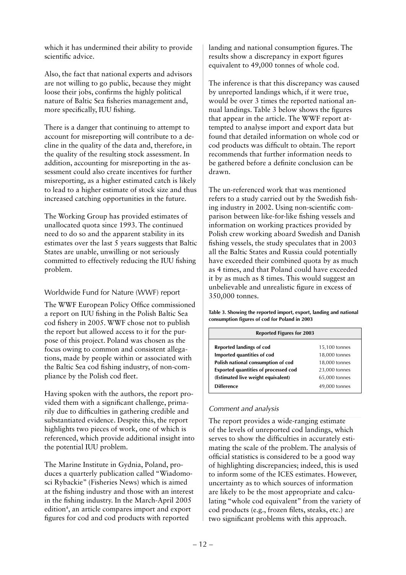which it has undermined their ability to provide scientific advice.

Also, the fact that national experts and advisors are not willing to go public, because they might loose their jobs, confirms the highly political nature of Baltic Sea fisheries management and, more specifically, IUU fishing.

There is a danger that continuing to attempt to account for misreporting will contribute to a decline in the quality of the data and, therefore, in the quality of the resulting stock assessment. In addition, accounting for misreporting in the assessment could also create incentives for further misreporting, as a higher estimated catch is likely to lead to a higher estimate of stock size and thus increased catching opportunities in the future.

The Working Group has provided estimates of unallocated quota since 1993. The continued need to do so and the apparent stability in its estimates over the last 5 years suggests that Baltic States are unable, unwilling or not seriously committed to effectively reducing the IUU fishing problem.

## Worldwide Fund for Nature (WWF) report

The WWF European Policy Office commissioned a report on IUU fishing in the Polish Baltic Sea cod fishery in 2005. WWF chose not to publish the report but allowed access to it for the purpose of this project. Poland was chosen as the focus owing to common and consistent allegations, made by people within or associated with the Baltic Sea cod fishing industry, of non-compliance by the Polish cod fleet.

Having spoken with the authors, the report provided them with a significant challenge, primarily due to difficulties in gathering credible and substantiated evidence. Despite this, the report highlights two pieces of work, one of which is referenced, which provide additional insight into the potential IUU problem.

The Marine Institute in Gydnia, Poland, produces a quarterly publication called "Wiadomosci Rybackie" (Fisheries News) which is aimed at the fishing industry and those with an interest in the fishing industry. In the March-April 2005 edition<sup>4</sup>, an article compares import and export figures for cod and cod products with reported

landing and national consumption figures. The results show a discrepancy in export figures equivalent to 49,000 tonnes of whole cod.

The inference is that this discrepancy was caused by unreported landings which, if it were true, would be over 3 times the reported national annual landings. Table 3 below shows the figures that appear in the article. The WWF report attempted to analyse import and export data but found that detailed information on whole cod or cod products was difficult to obtain. The report recommends that further information needs to be gathered before a definite conclusion can be drawn.

The un-referenced work that was mentioned refers to a study carried out by the Swedish fishing industry in 2002. Using non-scientific comparison between like-for-like fishing vessels and information on working practices provided by Polish crew working aboard Swedish and Danish fishing vessels, the study speculates that in 2003 all the Baltic States and Russia could potentially have exceeded their combined quota by as much as 4 times, and that Poland could have exceeded it by as much as 8 times. This would suggest an unbelievable and unrealistic figure in excess of 350,000 tonnes.

**Table 3. Showing the reported import, export, landing and national consumption figures of cod for Poland in 2003**

| <b>Reported Figures for 2003</b>                                                                                                                                                  |                                                                                   |  |  |  |
|-----------------------------------------------------------------------------------------------------------------------------------------------------------------------------------|-----------------------------------------------------------------------------------|--|--|--|
| Reported landings of cod<br>Imported quantities of cod<br>Polish national consumption of cod<br><b>Exported quantities of processed cod</b><br>(Estimated live weight equivalent) | 15,100 tonnes<br>18,000 tonnes<br>18,000 tonnes<br>23,000 tonnes<br>65,000 tonnes |  |  |  |
| <b>Difference</b>                                                                                                                                                                 | 49,000 tonnes                                                                     |  |  |  |

## *Comment and analysis*

The report provides a wide-ranging estimate of the levels of unreported cod landings, which serves to show the difficulties in accurately estimating the scale of the problem. The analysis of official statistics is considered to be a good way of highlighting discrepancies; indeed, this is used to inform some of the ICES estimates. However, uncertainty as to which sources of information are likely to be the most appropriate and calculating "whole cod equivalent" from the variety of cod products (e.g., frozen filets, steaks, etc.) are two significant problems with this approach.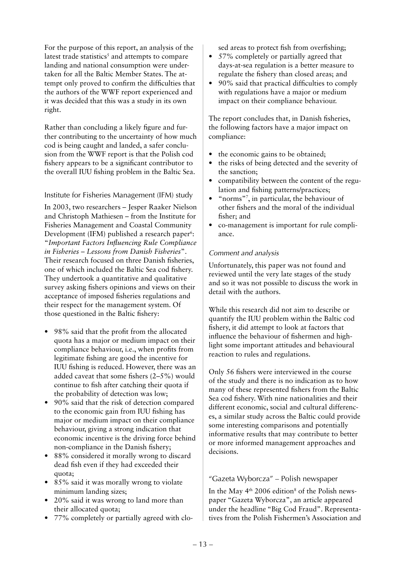For the purpose of this report, an analysis of the latest trade statistics<sup>5</sup> and attempts to compare landing and national consumption were undertaken for all the Baltic Member States. The attempt only proved to confirm the difficulties that the authors of the WWF report experienced and it was decided that this was a study in its own right.

Rather than concluding a likely figure and further contributing to the uncertainty of how much cod is being caught and landed, a safer conclusion from the WWF report is that the Polish cod fishery appears to be a significant contributor to the overall IUU fishing problem in the Baltic Sea.

## Institute for Fisheries Management (IFM) study

In 2003, two researchers – Jesper Raaker Nielson and Christoph Mathiesen – from the Institute for Fisheries Management and Coastal Community Development (IFM) published a research paper<sup>6</sup>: "*Important Factors Influencing Rule Compliance in Fisheries – Lessons from Danish Fisheries*". Their research focused on three Danish fisheries, one of which included the Baltic Sea cod fishery. They undertook a quantitative and qualitative survey asking fishers opinions and views on their acceptance of imposed fisheries regulations and their respect for the management system. Of those questioned in the Baltic fishery:

- 98% said that the profit from the allocated quota has a major or medium impact on their compliance behaviour, i.e., when profits from legitimate fishing are good the incentive for IUU fishing is reduced. However, there was an added caveat that some fishers (2–5%) would continue to fish after catching their quota if the probability of detection was low;
- 90% said that the risk of detection compared to the economic gain from IUU fishing has major or medium impact on their compliance behaviour, giving a strong indication that economic incentive is the driving force behind non-compliance in the Danish fishery;
- 88% considered it morally wrong to discard dead fish even if they had exceeded their quota;
- 85% said it was morally wrong to violate minimum landing sizes;
- 20% said it was wrong to land more than their allocated quota;
- 77% completely or partially agreed with clo-

sed areas to protect fish from overfishing;

- 57% completely or partially agreed that days-at-sea regulation is a better measure to regulate the fishery than closed areas; and
- 90% said that practical difficulties to comply with regulations have a major or medium impact on their compliance behaviour.

The report concludes that, in Danish fisheries, the following factors have a major impact on compliance:

- the economic gains to be obtained;
- the risks of being detected and the severity of the sanction;
- compatibility between the content of the regulation and fishing patterns/practices;
- "norms"7 , in particular, the behaviour of other fishers and the moral of the individual fisher; and
- co-management is important for rule compliance.

## *Comment and analysis*

Unfortunately, this paper was not found and reviewed until the very late stages of the study and so it was not possible to discuss the work in detail with the authors.

While this research did not aim to describe or quantify the IUU problem within the Baltic cod fishery, it did attempt to look at factors that influence the behaviour of fishermen and highlight some important attitudes and behavioural reaction to rules and regulations.

Only 56 fishers were interviewed in the course of the study and there is no indication as to how many of these represented fishers from the Baltic Sea cod fishery. With nine nationalities and their different economic, social and cultural differences, a similar study across the Baltic could provide some interesting comparisons and potentially informative results that may contribute to better or more informed management approaches and decisions.

## "Gazeta Wyborcza" – Polish newspaper

In the May  $4<sup>th</sup>$  2006 edition<sup>8</sup> of the Polish newspaper "Gazeta Wyborcza", an article appeared under the headline "Big Cod Fraud". Representatives from the Polish Fishermen's Association and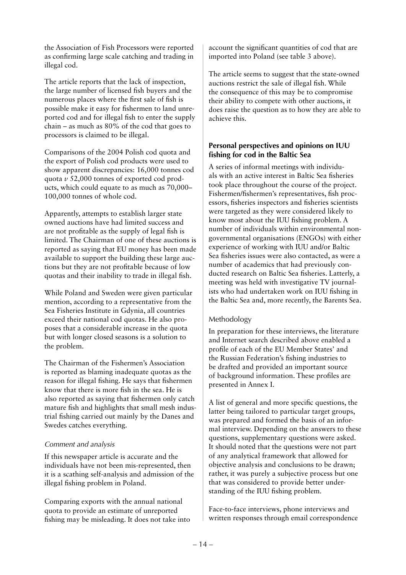the Association of Fish Processors were reported as confirming large scale catching and trading in illegal cod.

The article reports that the lack of inspection, the large number of licensed fish buyers and the numerous places where the first sale of fish is possible make it easy for fishermen to land unreported cod and for illegal fish to enter the supply chain – as much as 80% of the cod that goes to processors is claimed to be illegal.

Comparisons of the 2004 Polish cod quota and the export of Polish cod products were used to show apparent discrepancies: 16,000 tonnes cod quota *v* 52,000 tonnes of exported cod products, which could equate to as much as 70,000– 100,000 tonnes of whole cod.

Apparently, attempts to establish larger state owned auctions have had limited success and are not profitable as the supply of legal fish is limited. The Chairman of one of these auctions is reported as saying that EU money has been made available to support the building these large auctions but they are not profitable because of low quotas and their inability to trade in illegal fish.

While Poland and Sweden were given particular mention, according to a representative from the Sea Fisheries Institute in Gdynia, all countries exceed their national cod quotas. He also proposes that a considerable increase in the quota but with longer closed seasons is a solution to the problem.

The Chairman of the Fishermen's Association is reported as blaming inadequate quotas as the reason for illegal fishing. He says that fishermen know that there is more fish in the sea. He is also reported as saying that fishermen only catch mature fish and highlights that small mesh industrial fishing carried out mainly by the Danes and Swedes catches everything.

## *Comment and analysis*

If this newspaper article is accurate and the individuals have not been mis-represented, then it is a scathing self-analysis and admission of the illegal fishing problem in Poland.

Comparing exports with the annual national quota to provide an estimate of unreported fishing may be misleading. It does not take into

account the significant quantities of cod that are imported into Poland (see table 3 above).

The article seems to suggest that the state-owned auctions restrict the sale of illegal fish. While the consequence of this may be to compromise their ability to compete with other auctions, it does raise the question as to how they are able to achieve this.

## **Personal perspectives and opinions on IUU fishing for cod in the Baltic Sea**

A series of informal meetings with individuals with an active interest in Baltic Sea fisheries took place throughout the course of the project. Fishermen/fishermen's representatives, fish processors, fisheries inspectors and fisheries scientists were targeted as they were considered likely to know most about the IUU fishing problem. A number of individuals within environmental nongovernmental organisations (ENGOs) with either experience of working with IUU and/or Baltic Sea fisheries issues were also contacted, as were a number of academics that had previously conducted research on Baltic Sea fisheries. Latterly, a meeting was held with investigative TV journalists who had undertaken work on IUU fishing in the Baltic Sea and, more recently, the Barents Sea.

## Methodology

In preparation for these interviews, the literature and Internet search described above enabled a profile of each of the EU Member States' and the Russian Federation's fishing industries to be drafted and provided an important source of background information. These profiles are presented in Annex I.

A list of general and more specific questions, the latter being tailored to particular target groups, was prepared and formed the basis of an informal interview. Depending on the answers to these questions, supplementary questions were asked. It should noted that the questions were not part of any analytical framework that allowed for objective analysis and conclusions to be drawn; rather, it was purely a subjective process but one that was considered to provide better understanding of the IUU fishing problem.

Face-to-face interviews, phone interviews and written responses through email correspondence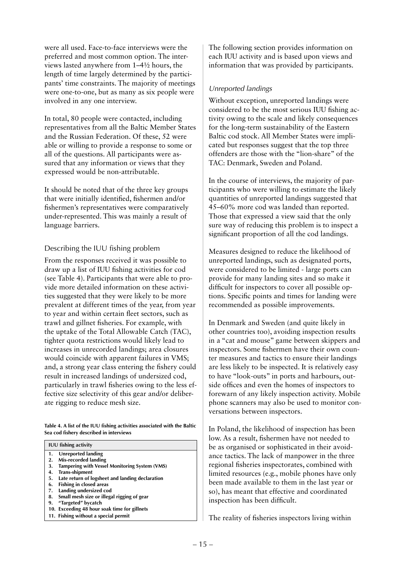were all used. Face-to-face interviews were the preferred and most common option. The interviews lasted anywhere from 1–4½ hours, the length of time largely determined by the participants' time constraints. The majority of meetings were one-to-one, but as many as six people were involved in any one interview.

In total, 80 people were contacted, including representatives from all the Baltic Member States and the Russian Federation. Of these, 52 were able or willing to provide a response to some or all of the questions. All participants were assured that any information or views that they expressed would be non-attributable.

It should be noted that of the three key groups that were initially identified, fishermen and/or fishermen's representatives were comparatively under-represented. This was mainly a result of language barriers.

## Describing the IUU fishing problem

From the responses received it was possible to draw up a list of IUU fishing activities for cod (see Table 4). Participants that were able to provide more detailed information on these activities suggested that they were likely to be more prevalent at different times of the year, from year to year and within certain fleet sectors, such as trawl and gillnet fisheries. For example, with the uptake of the Total Allowable Catch (TAC), tighter quota restrictions would likely lead to increases in unrecorded landings; area closures would coincide with apparent failures in VMS; and, a strong year class entering the fishery could result in increased landings of undersized cod, particularly in trawl fisheries owing to the less effective size selectivity of this gear and/or deliberate rigging to reduce mesh size.

**Table 4. A list of the IUU fishing activities associated with the Baltic Sea cod fishery described in interviews** 

- **1. Unreported landing**
- **2. Mis-recorded landing**
- **3. Tampering with Vessel Monitoring System (VMS)**
- **4. Trans-shipment**
- **5. Late return of logsheet and landing declaration**
- **6. Fishing in closed areas**
- **7. Landing undersized cod**
- **8. Small mesh size or illegal rigging of gear 9. "Targeted" bycatch**
- 
- **10. Exceeding 48 hour soak time for gillnets 11. Fishing without a special permit**

The following section provides information on each IUU activity and is based upon views and information that was provided by participants.

## *Unreported landings*

Without exception, unreported landings were considered to be the most serious IUU fishing activity owing to the scale and likely consequences for the long-term sustainability of the Eastern Baltic cod stock. All Member States were implicated but responses suggest that the top three offenders are those with the "lion-share" of the TAC: Denmark, Sweden and Poland.

In the course of interviews, the majority of participants who were willing to estimate the likely quantities of unreported landings suggested that 45–60% more cod was landed than reported. Those that expressed a view said that the only sure way of reducing this problem is to inspect a significant proportion of all the cod landings.

Measures designed to reduce the likelihood of unreported landings, such as designated ports, were considered to be limited - large ports can provide for many landing sites and so make it difficult for inspectors to cover all possible options. Specific points and times for landing were recommended as possible improvements.

In Denmark and Sweden (and quite likely in other countries too), avoiding inspection results in a "cat and mouse" game between skippers and inspectors. Some fishermen have their own counter measures and tactics to ensure their landings are less likely to be inspected. It is relatively easy to have "look-outs" in ports and harbours, outside offices and even the homes of inspectors to forewarn of any likely inspection activity. Mobile phone scanners may also be used to monitor conversations between inspectors.

In Poland, the likelihood of inspection has been low. As a result, fishermen have not needed to be as organised or sophisticated in their avoidance tactics. The lack of manpower in the three regional fisheries inspectorates, combined with limited resources (e.g., mobile phones have only been made available to them in the last year or so), has meant that effective and coordinated inspection has been difficult.

The reality of fisheries inspectors living within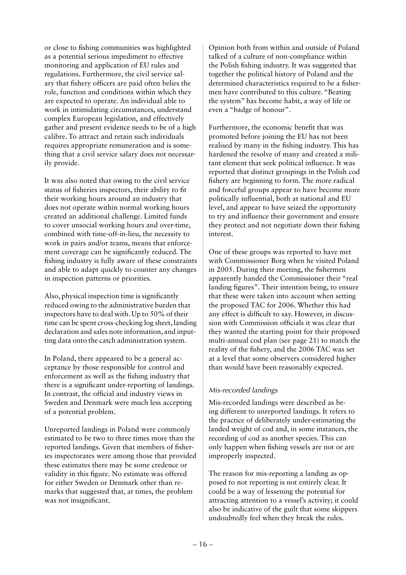or close to fishing communities was highlighted as a potential serious impediment to effective monitoring and application of EU rules and regulations. Furthermore, the civil service salary that fishery officers are paid often belies the role, function and conditions within which they are expected to operate. An individual able to work in intimidating circumstances, understand complex European legislation, and effectively gather and present evidence needs to be of a high calibre. To attract and retain such individuals requires appropriate remuneration and is something that a civil service salary does not necessarily provide.

It was also noted that owing to the civil service status of fisheries inspectors, their ability to fit their working hours around an industry that does not operate within normal working hours created an additional challenge. Limited funds to cover unsocial working hours and over-time, combined with time-off-in-lieu, the necessity to work in pairs and/or teams, means that enforcement coverage can be significantly reduced. The fishing industry is fully aware of these constraints and able to adapt quickly to counter any changes in inspection patterns or priorities.

Also, physical inspection time is significantly reduced owing to the administrative burden that inspectors have to deal with. Up to 50% of their time can be spent cross-checking log sheet, landing declaration and sales note information, and inputting data onto the catch administration system.

In Poland, there appeared to be a general acceptance by those responsible for control and enforcement as well as the fishing industry that there is a significant under-reporting of landings. In contrast, the official and industry views in Sweden and Denmark were much less accepting of a potential problem.

Unreported landings in Poland were commonly estimated to be two to three times more than the reported landings. Given that members of fisheries inspectorates were among those that provided these estimates there may be some credence or validity in this figure. No estimate was offered for either Sweden or Denmark other than remarks that suggested that, at times, the problem was not insignificant.

Opinion both from within and outside of Poland talked of a culture of non-compliance within the Polish fishing industry. It was suggested that together the political history of Poland and the determined characteristics required to be a fishermen have contributed to this culture. "Beating the system" has become habit, a way of life or even a "badge of honour".

Furthermore, the economic benefit that was promoted before joining the EU has not been realised by many in the fishing industry. This has hardened the resolve of many and created a militant element that seek political influence. It was reported that distinct groupings in the Polish cod fishery are beginning to form. The more radical and forceful groups appear to have become more politically influential, both at national and EU level, and appear to have seized the opportunity to try and influence their government and ensure they protect and not negotiate down their fishing interest.

One of these groups was reported to have met with Commissioner Borg when he visited Poland in 2005. During their meeting, the fishermen apparently handed the Commissioner their "real landing figures". Their intention being, to ensure that these were taken into account when setting the proposed TAC for 2006. Whether this had any effect is difficult to say. However, in discussion with Commission officials it was clear that they wanted the starting point for their proposed multi-annual cod plan (see page 21) to match the reality of the fishery, and the 2006 TAC was set at a level that some observers considered higher than would have been reasonably expected.

## *Mis-recorded landings*

Mis-recorded landings were described as being different to unreported landings. It refers to the practice of deliberately under-estimating the landed weight of cod and, in some instances, the recording of cod as another species. This can only happen when fishing vessels are not or are improperly inspected.

The reason for mis-reporting a landing as opposed to not reporting is not entirely clear. It could be a way of lessening the potential for attracting attention to a vessel's activity; it could also be indicative of the guilt that some skippers undoubtedly feel when they break the rules.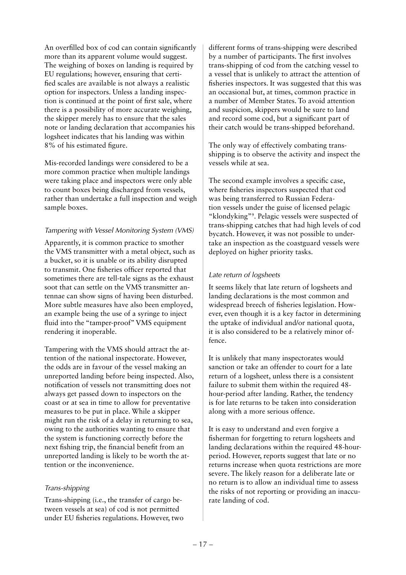An overfilled box of cod can contain significantly more than its apparent volume would suggest. The weighing of boxes on landing is required by EU regulations; however, ensuring that certified scales are available is not always a realistic option for inspectors. Unless a landing inspection is continued at the point of first sale, where there is a possibility of more accurate weighing, the skipper merely has to ensure that the sales note or landing declaration that accompanies his logsheet indicates that his landing was within 8% of his estimated figure.

Mis-recorded landings were considered to be a more common practice when multiple landings were taking place and inspectors were only able to count boxes being discharged from vessels, rather than undertake a full inspection and weigh sample boxes.

## *Tampering with Vessel Monitoring System (VMS)*

Apparently, it is common practice to smother the VMS transmitter with a metal object, such as a bucket, so it is unable or its ability disrupted to transmit. One fisheries officer reported that sometimes there are tell-tale signs as the exhaust soot that can settle on the VMS transmitter antennae can show signs of having been disturbed. More subtle measures have also been employed, an example being the use of a syringe to inject fluid into the "tamper-proof" VMS equipment rendering it inoperable.

Tampering with the VMS should attract the attention of the national inspectorate. However, the odds are in favour of the vessel making an unreported landing before being inspected. Also, notification of vessels not transmitting does not always get passed down to inspectors on the coast or at sea in time to allow for preventative measures to be put in place. While a skipper might run the risk of a delay in returning to sea, owing to the authorities wanting to ensure that the system is functioning correctly before the next fishing trip, the financial benefit from an unreported landing is likely to be worth the attention or the inconvenience.

## *Trans-shipping*

Trans-shipping (i.e., the transfer of cargo between vessels at sea) of cod is not permitted under EU fisheries regulations. However, two

different forms of trans-shipping were described by a number of participants. The first involves trans-shipping of cod from the catching vessel to a vessel that is unlikely to attract the attention of fisheries inspectors. It was suggested that this was an occasional but, at times, common practice in a number of Member States. To avoid attention and suspicion, skippers would be sure to land and record some cod, but a significant part of their catch would be trans-shipped beforehand.

The only way of effectively combating transshipping is to observe the activity and inspect the vessels while at sea.

The second example involves a specific case, where fisheries inspectors suspected that cod was being transferred to Russian Federation vessels under the guise of licensed pelagic "klondyking"9 . Pelagic vessels were suspected of trans-shipping catches that had high levels of cod bycatch. However, it was not possible to undertake an inspection as the coastguard vessels were deployed on higher priority tasks.

## *Late return of logsheets*

It seems likely that late return of logsheets and landing declarations is the most common and widespread breech of fisheries legislation. However, even though it is a key factor in determining the uptake of individual and/or national quota, it is also considered to be a relatively minor offence.

It is unlikely that many inspectorates would sanction or take an offender to court for a late return of a logsheet, unless there is a consistent failure to submit them within the required 48 hour-period after landing. Rather, the tendency is for late returns to be taken into consideration along with a more serious offence.

It is easy to understand and even forgive a fisherman for forgetting to return logsheets and landing declarations within the required 48-hourperiod. However, reports suggest that late or no returns increase when quota restrictions are more severe. The likely reason for a deliberate late or no return is to allow an individual time to assess the risks of not reporting or providing an inaccurate landing of cod.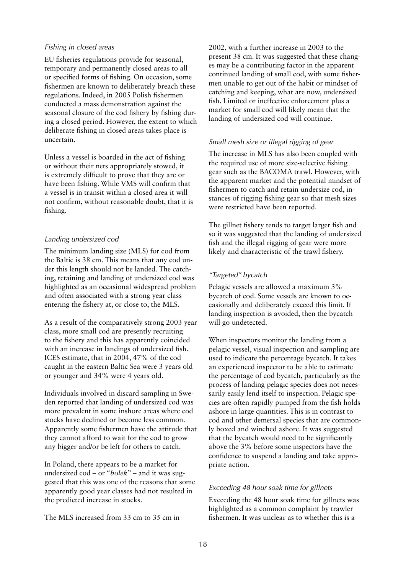## *Fishing in closed areas*

EU fisheries regulations provide for seasonal, temporary and permanently closed areas to all or specified forms of fishing. On occasion, some fishermen are known to deliberately breach these regulations. Indeed, in 2005 Polish fishermen conducted a mass demonstration against the seasonal closure of the cod fishery by fishing during a closed period. However, the extent to which deliberate fishing in closed areas takes place is uncertain.

Unless a vessel is boarded in the act of fishing or without their nets appropriately stowed, it is extremely difficult to prove that they are or have been fishing. While VMS will confirm that a vessel is in transit within a closed area it will not confirm, without reasonable doubt, that it is fishing.

## *Landing undersized cod*

The minimum landing size (MLS) for cod from the Baltic is 38 cm. This means that any cod under this length should not be landed. The catching, retaining and landing of undersized cod was highlighted as an occasional widespread problem and often associated with a strong year class entering the fishery at, or close to, the MLS.

As a result of the comparatively strong 2003 year class, more small cod are presently recruiting to the fishery and this has apparently coincided with an increase in landings of undersized fish. ICES estimate, that in 2004, 47% of the cod caught in the eastern Baltic Sea were 3 years old or younger and 34% were 4 years old.

Individuals involved in discard sampling in Sweden reported that landing of undersized cod was more prevalent in some inshore areas where cod stocks have declined or become less common. Apparently some fishermen have the attitude that they cannot afford to wait for the cod to grow any bigger and/or be left for others to catch.

In Poland, there appears to be a market for undersized cod – or "*bolek*" – and it was suggested that this was one of the reasons that some apparently good year classes had not resulted in the predicted increase in stocks.

The MLS increased from 33 cm to 35 cm in

2002, with a further increase in 2003 to the present 38 cm. It was suggested that these changes may be a contributing factor in the apparent continued landing of small cod, with some fishermen unable to get out of the habit or mindset of catching and keeping, what are now, undersized fish. Limited or ineffective enforcement plus a market for small cod will likely mean that the landing of undersized cod will continue.

## *Small mesh size or illegal rigging of gear*

The increase in MLS has also been coupled with the required use of more size-selective fishing gear such as the BACOMA trawl. However, with the apparent market and the potential mindset of fishermen to catch and retain undersize cod, instances of rigging fishing gear so that mesh sizes were restricted have been reported.

The gillnet fishery tends to target larger fish and so it was suggested that the landing of undersized fish and the illegal rigging of gear were more likely and characteristic of the trawl fishery.

## *"Targeted" bycatch*

Pelagic vessels are allowed a maximum 3% bycatch of cod. Some vessels are known to occasionally and deliberately exceed this limit. If landing inspection is avoided, then the bycatch will go undetected.

When inspectors monitor the landing from a pelagic vessel, visual inspection and sampling are used to indicate the percentage bycatch. It takes an experienced inspector to be able to estimate the percentage of cod bycatch, particularly as the process of landing pelagic species does not necessarily easily lend itself to inspection. Pelagic species are often rapidly pumped from the fish holds ashore in large quantities. This is in contrast to cod and other demersal species that are commonly boxed and winched ashore. It was suggested that the bycatch would need to be significantly above the 3% before some inspectors have the confidence to suspend a landing and take appropriate action.

## *Exceeding 48 hour soak time for gillnets*

Exceeding the 48 hour soak time for gillnets was highlighted as a common complaint by trawler fishermen. It was unclear as to whether this is a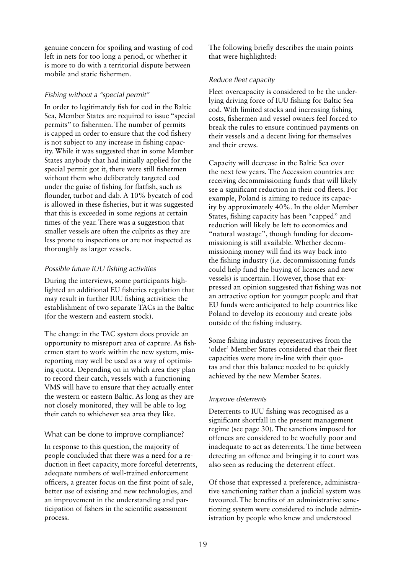genuine concern for spoiling and wasting of cod left in nets for too long a period, or whether it is more to do with a territorial dispute between mobile and static fishermen.

## *Fishing without a "special permit"*

In order to legitimately fish for cod in the Baltic Sea, Member States are required to issue "special permits" to fishermen. The number of permits is capped in order to ensure that the cod fishery is not subject to any increase in fishing capacity. While it was suggested that in some Member States anybody that had initially applied for the special permit got it, there were still fishermen without them who deliberately targeted cod under the guise of fishing for flatfish, such as flounder, turbot and dab. A 10% bycatch of cod is allowed in these fisheries, but it was suggested that this is exceeded in some regions at certain times of the year. There was a suggestion that smaller vessels are often the culprits as they are less prone to inspections or are not inspected as thoroughly as larger vessels.

## *Possible future IUU fishing activities*

During the interviews, some participants highlighted an additional EU fisheries regulation that may result in further IUU fishing activities: the establishment of two separate TACs in the Baltic (for the western and eastern stock).

The change in the TAC system does provide an opportunity to misreport area of capture. As fishermen start to work within the new system, misreporting may well be used as a way of optimising quota. Depending on in which area they plan to record their catch, vessels with a functioning VMS will have to ensure that they actually enter the western or eastern Baltic. As long as they are not closely monitored, they will be able to log their catch to whichever sea area they like.

## What can be done to improve compliance?

In response to this question, the majority of people concluded that there was a need for a reduction in fleet capacity, more forceful deterrents, adequate numbers of well-trained enforcement officers, a greater focus on the first point of sale, better use of existing and new technologies, and an improvement in the understanding and participation of fishers in the scientific assessment process.

The following briefly describes the main points that were highlighted:

## *Reduce fleet capacity*

Fleet overcapacity is considered to be the underlying driving force of IUU fishing for Baltic Sea cod. With limited stocks and increasing fishing costs, fishermen and vessel owners feel forced to break the rules to ensure continued payments on their vessels and a decent living for themselves and their crews.

Capacity will decrease in the Baltic Sea over the next few years. The Accession countries are receiving decommissioning funds that will likely see a significant reduction in their cod fleets. For example, Poland is aiming to reduce its capacity by approximately 40%. In the older Member States, fishing capacity has been "capped" and reduction will likely be left to economics and "natural wastage", though funding for decommissioning is still available. Whether decommissioning money will find its way back into the fishing industry (i.e. decommissioning funds could help fund the buying of licences and new vessels) is uncertain. However, those that expressed an opinion suggested that fishing was not an attractive option for younger people and that EU funds were anticipated to help countries like Poland to develop its economy and create jobs outside of the fishing industry.

Some fishing industry representatives from the 'older' Member States considered that their fleet capacities were more in-line with their quotas and that this balance needed to be quickly achieved by the new Member States.

## *Improve deterrents*

Deterrents to IUU fishing was recognised as a significant shortfall in the present management regime (see page 30). The sanctions imposed for offences are considered to be woefully poor and inadequate to act as deterrents. The time between detecting an offence and bringing it to court was also seen as reducing the deterrent effect.

Of those that expressed a preference, administrative sanctioning rather than a judicial system was favoured. The benefits of an administrative sanctioning system were considered to include administration by people who knew and understood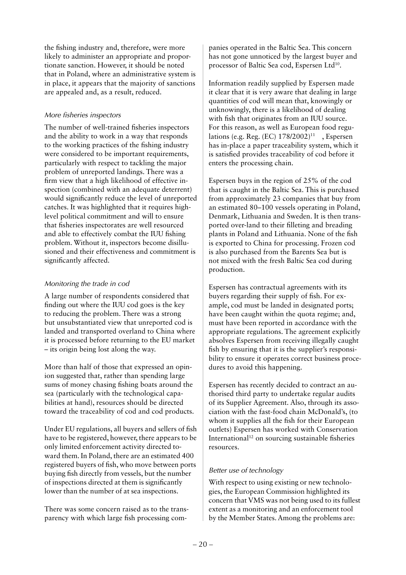the fishing industry and, therefore, were more likely to administer an appropriate and proportionate sanction. However, it should be noted that in Poland, where an administrative system is in place, it appears that the majority of sanctions are appealed and, as a result, reduced.

## *More fisheries inspectors*

The number of well-trained fisheries inspectors and the ability to work in a way that responds to the working practices of the fishing industry were considered to be important requirements, particularly with respect to tackling the major problem of unreported landings. There was a firm view that a high likelihood of effective inspection (combined with an adequate deterrent) would significantly reduce the level of unreported catches. It was highlighted that it requires highlevel political commitment and will to ensure that fisheries inspectorates are well resourced and able to effectively combat the IUU fishing problem. Without it, inspectors become disillusioned and their effectiveness and commitment is significantly affected.

## *Monitoring the trade in cod*

A large number of respondents considered that finding out where the IUU cod goes is the key to reducing the problem. There was a strong but unsubstantiated view that unreported cod is landed and transported overland to China where it is processed before returning to the EU market – its origin being lost along the way.

More than half of those that expressed an opinion suggested that, rather than spending large sums of money chasing fishing boats around the sea (particularly with the technological capabilities at hand), resources should be directed toward the traceability of cod and cod products.

Under EU regulations, all buyers and sellers of fish have to be registered, however, there appears to be only limited enforcement activity directed toward them. In Poland, there are an estimated 400 registered buyers of fish, who move between ports buying fish directly from vessels, but the number of inspections directed at them is significantly lower than the number of at sea inspections.

There was some concern raised as to the transparency with which large fish processing com-

panies operated in the Baltic Sea. This concern has not gone unnoticed by the largest buyer and processor of Baltic Sea cod, Espersen Ltd<sup>10</sup>.

Information readily supplied by Espersen made it clear that it is very aware that dealing in large quantities of cod will mean that, knowingly or unknowingly, there is a likelihood of dealing with fish that originates from an IUU source. For this reason, as well as European food regulations (e.g. Reg. (EC)  $178/2002$ )<sup>11</sup>, Espersen has in-place a paper traceability system, which it is satisfied provides traceability of cod before it enters the processing chain.

Espersen buys in the region of 25% of the cod that is caught in the Baltic Sea. This is purchased from approximately 23 companies that buy from an estimated 80–100 vessels operating in Poland, Denmark, Lithuania and Sweden. It is then transported over-land to their filleting and breading plants in Poland and Lithuania. None of the fish is exported to China for processing. Frozen cod is also purchased from the Barents Sea but is not mixed with the fresh Baltic Sea cod during production.

Espersen has contractual agreements with its buyers regarding their supply of fish. For example, cod must be landed in designated ports; have been caught within the quota regime; and, must have been reported in accordance with the appropriate regulations. The agreement explicitly absolves Espersen from receiving illegally caught fish by ensuring that it is the supplier's responsibility to ensure it operates correct business procedures to avoid this happening.

Espersen has recently decided to contract an authorised third party to undertake regular audits of its Supplier Agreement. Also, through its association with the fast-food chain McDonald's, (to whom it supplies all the fish for their European outlets) Espersen has worked with Conservation International<sup>12</sup> on sourcing sustainable fisheries resources.

## *Better use of technology*

With respect to using existing or new technologies, the European Commission highlighted its concern that VMS was not being used to its fullest extent as a monitoring and an enforcement tool by the Member States. Among the problems are: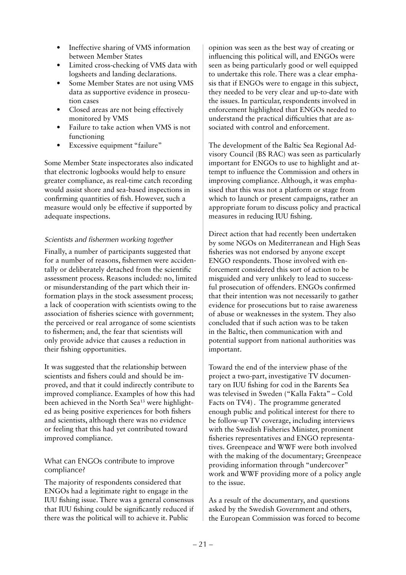- Ineffective sharing of VMS information between Member States
- Limited cross-checking of VMS data with logsheets and landing declarations.
- Some Member States are not using VMS data as supportive evidence in prosecution cases
- Closed areas are not being effectively monitored by VMS
- Failure to take action when VMS is not functioning
- Excessive equipment "failure"

Some Member State inspectorates also indicated that electronic logbooks would help to ensure greater compliance, as real-time catch recording would assist shore and sea-based inspections in confirming quantities of fish. However, such a measure would only be effective if supported by adequate inspections.

## *Scientists and fishermen working together*

Finally, a number of participants suggested that for a number of reasons, fishermen were accidentally or deliberately detached from the scientific assessment process. Reasons included: no, limited or misunderstanding of the part which their information plays in the stock assessment process; a lack of cooperation with scientists owing to the association of fisheries science with government; the perceived or real arrogance of some scientists to fishermen; and, the fear that scientists will only provide advice that causes a reduction in their fishing opportunities.

It was suggested that the relationship between scientists and fishers could and should be improved, and that it could indirectly contribute to improved compliance. Examples of how this had been achieved in the North Sea<sup>13</sup> were highlighted as being positive experiences for both fishers and scientists, although there was no evidence or feeling that this had yet contributed toward improved compliance.

## What can ENGOs contribute to improve compliance?

The majority of respondents considered that ENGOs had a legitimate right to engage in the IUU fishing issue. There was a general consensus that IUU fishing could be significantly reduced if there was the political will to achieve it. Public

opinion was seen as the best way of creating or influencing this political will, and ENGOs were seen as being particularly good or well equipped to undertake this role. There was a clear emphasis that if ENGOs were to engage in this subject, they needed to be very clear and up-to-date with the issues. In particular, respondents involved in enforcement highlighted that ENGOs needed to understand the practical difficulties that are associated with control and enforcement.

The development of the Baltic Sea Regional Advisory Council (BS RAC) was seen as particularly important for ENGOs to use to highlight and attempt to influence the Commission and others in improving compliance. Although, it was emphasised that this was not a platform or stage from which to launch or present campaigns, rather an appropriate forum to discuss policy and practical measures in reducing IUU fishing.

Direct action that had recently been undertaken by some NGOs on Mediterranean and High Seas fisheries was not endorsed by anyone except ENGO respondents. Those involved with enforcement considered this sort of action to be misguided and very unlikely to lead to successful prosecution of offenders. ENGOs confirmed that their intention was not necessarily to gather evidence for prosecutions but to raise awareness of abuse or weaknesses in the system. They also concluded that if such action was to be taken in the Baltic, then communication with and potential support from national authorities was important.

Toward the end of the interview phase of the project a two-part, investigative TV documentary on IUU fishing for cod in the Barents Sea was televised in Sweden ("Kalla Fakta" – Cold Facts on TV4). The programme generated enough public and political interest for there to be follow-up TV coverage, including interviews with the Swedish Fisheries Minister, prominent fisheries representatives and ENGO representatives. Greenpeace and WWF were both involved with the making of the documentary; Greenpeace providing information through "undercover" work and WWF providing more of a policy angle to the issue.

As a result of the documentary, and questions asked by the Swedish Government and others, the European Commission was forced to become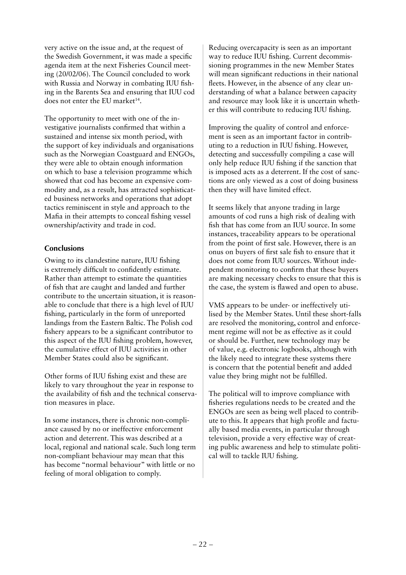very active on the issue and, at the request of the Swedish Government, it was made a specific agenda item at the next Fisheries Council meeting (20/02/06). The Council concluded to work with Russia and Norway in combating IUU fishing in the Barents Sea and ensuring that IUU cod does not enter the EU market<sup>14</sup>.

The opportunity to meet with one of the investigative journalists confirmed that within a sustained and intense six month period, with the support of key individuals and organisations such as the Norwegian Coastguard and ENGOs, they were able to obtain enough information on which to base a television programme which showed that cod has become an expensive commodity and, as a result, has attracted sophisticated business networks and operations that adopt tactics reminiscent in style and approach to the Mafia in their attempts to conceal fishing vessel ownership/activity and trade in cod.

## **Conclusions**

Owing to its clandestine nature, IUU fishing is extremely difficult to confidently estimate. Rather than attempt to estimate the quantities of fish that are caught and landed and further contribute to the uncertain situation, it is reasonable to conclude that there is a high level of IUU fishing, particularly in the form of unreported landings from the Eastern Baltic. The Polish cod fishery appears to be a significant contributor to this aspect of the IUU fishing problem, however, the cumulative effect of IUU activities in other Member States could also be significant.

Other forms of IUU fishing exist and these are likely to vary throughout the year in response to the availability of fish and the technical conservation measures in place.

In some instances, there is chronic non-compliance caused by no or ineffective enforcement action and deterrent. This was described at a local, regional and national scale. Such long term non-compliant behaviour may mean that this has become "normal behaviour" with little or no feeling of moral obligation to comply.

Reducing overcapacity is seen as an important way to reduce IUU fishing. Current decommissioning programmes in the new Member States will mean significant reductions in their national fleets. However, in the absence of any clear understanding of what a balance between capacity and resource may look like it is uncertain whether this will contribute to reducing IUU fishing.

Improving the quality of control and enforcement is seen as an important factor in contributing to a reduction in IUU fishing. However, detecting and successfully compiling a case will only help reduce IUU fishing if the sanction that is imposed acts as a deterrent. If the cost of sanctions are only viewed as a cost of doing business then they will have limited effect.

It seems likely that anyone trading in large amounts of cod runs a high risk of dealing with fish that has come from an IUU source. In some instances, traceability appears to be operational from the point of first sale. However, there is an onus on buyers of first sale fish to ensure that it does not come from IUU sources. Without independent monitoring to confirm that these buyers are making necessary checks to ensure that this is the case, the system is flawed and open to abuse.

VMS appears to be under- or ineffectively utilised by the Member States. Until these short-falls are resolved the monitoring, control and enforcement regime will not be as effective as it could or should be. Further, new technology may be of value, e.g. electronic logbooks, although with the likely need to integrate these systems there is concern that the potential benefit and added value they bring might not be fulfilled.

The political will to improve compliance with fisheries regulations needs to be created and the ENGOs are seen as being well placed to contribute to this. It appears that high profile and factually based media events, in particular through television, provide a very effective way of creating public awareness and help to stimulate political will to tackle IUU fishing.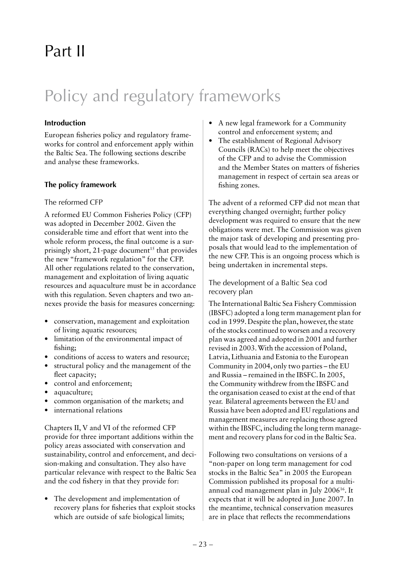## Part II

## Policy and regulatory frameworks

## **Introduction**

European fisheries policy and regulatory frameworks for control and enforcement apply within the Baltic Sea. The following sections describe and analyse these frameworks.

## **The policy framework**

## The reformed CFP

A reformed EU Common Fisheries Policy (CFP) was adopted in December 2002. Given the considerable time and effort that went into the whole reform process, the final outcome is a surprisingly short, 21-page document<sup>15</sup> that provides the new "framework regulation" for the CFP. All other regulations related to the conservation, management and exploitation of living aquatic resources and aquaculture must be in accordance with this regulation. Seven chapters and two annexes provide the basis for measures concerning:

- conservation, management and exploitation of living aquatic resources;
- limitation of the environmental impact of fishing;
- conditions of access to waters and resource;
- structural policy and the management of the fleet capacity;
- control and enforcement;
- aquaculture;
- common organisation of the markets; and
- international relations

Chapters II, V and VI of the reformed CFP provide for three important additions within the policy areas associated with conservation and sustainability, control and enforcement, and decision-making and consultation. They also have particular relevance with respect to the Baltic Sea and the cod fishery in that they provide for:

• The development and implementation of recovery plans for fisheries that exploit stocks which are outside of safe biological limits;

- A new legal framework for a Community control and enforcement system; and
- The establishment of Regional Advisory Councils (RACs) to help meet the objectives of the CFP and to advise the Commission and the Member States on matters of fisheries management in respect of certain sea areas or fishing zones.

The advent of a reformed CFP did not mean that everything changed overnight; further policy development was required to ensure that the new obligations were met. The Commission was given the major task of developing and presenting proposals that would lead to the implementation of the new CFP. This is an ongoing process which is being undertaken in incremental steps.

The development of a Baltic Sea cod recovery plan

The International Baltic Sea Fishery Commission (IBSFC) adopted a long term management plan for cod in 1999. Despite the plan, however, the state of the stocks continued to worsen and a recovery plan was agreed and adopted in 2001 and further revised in 2003. With the accession of Poland, Latvia, Lithuania and Estonia to the European Community in 2004, only two parties – the EU and Russia – remained in the IBSFC. In 2005, the Community withdrew from the IBSFC and the organisation ceased to exist at the end of that year. Bilateral agreements between the EU and Russia have been adopted and EU regulations and management measures are replacing those agreed within the IBSFC, including the long term management and recovery plans for cod in the Baltic Sea.

Following two consultations on versions of a "non-paper on long term management for cod stocks in the Baltic Sea" in 2005 the European Commission published its proposal for a multiannual cod management plan in July 200616. It expects that it will be adopted in June 2007. In the meantime, technical conservation measures are in place that reflects the recommendations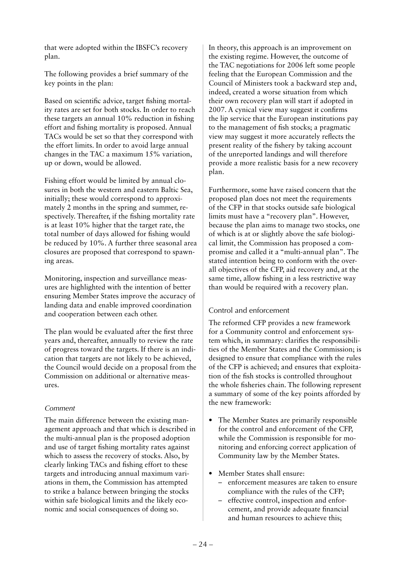that were adopted within the IBSFC's recovery plan.

The following provides a brief summary of the key points in the plan:

Based on scientific advice, target fishing mortality rates are set for both stocks. In order to reach these targets an annual 10% reduction in fishing effort and fishing mortality is proposed. Annual TACs would be set so that they correspond with the effort limits. In order to avoid large annual changes in the TAC a maximum 15% variation, up or down, would be allowed.

Fishing effort would be limited by annual closures in both the western and eastern Baltic Sea, initially; these would correspond to approximately 2 months in the spring and summer, respectively. Thereafter, if the fishing mortality rate is at least 10% higher that the target rate, the total number of days allowed for fishing would be reduced by 10%. A further three seasonal area closures are proposed that correspond to spawning areas.

Monitoring, inspection and surveillance measures are highlighted with the intention of better ensuring Member States improve the accuracy of landing data and enable improved coordination and cooperation between each other.

The plan would be evaluated after the first three years and, thereafter, annually to review the rate of progress toward the targets. If there is an indication that targets are not likely to be achieved, the Council would decide on a proposal from the Commission on additional or alternative measures.

## *Comment*

The main difference between the existing management approach and that which is described in the multi-annual plan is the proposed adoption and use of target fishing mortality rates against which to assess the recovery of stocks. Also, by clearly linking TACs and fishing effort to these targets and introducing annual maximum variations in them, the Commission has attempted to strike a balance between bringing the stocks within safe biological limits and the likely economic and social consequences of doing so.

In theory, this approach is an improvement on the existing regime. However, the outcome of the TAC negotiations for 2006 left some people feeling that the European Commission and the Council of Ministers took a backward step and, indeed, created a worse situation from which their own recovery plan will start if adopted in 2007. A cynical view may suggest it confirms the lip service that the European institutions pay to the management of fish stocks; a pragmatic view may suggest it more accurately reflects the present reality of the fishery by taking account of the unreported landings and will therefore provide a more realistic basis for a new recovery plan.

Furthermore, some have raised concern that the proposed plan does not meet the requirements of the CFP in that stocks outside safe biological limits must have a "recovery plan". However, because the plan aims to manage two stocks, one of which is at or slightly above the safe biological limit, the Commission has proposed a compromise and called it a "multi-annual plan". The stated intention being to conform with the overall objectives of the CFP, aid recovery and, at the same time, allow fishing in a less restrictive way than would be required with a recovery plan.

## Control and enforcement

The reformed CFP provides a new framework for a Community control and enforcement system which, in summary: clarifies the responsibilities of the Member States and the Commission; is designed to ensure that compliance with the rules of the CFP is achieved; and ensures that exploitation of the fish stocks is controlled throughout the whole fisheries chain. The following represent a summary of some of the key points afforded by the new framework:

- The Member States are primarily responsible for the control and enforcement of the CFP, while the Commission is responsible for monitoring and enforcing correct application of Community law by the Member States.
- Member States shall ensure:
	- enforcement measures are taken to ensure compliance with the rules of the CFP;
	- effective control, inspection and enforcement, and provide adequate financial and human resources to achieve this;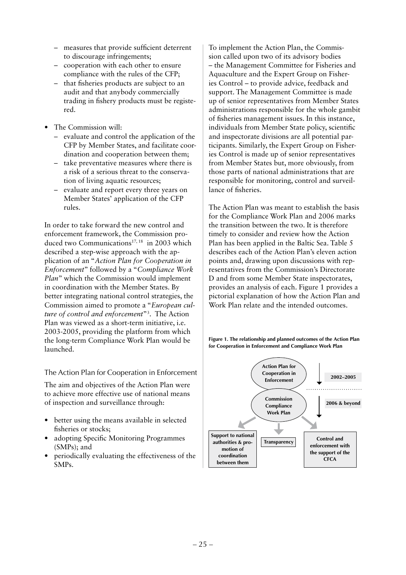- measures that provide sufficient deterrent to discourage infringements;
- cooperation with each other to ensure compliance with the rules of the CFP;
- that fisheries products are subject to an audit and that anybody commercially trading in fishery products must be registered.
- The Commission will:
	- evaluate and control the application of the CFP by Member States, and facilitate coordination and cooperation between them;
	- take preventative measures where there is a risk of a serious threat to the conservation of living aquatic resources;
	- evaluate and report every three years on Member States' application of the CFP rules.

In order to take forward the new control and enforcement framework, the Commission produced two Communications<sup>17, 18</sup> in 2003 which described a step-wise approach with the application of an "*Action Plan for Cooperation in Enforcement*" followed by a "*Compliance Work Plan*" which the Commission would implement in coordination with the Member States. By better integrating national control strategies, the Commission aimed to promote a "*European culture of control and enforcement*"3 . The Action Plan was viewed as a short-term initiative, i.e. 2003-2005, providing the platform from which the long-term Compliance Work Plan would be launched.

The Action Plan for Cooperation in Enforcement

The aim and objectives of the Action Plan were to achieve more effective use of national means of inspection and surveillance through:

- better using the means available in selected fisheries or stocks;
- adopting Specific Monitoring Programmes (SMPs); and
- periodically evaluating the effectiveness of the SMPs.

To implement the Action Plan, the Commission called upon two of its advisory bodies – the Management Committee for Fisheries and Aquaculture and the Expert Group on Fisheries Control – to provide advice, feedback and support. The Management Committee is made up of senior representatives from Member States administrations responsible for the whole gambit of fisheries management issues. In this instance, individuals from Member State policy, scientific and inspectorate divisions are all potential participants. Similarly, the Expert Group on Fisheries Control is made up of senior representatives from Member States but, more obviously, from those parts of national administrations that are responsible for monitoring, control and surveillance of fisheries.

The Action Plan was meant to establish the basis for the Compliance Work Plan and 2006 marks the transition between the two. It is therefore timely to consider and review how the Action Plan has been applied in the Baltic Sea. Table 5 describes each of the Action Plan's eleven action points and, drawing upon discussions with representatives from the Commission's Directorate D and from some Member State inspectorates, provides an analysis of each. Figure 1 provides a pictorial explanation of how the Action Plan and Work Plan relate and the intended outcomes.

**Figure 1. The relationship and planned outcomes of the Action Plan for Cooperation in Enforcement and Compliance Work Plan**

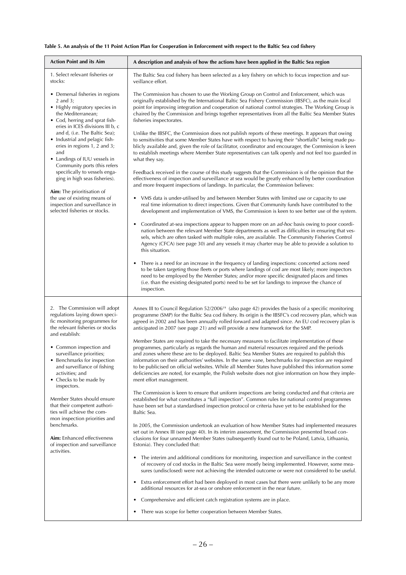## **Table 5. An analysis of the 11 Point Action Plan for Cooperation in Enforcement with respect to the Baltic Sea cod fishery**

| <b>Action Point and its Aim</b>                                                                                                                                                                                                                                                                                                                                                                                                                                                                                                                                      | A description and analysis of how the actions have been applied in the Baltic Sea region                                                                                                                                                                                                                                                                                                                                                                                                                                                                                                                                                                                                                                                                                                                                                                                                                                                                                                                                                                                                                                                                                                                                                                                                                                                                                                                                                                                                                                                                                                                                                                                                                                                                                                                                                                                                                                                                                                                                                                                                                                                                                                                                                                                                                                                                                            |  |
|----------------------------------------------------------------------------------------------------------------------------------------------------------------------------------------------------------------------------------------------------------------------------------------------------------------------------------------------------------------------------------------------------------------------------------------------------------------------------------------------------------------------------------------------------------------------|-------------------------------------------------------------------------------------------------------------------------------------------------------------------------------------------------------------------------------------------------------------------------------------------------------------------------------------------------------------------------------------------------------------------------------------------------------------------------------------------------------------------------------------------------------------------------------------------------------------------------------------------------------------------------------------------------------------------------------------------------------------------------------------------------------------------------------------------------------------------------------------------------------------------------------------------------------------------------------------------------------------------------------------------------------------------------------------------------------------------------------------------------------------------------------------------------------------------------------------------------------------------------------------------------------------------------------------------------------------------------------------------------------------------------------------------------------------------------------------------------------------------------------------------------------------------------------------------------------------------------------------------------------------------------------------------------------------------------------------------------------------------------------------------------------------------------------------------------------------------------------------------------------------------------------------------------------------------------------------------------------------------------------------------------------------------------------------------------------------------------------------------------------------------------------------------------------------------------------------------------------------------------------------------------------------------------------------------------------------------------------------|--|
| 1. Select relevant fisheries or<br>stocks:                                                                                                                                                                                                                                                                                                                                                                                                                                                                                                                           | The Baltic Sea cod fishery has been selected as a key fishery on which to focus inspection and sur-<br>veillance effort.                                                                                                                                                                                                                                                                                                                                                                                                                                                                                                                                                                                                                                                                                                                                                                                                                                                                                                                                                                                                                                                                                                                                                                                                                                                                                                                                                                                                                                                                                                                                                                                                                                                                                                                                                                                                                                                                                                                                                                                                                                                                                                                                                                                                                                                            |  |
| • Demersal fisheries in regions<br>2 and 3;<br>• Highly migratory species in<br>the Mediterranean;<br>• Cod, herring and sprat fish-<br>eries in ICES divisions III b, c<br>and d, (i.e. The Baltic Sea);<br>• Industrial and pelagic fish-<br>eries in regions 1, 2 and 3;<br>and<br>• Landings of IUU vessels in<br>Community ports (this refers<br>specifically to vessels enga-<br>ging in high seas fisheries).<br>Aim: The prioritisation of<br>the use of existing means of<br>inspection and surveillance in<br>selected fisheries or stocks.                | The Commission has chosen to use the Working Group on Control and Enforcement, which was<br>originally established by the International Baltic Sea Fishery Commission (IBSFC), as the main focal<br>point for improving integration and cooperation of national control strategies. The Working Group is<br>chaired by the Commission and brings together representatives from all the Baltic Sea Member States<br>fisheries inspectorates.<br>Unlike the IBSFC, the Commission does not publish reports of these meetings. It appears that owing<br>to sensitivities that some Member States have with respect to having their "shortfalls" being made pu-<br>blicly available and, given the role of facilitator, coordinator and encourager, the Commission is keen<br>to establish meetings where Member State representatives can talk openly and not feel too guarded in<br>what they say.<br>Feedback received in the course of this study suggests that the Commission is of the opinion that the<br>effectiveness of inspection and surveillance at sea would be greatly enhanced by better coordination<br>and more frequent inspections of landings. In particular, the Commission believes:<br>• VMS data is under-utilised by and between Member States with limited use or capacity to use<br>real time information to direct inspections. Given that Community funds have contributed to the<br>development and implementation of VMS, the Commission is keen to see better use of the system.<br>Coordinated at-sea inspections appear to happen more on an ad-hoc basis owing to poor coordi-<br>$\bullet$<br>nation between the relevant Member State departments as well as difficulties in ensuring that ves-<br>sels, which are often tasked with multiple roles, are available. The Community Fisheries Control<br>Agency (CFCA) (see page 30) and any vessels it may charter may be able to provide a solution to<br>this situation.<br>There is a need for an increase in the frequency of landing inspections: concerted actions need<br>to be taken targeting those fleets or ports where landings of cod are most likely; more inspectors<br>need to be employed by the Member States; and/or more specific designated places and times<br>(i.e. than the existing designated ports) need to be set for landings to improve the chance of<br>inspection. |  |
| 2. The Commission will adopt<br>regulations laying down speci-<br>fic monitoring programmes for<br>the relevant fisheries or stocks<br>and establish:<br>• Common inspection and<br>surveillance priorities;<br>• Benchmarks for inspection<br>and surveillance of fishing<br>activities; and<br>• Checks to be made by<br>inspectors.<br>Member States should ensure<br>that their competent authori-<br>ties will achieve the com-<br>mon inspection priorities and<br>benchmarks.<br>Aim: Enhanced effectiveness<br>of inspection and surveillance<br>activities. | Annex III to Council Regulation 52/2006 <sup>19</sup> (also page 42) provides the basis of a specific monitoring<br>programme (SMP) for the Baltic Sea cod fishery. Its origin is the IBSFC's cod recovery plan, which was<br>agreed in 2002 and has been annually rolled forward and adapted since. An EU cod recovery plan is<br>anticipated in 2007 (see page 21) and will provide a new framework for the SMP.<br>Member States are required to take the necessary measures to facilitate implementation of these<br>programmes, particularly as regards the human and material resources required and the periods<br>and zones where these are to be deployed. Baltic Sea Member States are required to publish this<br>information on their authorities' websites. In the same vane, benchmarks for inspection are required<br>to be publicised on official websites. While all Member States have published this information some<br>deficiencies are noted, for example, the Polish website does not give information on how they imple-<br>ment effort management.<br>The Commission is keen to ensure that uniform inspections are being conducted and that criteria are<br>established for what constitutes a "full inspection". Common rules for national control programmes<br>have been set but a standardised inspection protocol or criteria have yet to be established for the<br>Baltic Sea.<br>In 2005, the Commission undertook an evaluation of how Member States had implemented measures<br>set out in Annex III (see page 40). In its interim assessment, the Commission presented broad con-<br>clusions for four unnamed Member States (subsequently found out to be Poland, Latvia, Lithuania,<br>Estonia). They concluded that:<br>The interim and additional conditions for monitoring, inspection and surveillance in the context<br>٠<br>of recovery of cod stocks in the Baltic Sea were mostly being implemented. However, some mea-<br>sures (undisclosed) were not achieving the intended outcome or were not considered to be useful.<br>Extra enforcement effort had been deployed in most cases but there were unlikely to be any more<br>٠<br>additional resources for at-sea or onshore enforcement in the near future.<br>Comprehensive and efficient catch registration systems are in place.                                             |  |
|                                                                                                                                                                                                                                                                                                                                                                                                                                                                                                                                                                      | There was scope for better cooperation between Member States.<br>٠                                                                                                                                                                                                                                                                                                                                                                                                                                                                                                                                                                                                                                                                                                                                                                                                                                                                                                                                                                                                                                                                                                                                                                                                                                                                                                                                                                                                                                                                                                                                                                                                                                                                                                                                                                                                                                                                                                                                                                                                                                                                                                                                                                                                                                                                                                                  |  |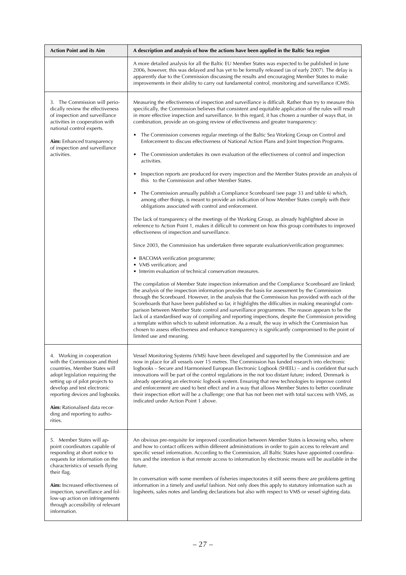| <b>Action Point and its Aim</b>                                                                                                                                                                                                                                                                                                                   | A description and analysis of how the actions have been applied in the Baltic Sea region                                                                                                                                                                                                                                                                                                                                                                                                                                                                                                                                                                                                                                                                                                                                                                                                                                                                                                                                                                                                                                                                                                                                                                                                                                                                                                                                                                                                                                                                                                                                                                                                                                                                                                                                                                                                                                                                                                                                                                                                                                                                                                                                                                                                                                                                                      |  |  |
|---------------------------------------------------------------------------------------------------------------------------------------------------------------------------------------------------------------------------------------------------------------------------------------------------------------------------------------------------|-------------------------------------------------------------------------------------------------------------------------------------------------------------------------------------------------------------------------------------------------------------------------------------------------------------------------------------------------------------------------------------------------------------------------------------------------------------------------------------------------------------------------------------------------------------------------------------------------------------------------------------------------------------------------------------------------------------------------------------------------------------------------------------------------------------------------------------------------------------------------------------------------------------------------------------------------------------------------------------------------------------------------------------------------------------------------------------------------------------------------------------------------------------------------------------------------------------------------------------------------------------------------------------------------------------------------------------------------------------------------------------------------------------------------------------------------------------------------------------------------------------------------------------------------------------------------------------------------------------------------------------------------------------------------------------------------------------------------------------------------------------------------------------------------------------------------------------------------------------------------------------------------------------------------------------------------------------------------------------------------------------------------------------------------------------------------------------------------------------------------------------------------------------------------------------------------------------------------------------------------------------------------------------------------------------------------------------------------------------------------------|--|--|
|                                                                                                                                                                                                                                                                                                                                                   | A more detailed analysis for all the Baltic EU Member States was expected to be published in June<br>2006, however, this was delayed and has yet to be formally released (as of early 2007). The delay is<br>apparently due to the Commission discussing the results and encouraging Member States to make<br>improvements in their ability to carry out fundamental control, monitoring and surveillance (CMS).                                                                                                                                                                                                                                                                                                                                                                                                                                                                                                                                                                                                                                                                                                                                                                                                                                                                                                                                                                                                                                                                                                                                                                                                                                                                                                                                                                                                                                                                                                                                                                                                                                                                                                                                                                                                                                                                                                                                                              |  |  |
| 3. The Commission will perio-<br>dically review the effectiveness<br>of inspection and surveillance<br>activities in cooperation with<br>national control experts.<br>Aim: Enhanced transparency<br>of inspection and surveillance<br>activities.                                                                                                 | Measuring the effectiveness of inspection and surveillance is difficult. Rather than try to measure this<br>specifically, the Commission believes that consistent and equitable application of the rules will result<br>in more effective inspection and surveillance. In this regard, it has chosen a number of ways that, in<br>combination, provide an on-going review of effectiveness and greater transparency:<br>The Commission convenes regular meetings of the Baltic Sea Working Group on Control and<br>Enforcement to discuss effectiveness of National Action Plans and Joint Inspection Programs.<br>The Commission undertakes its own evaluation of the effectiveness of control and inspection<br>$\bullet$<br>activities.<br>Inspection reports are produced for every inspection and the Member States provide an analysis of<br>this to the Commission and other Member States.<br>The Commission annually publish a Compliance Scoreboard (see page 33 and table 6) which,<br>among other things, is meant to provide an indication of how Member States comply with their<br>obligations associated with control and enforcement.<br>The lack of transparency of the meetings of the Working Group, as already highlighted above in<br>reference to Action Point 1, makes it difficult to comment on how this group contributes to improved<br>effectiveness of inspection and surveillance.<br>Since 2003, the Commission has undertaken three separate evaluation/verification programmes:<br>• BACOMA verification programme;<br>• VMS verification; and<br>• Interim evaluation of technical conservation measures.<br>The compilation of Member State inspection information and the Compliance Scoreboard are linked;<br>the analysis of the inspection information provides the basis for assessment by the Commission<br>through the Scoreboard. However, in the analysis that the Commission has provided with each of the<br>Scoreboards that have been published so far, it highlights the difficulties in making meaningful com-<br>parison between Member State control and surveillance programmes. The reason appears to be the<br>lack of a standardised way of compiling and reporting inspections, despite the Commission providing<br>a template within which to submit information. As a result, the way in which the Commission has |  |  |
|                                                                                                                                                                                                                                                                                                                                                   | chosen to assess effectiveness and enhance transparency is significantly compromised to the point of<br>limited use and meaning.                                                                                                                                                                                                                                                                                                                                                                                                                                                                                                                                                                                                                                                                                                                                                                                                                                                                                                                                                                                                                                                                                                                                                                                                                                                                                                                                                                                                                                                                                                                                                                                                                                                                                                                                                                                                                                                                                                                                                                                                                                                                                                                                                                                                                                              |  |  |
| 4. Working in cooperation<br>with the Commission and third<br>countries, Member States will<br>adopt legislation requiring the<br>setting up of pilot projects to<br>develop and test electronic<br>reporting devices and logbooks.<br><b>Aim:</b> Rationalised data recor-<br>ding and reporting to autho-<br>rities.                            | Vessel Monitoring Systems (VMS) have been developed and supported by the Commission and are<br>now in place for all vessels over 15 metres. The Commission has funded research into electronic<br>logbooks - Secure and Harmonised European Electronic Logbook (SHEEL) - and is confident that such<br>innovations will be part of the control regulations in the not too distant future; indeed, Denmark is<br>already operating an electronic logbook system. Ensuring that new technologies to improve control<br>and enforcement are used to best effect and in a way that allows Member States to better coordinate<br>their inspection effort will be a challenge; one that has not been met with total success with VMS, as<br>indicated under Action Point 1 above.                                                                                                                                                                                                                                                                                                                                                                                                                                                                                                                                                                                                                                                                                                                                                                                                                                                                                                                                                                                                                                                                                                                                                                                                                                                                                                                                                                                                                                                                                                                                                                                                   |  |  |
| 5. Member States will ap-<br>point coordinators capable of<br>responding at short notice to<br>requests for information on the<br>characteristics of vessels flying<br>their flag.<br>Aim: Increased effectiveness of<br>inspection, surveillance and fol-<br>low-up action on infringements<br>through accessibility of relevant<br>information. | An obvious pre-requisite for improved coordination between Member States is knowing who, where<br>and how to contact officers within different administrations in order to gain access to relevant and<br>specific vessel information. According to the Commission, all Baltic States have appointed coordina-<br>tors and the intention is that remote access to information by electronic means will be available in the<br>future.<br>In conversation with some members of fisheries inspectorates it still seems there are problems getting<br>information in a timely and useful fashion. Not only does this apply to statutory information such as<br>logsheets, sales notes and landing declarations but also with respect to VMS or vessel sighting data.                                                                                                                                                                                                                                                                                                                                                                                                                                                                                                                                                                                                                                                                                                                                                                                                                                                                                                                                                                                                                                                                                                                                                                                                                                                                                                                                                                                                                                                                                                                                                                                                             |  |  |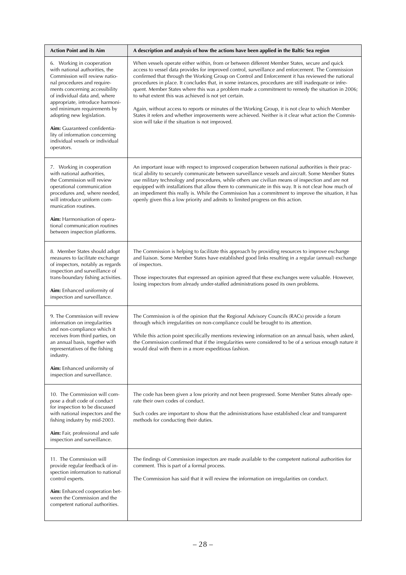| <b>Action Point and its Aim</b>                                                                                                                                                                                                                                                                                                                                                                     | A description and analysis of how the actions have been applied in the Baltic Sea region                                                                                                                                                                                                                                                                                                                                                                                                                                                                                                                                                                                                                                                                                                                                                    |  |  |
|-----------------------------------------------------------------------------------------------------------------------------------------------------------------------------------------------------------------------------------------------------------------------------------------------------------------------------------------------------------------------------------------------------|---------------------------------------------------------------------------------------------------------------------------------------------------------------------------------------------------------------------------------------------------------------------------------------------------------------------------------------------------------------------------------------------------------------------------------------------------------------------------------------------------------------------------------------------------------------------------------------------------------------------------------------------------------------------------------------------------------------------------------------------------------------------------------------------------------------------------------------------|--|--|
| 6. Working in cooperation<br>with national authorities, the<br>Commission will review natio-<br>nal procedures and require-<br>ments concerning accessibility<br>of individual data and, where<br>appropriate, introduce harmoni-<br>sed minimum requirements by<br>adopting new legislation.<br>Aim: Guaranteed confidentia-<br>lity of information concerning<br>individual vessels or individual | When vessels operate either within, from or between different Member States, secure and quick<br>access to vessel data provides for improved control, surveillance and enforcement. The Commission<br>confirmed that through the Working Group on Control and Enforcement it has reviewed the national<br>procedures in place. It concludes that, in some instances, procedures are still inadequate or infre-<br>quent. Member States where this was a problem made a commitment to remedy the situation in 2006;<br>to what extent this was achieved is not yet certain.<br>Again, without access to reports or minutes of the Working Group, it is not clear to which Member<br>States it refers and whether improvements were achieved. Neither is it clear what action the Commis-<br>sion will take if the situation is not improved. |  |  |
| operators.                                                                                                                                                                                                                                                                                                                                                                                          |                                                                                                                                                                                                                                                                                                                                                                                                                                                                                                                                                                                                                                                                                                                                                                                                                                             |  |  |
| 7. Working in cooperation<br>with national authorities,<br>the Commission will review<br>operational communication<br>procedures and, where needed,<br>will introduce uniform com-<br>munication routines.<br><b>Aim:</b> Harmonisation of opera-<br>tional communication routines<br>between inspection platforms.                                                                                 | An important issue with respect to improved cooperation between national authorities is their prac-<br>tical ability to securely communicate between surveillance vessels and aircraft. Some Member States<br>use military technology and procedures, while others use civilian means of inspection and are not<br>equipped with installations that allow them to communicate in this way. It is not clear how much of<br>an impediment this really is. While the Commission has a commitment to improve the situation, it has<br>openly given this a low priority and admits to limited progress on this action.                                                                                                                                                                                                                           |  |  |
| 8. Member States should adopt<br>measures to facilitate exchange<br>of inspectors, notably as regards<br>inspection and surveillance of<br>trans-boundary fishing activities.<br>Aim: Enhanced uniformity of<br>inspection and surveillance.                                                                                                                                                        | The Commission is helping to facilitate this approach by providing resources to improve exchange<br>and liaison. Some Member States have established good links resulting in a regular (annual) exchange<br>of inspectors.<br>Those inspectorates that expressed an opinion agreed that these exchanges were valuable. However,<br>losing inspectors from already under-staffed administrations posed its own problems.                                                                                                                                                                                                                                                                                                                                                                                                                     |  |  |
| 9. The Commission will review<br>information on irregularities<br>and non-compliance which it<br>receives from third parties, on<br>an annual basis, together with<br>representatives of the fishing<br>industry.<br>Aim: Enhanced uniformity of<br>inspection and surveillance.                                                                                                                    | The Commission is of the opinion that the Regional Advisory Councils (RACs) provide a forum<br>through which irregularities on non-compliance could be brought to its attention.<br>While this action point specifically mentions reviewing information on an annual basis, when asked,<br>the Commission confirmed that if the irregularities were considered to be of a serious enough nature it<br>would deal with them in a more expeditious fashion.                                                                                                                                                                                                                                                                                                                                                                                   |  |  |
| 10. The Commission will com-<br>pose a draft code of conduct<br>for inspection to be discussed<br>with national inspectors and the<br>fishing industry by mid-2003.<br>Aim: Fair, professional and safe<br>inspection and surveillance.                                                                                                                                                             | The code has been given a low priority and not been progressed. Some Member States already ope-<br>rate their own codes of conduct.<br>Such codes are important to show that the administrations have established clear and transparent<br>methods for conducting their duties.                                                                                                                                                                                                                                                                                                                                                                                                                                                                                                                                                             |  |  |
| 11. The Commission will<br>provide regular feedback of in-<br>spection information to national<br>control experts.<br>Aim: Enhanced cooperation bet-<br>ween the Commission and the<br>competent national authorities.                                                                                                                                                                              | The findings of Commission inspectors are made available to the competent national authorities for<br>comment. This is part of a formal process.<br>The Commission has said that it will review the information on irregularities on conduct.                                                                                                                                                                                                                                                                                                                                                                                                                                                                                                                                                                                               |  |  |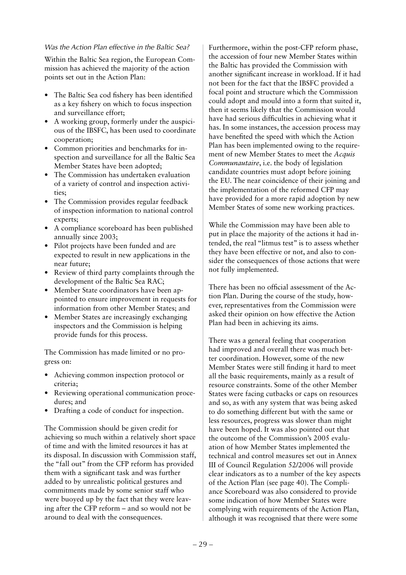## *Was the Action Plan effective in the Baltic Sea?*

Within the Baltic Sea region, the European Commission has achieved the majority of the action points set out in the Action Plan:

- The Baltic Sea cod fishery has been identified as a key fishery on which to focus inspection and surveillance effort;
- A working group, formerly under the auspicious of the IBSFC, has been used to coordinate cooperation;
- Common priorities and benchmarks for inspection and surveillance for all the Baltic Sea Member States have been adopted;
- The Commission has undertaken evaluation of a variety of control and inspection activities;
- The Commission provides regular feedback of inspection information to national control experts;
- A compliance scoreboard has been published annually since 2003;
- Pilot projects have been funded and are expected to result in new applications in the near future;
- Review of third party complaints through the development of the Baltic Sea RAC;
- Member State coordinators have been appointed to ensure improvement in requests for information from other Member States; and
- Member States are increasingly exchanging inspectors and the Commission is helping provide funds for this process.

The Commission has made limited or no progress on:

- Achieving common inspection protocol or criteria;
- Reviewing operational communication procedures; and
- Drafting a code of conduct for inspection.

The Commission should be given credit for achieving so much within a relatively short space of time and with the limited resources it has at its disposal. In discussion with Commission staff, the "fall out" from the CFP reform has provided them with a significant task and was further added to by unrealistic political gestures and commitments made by some senior staff who were buoyed up by the fact that they were leaving after the CFP reform – and so would not be around to deal with the consequences.

Furthermore, within the post-CFP reform phase, the accession of four new Member States within the Baltic has provided the Commission with another significant increase in workload. If it had not been for the fact that the IBSFC provided a focal point and structure which the Commission could adopt and mould into a form that suited it, then it seems likely that the Commission would have had serious difficulties in achieving what it has. In some instances, the accession process may have benefited the speed with which the Action Plan has been implemented owing to the requirement of new Member States to meet the *Acquis Communautaire*, i.e. the body of legislation candidate countries must adopt before joining the EU. The near coincidence of their joining and the implementation of the reformed CFP may have provided for a more rapid adoption by new Member States of some new working practices.

While the Commission may have been able to put in place the majority of the actions it had intended, the real "litmus test" is to assess whether they have been effective or not, and also to consider the consequences of those actions that were not fully implemented.

There has been no official assessment of the Action Plan. During the course of the study, however, representatives from the Commission were asked their opinion on how effective the Action Plan had been in achieving its aims.

There was a general feeling that cooperation had improved and overall there was much better coordination. However, some of the new Member States were still finding it hard to meet all the basic requirements, mainly as a result of resource constraints. Some of the other Member States were facing cutbacks or caps on resources and so, as with any system that was being asked to do something different but with the same or less resources, progress was slower than might have been hoped. It was also pointed out that the outcome of the Commission's 2005 evaluation of how Member States implemented the technical and control measures set out in Annex III of Council Regulation 52/2006 will provide clear indicators as to a number of the key aspects of the Action Plan (see page 40). The Compliance Scoreboard was also considered to provide some indication of how Member States were complying with requirements of the Action Plan, although it was recognised that there were some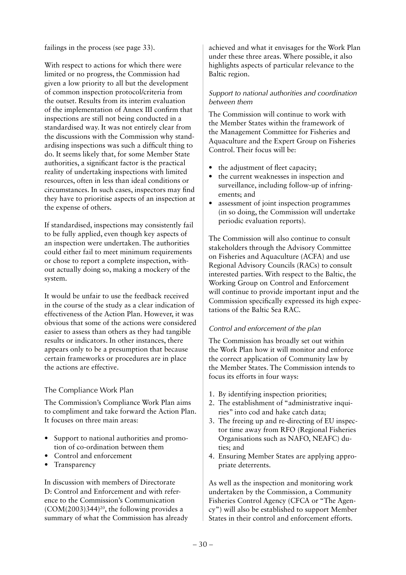failings in the process (see page 33).

With respect to actions for which there were limited or no progress, the Commission had given a low priority to all but the development of common inspection protocol/criteria from the outset. Results from its interim evaluation of the implementation of Annex III confirm that inspections are still not being conducted in a standardised way. It was not entirely clear from the discussions with the Commission why standardising inspections was such a difficult thing to do. It seems likely that, for some Member State authorities, a significant factor is the practical reality of undertaking inspections with limited resources, often in less than ideal conditions or circumstances. In such cases, inspectors may find they have to prioritise aspects of an inspection at the expense of others.

If standardised, inspections may consistently fail to be fully applied, even though key aspects of an inspection were undertaken. The authorities could either fail to meet minimum requirements or chose to report a complete inspection, without actually doing so, making a mockery of the system.

It would be unfair to use the feedback received in the course of the study as a clear indication of effectiveness of the Action Plan. However, it was obvious that some of the actions were considered easier to assess than others as they had tangible results or indicators. In other instances, there appears only to be a presumption that because certain frameworks or procedures are in place the actions are effective.

## The Compliance Work Plan

The Commission's Compliance Work Plan aims to compliment and take forward the Action Plan. It focuses on three main areas:

- Support to national authorities and promotion of co-ordination between them
- Control and enforcement
- Transparency

In discussion with members of Directorate D: Control and Enforcement and with reference to the Commission's Communication  $(COM(2003)344)^{20}$ , the following provides a summary of what the Commission has already

achieved and what it envisages for the Work Plan under these three areas. Where possible, it also highlights aspects of particular relevance to the Baltic region.

### *Support to national authorities and coordination between them*

The Commission will continue to work with the Member States within the framework of the Management Committee for Fisheries and Aquaculture and the Expert Group on Fisheries Control. Their focus will be:

- the adjustment of fleet capacity;
- the current weaknesses in inspection and surveillance, including follow-up of infringements; and
- assessment of joint inspection programmes (in so doing, the Commission will undertake periodic evaluation reports).

The Commission will also continue to consult stakeholders through the Advisory Committee on Fisheries and Aquaculture (ACFA) and use Regional Advisory Councils (RACs) to consult interested parties. With respect to the Baltic, the Working Group on Control and Enforcement will continue to provide important input and the Commission specifically expressed its high expectations of the Baltic Sea RAC.

## *Control and enforcement of the plan*

The Commission has broadly set out within the Work Plan how it will monitor and enforce the correct application of Community law by the Member States. The Commission intends to focus its efforts in four ways:

- 1. By identifying inspection priorities;
- 2. The establishment of "administrative inquiries" into cod and hake catch data;
- 3. The freeing up and re-directing of EU inspector time away from RFO (Regional Fisheries Organisations such as NAFO, NEAFC) duties; and
- 4. Ensuring Member States are applying appropriate deterrents.

As well as the inspection and monitoring work undertaken by the Commission, a Community Fisheries Control Agency (CFCA or "The Agency") will also be established to support Member States in their control and enforcement efforts.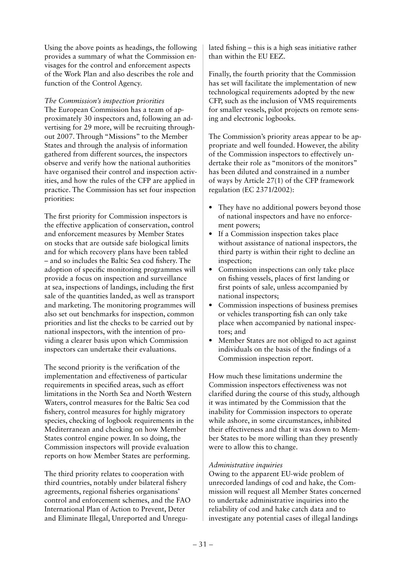Using the above points as headings, the following provides a summary of what the Commission envisages for the control and enforcement aspects of the Work Plan and also describes the role and function of the Control Agency.

*The Commission's inspection priorities*  The European Commission has a team of approximately 30 inspectors and, following an advertising for 29 more, will be recruiting throughout 2007. Through "Missions" to the Member States and through the analysis of information gathered from different sources, the inspectors observe and verify how the national authorities have organised their control and inspection activities, and how the rules of the CFP are applied in practice. The Commission has set four inspection priorities:

The first priority for Commission inspectors is the effective application of conservation, control and enforcement measures by Member States on stocks that are outside safe biological limits and for which recovery plans have been tabled – and so includes the Baltic Sea cod fishery. The adoption of specific monitoring programmes will provide a focus on inspection and surveillance at sea, inspections of landings, including the first sale of the quantities landed, as well as transport and marketing. The monitoring programmes will also set out benchmarks for inspection, common priorities and list the checks to be carried out by national inspectors, with the intention of providing a clearer basis upon which Commission inspectors can undertake their evaluations.

The second priority is the verification of the implementation and effectiveness of particular requirements in specified areas, such as effort limitations in the North Sea and North Western Waters, control measures for the Baltic Sea cod fishery, control measures for highly migratory species, checking of logbook requirements in the Mediterranean and checking on how Member States control engine power. In so doing, the Commission inspectors will provide evaluation reports on how Member States are performing.

The third priority relates to cooperation with third countries, notably under bilateral fishery agreements, regional fisheries organisations' control and enforcement schemes, and the FAO International Plan of Action to Prevent, Deter and Eliminate Illegal, Unreported and Unregu-

lated fishing – this is a high seas initiative rather than within the EU EEZ.

Finally, the fourth priority that the Commission has set will facilitate the implementation of new technological requirements adopted by the new CFP, such as the inclusion of VMS requirements for smaller vessels, pilot projects on remote sensing and electronic logbooks.

The Commission's priority areas appear to be appropriate and well founded. However, the ability of the Commission inspectors to effectively undertake their role as "monitors of the monitors" has been diluted and constrained in a number of ways by Article 27(1) of the CFP framework regulation (EC 2371/2002):

- They have no additional powers beyond those of national inspectors and have no enforcement powers;
- If a Commission inspection takes place without assistance of national inspectors, the third party is within their right to decline an inspection;
- Commission inspections can only take place on fishing vessels, places of first landing or first points of sale, unless accompanied by national inspectors;
- Commission inspections of business premises or vehicles transporting fish can only take place when accompanied by national inspectors; and
- Member States are not obliged to act against individuals on the basis of the findings of a Commission inspection report.

How much these limitations undermine the Commission inspectors effectiveness was not clarified during the course of this study, although it was intimated by the Commission that the inability for Commission inspectors to operate while ashore, in some circumstances, inhibited their effectiveness and that it was down to Member States to be more willing than they presently were to allow this to change.

## *Administrative inquiries*

Owing to the apparent EU-wide problem of unrecorded landings of cod and hake, the Commission will request all Member States concerned to undertake administrative inquiries into the reliability of cod and hake catch data and to investigate any potential cases of illegal landings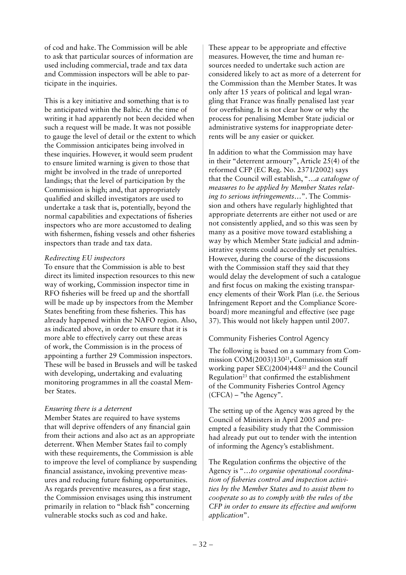of cod and hake. The Commission will be able to ask that particular sources of information are used including commercial, trade and tax data and Commission inspectors will be able to participate in the inquiries.

This is a key initiative and something that is to be anticipated within the Baltic. At the time of writing it had apparently not been decided when such a request will be made. It was not possible to gauge the level of detail or the extent to which the Commission anticipates being involved in these inquiries. However, it would seem prudent to ensure limited warning is given to those that might be involved in the trade of unreported landings; that the level of participation by the Commission is high; and, that appropriately qualified and skilled investigators are used to undertake a task that is, potentially, beyond the normal capabilities and expectations of fisheries inspectors who are more accustomed to dealing with fishermen, fishing vessels and other fisheries inspectors than trade and tax data.

### *Redirecting EU inspectors*

To ensure that the Commission is able to best direct its limited inspection resources to this new way of working, Commission inspector time in RFO fisheries will be freed up and the shortfall will be made up by inspectors from the Member States benefiting from these fisheries. This has already happened within the NAFO region. Also, as indicated above, in order to ensure that it is more able to effectively carry out these areas of work, the Commission is in the process of appointing a further 29 Commission inspectors. These will be based in Brussels and will be tasked with developing, undertaking and evaluating monitoring programmes in all the coastal Member States.

### *Ensuring there is a deterrent*

Member States are required to have systems that will deprive offenders of any financial gain from their actions and also act as an appropriate deterrent. When Member States fail to comply with these requirements, the Commission is able to improve the level of compliance by suspending financial assistance, invoking preventive measures and reducing future fishing opportunities. As regards preventive measures, as a first stage, the Commission envisages using this instrument primarily in relation to "black fish" concerning vulnerable stocks such as cod and hake.

These appear to be appropriate and effective measures. However, the time and human resources needed to undertake such action are considered likely to act as more of a deterrent for the Commission than the Member States. It was only after 15 years of political and legal wrangling that France was finally penalised last year for overfishing. It is not clear how or why the process for penalising Member State judicial or administrative systems for inappropriate deterrents will be any easier or quicker.

In addition to what the Commission may have in their "deterrent armoury", Article 25(4) of the reformed CFP (EC Reg. No. 2371/2002) says that the Council will establish, "…*a catalogue of measures to be applied by Member States relating to serious infringements*…". The Commission and others have regularly highlighted that appropriate deterrents are either not used or are not consistently applied, and so this was seen by many as a positive move toward establishing a way by which Member State judicial and administrative systems could accordingly set penalties. However, during the course of the discussions with the Commission staff they said that they would delay the development of such a catalogue and first focus on making the existing transparency elements of their Work Plan (i.e. the Serious Infringement Report and the Compliance Scoreboard) more meaningful and effective (see page 37). This would not likely happen until 2007.

Community Fisheries Control Agency

The following is based on a summary from Commission COM(2003)130<sup>21</sup>, Commission staff working paper SEC(2004)44822 and the Council Regulation<sup>23</sup> that confirmed the establishment of the Community Fisheries Control Agency  $(CFCA)$  – "the Agency".

The setting up of the Agency was agreed by the Council of Ministers in April 2005 and preempted a feasibility study that the Commission had already put out to tender with the intention of informing the Agency's establishment.

The Regulation confirms the objective of the Agency is "…*to organise operational coordination of fisheries control and inspection activities by the Member States and to assist them to cooperate so as to comply with the rules of the CFP in order to ensure its effective and uniform application*".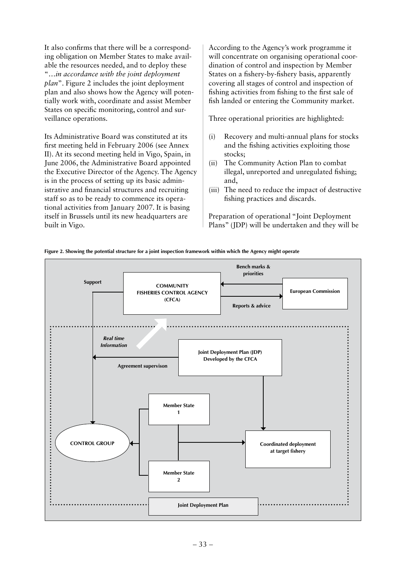It also confirms that there will be a corresponding obligation on Member States to make available the resources needed, and to deploy these "…*in accordance with the joint deployment plan*". Figure 2 includes the joint deployment plan and also shows how the Agency will potentially work with, coordinate and assist Member States on specific monitoring, control and surveillance operations.

Its Administrative Board was constituted at its first meeting held in February 2006 (see Annex II). At its second meeting held in Vigo, Spain, in June 2006, the Administrative Board appointed the Executive Director of the Agency. The Agency is in the process of setting up its basic administrative and financial structures and recruiting staff so as to be ready to commence its operational activities from January 2007. It is basing itself in Brussels until its new headquarters are built in Vigo.

According to the Agency's work programme it will concentrate on organising operational coordination of control and inspection by Member States on a fishery-by-fishery basis, apparently covering all stages of control and inspection of fishing activities from fishing to the first sale of fish landed or entering the Community market.

Three operational priorities are highlighted:

- (i) Recovery and multi-annual plans for stocks and the fishing activities exploiting those stocks;
- (ii) The Community Action Plan to combat illegal, unreported and unregulated fishing; and,
- (iii) The need to reduce the impact of destructive fishing practices and discards.

Preparation of operational "Joint Deployment Plans" (JDP) will be undertaken and they will be

**Figure 2. Showing the potential structure for a joint inspection framework within which the Agency might operate**

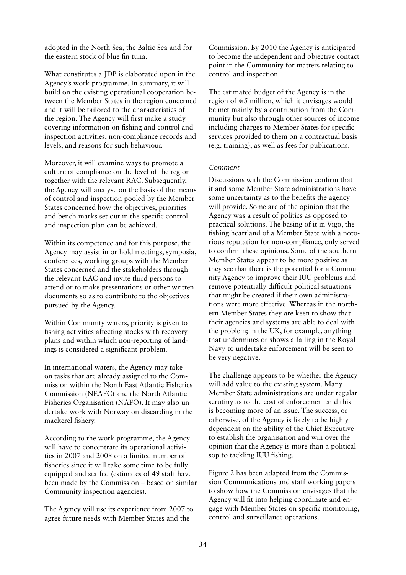adopted in the North Sea, the Baltic Sea and for the eastern stock of blue fin tuna.

What constitutes a JDP is elaborated upon in the Agency's work programme. In summary, it will build on the existing operational cooperation between the Member States in the region concerned and it will be tailored to the characteristics of the region. The Agency will first make a study covering information on fishing and control and inspection activities, non-compliance records and levels, and reasons for such behaviour.

Moreover, it will examine ways to promote a culture of compliance on the level of the region together with the relevant RAC. Subsequently, the Agency will analyse on the basis of the means of control and inspection pooled by the Member States concerned how the objectives, priorities and bench marks set out in the specific control and inspection plan can be achieved.

Within its competence and for this purpose, the Agency may assist in or hold meetings, symposia, conferences, working groups with the Member States concerned and the stakeholders through the relevant RAC and invite third persons to attend or to make presentations or other written documents so as to contribute to the objectives pursued by the Agency.

Within Community waters, priority is given to fishing activities affecting stocks with recovery plans and within which non-reporting of landings is considered a significant problem.

In international waters, the Agency may take on tasks that are already assigned to the Commission within the North East Atlantic Fisheries Commission (NEAFC) and the North Atlantic Fisheries Organisation (NAFO). It may also undertake work with Norway on discarding in the mackerel fishery.

According to the work programme, the Agency will have to concentrate its operational activities in 2007 and 2008 on a limited number of fisheries since it will take some time to be fully equipped and staffed (estimates of 49 staff have been made by the Commission – based on similar Community inspection agencies).

The Agency will use its experience from 2007 to agree future needs with Member States and the

Commission. By 2010 the Agency is anticipated to become the independent and objective contact point in the Community for matters relating to control and inspection

The estimated budget of the Agency is in the region of  $\epsilon$ 5 million, which it envisages would be met mainly by a contribution from the Community but also through other sources of income including charges to Member States for specific services provided to them on a contractual basis (e.g. training), as well as fees for publications.

## *Comment*

Discussions with the Commission confirm that it and some Member State administrations have some uncertainty as to the benefits the agency will provide. Some are of the opinion that the Agency was a result of politics as opposed to practical solutions. The basing of it in Vigo, the fishing heartland of a Member State with a notorious reputation for non-compliance, only served to confirm these opinions. Some of the southern Member States appear to be more positive as they see that there is the potential for a Community Agency to improve their IUU problems and remove potentially difficult political situations that might be created if their own administrations were more effective. Whereas in the northern Member States they are keen to show that their agencies and systems are able to deal with the problem; in the UK, for example, anything that undermines or shows a failing in the Royal Navy to undertake enforcement will be seen to be very negative.

The challenge appears to be whether the Agency will add value to the existing system. Many Member State administrations are under regular scrutiny as to the cost of enforcement and this is becoming more of an issue. The success, or otherwise, of the Agency is likely to be highly dependent on the ability of the Chief Executive to establish the organisation and win over the opinion that the Agency is more than a political sop to tackling IUU fishing.

Figure 2 has been adapted from the Commission Communications and staff working papers to show how the Commission envisages that the Agency will fit into helping coordinate and engage with Member States on specific monitoring, control and surveillance operations.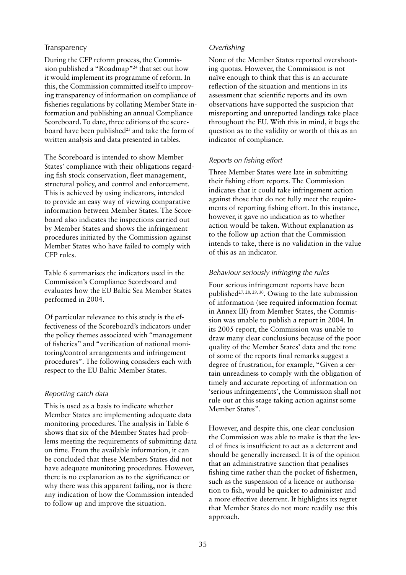## Transparency

During the CFP reform process, the Commission published a "Roadmap"24 that set out how it would implement its programme of reform. In this, the Commission committed itself to improving transparency of information on compliance of fisheries regulations by collating Member State information and publishing an annual Compliance Scoreboard. To date, three editions of the scoreboard have been published<sup>25</sup> and take the form of written analysis and data presented in tables.

The Scoreboard is intended to show Member States' compliance with their obligations regarding fish stock conservation, fleet management, structural policy, and control and enforcement. This is achieved by using indicators, intended to provide an easy way of viewing comparative information between Member States. The Scoreboard also indicates the inspections carried out by Member States and shows the infringement procedures initiated by the Commission against Member States who have failed to comply with CFP rules.

Table 6 summarises the indicators used in the Commission's Compliance Scoreboard and evaluates how the EU Baltic Sea Member States performed in 2004.

Of particular relevance to this study is the effectiveness of the Scoreboard's indicators under the policy themes associated with "management of fisheries" and "verification of national monitoring/control arrangements and infringement procedures". The following considers each with respect to the EU Baltic Member States.

## *Reporting catch data*

This is used as a basis to indicate whether Member States are implementing adequate data monitoring procedures. The analysis in Table 6 shows that six of the Member States had problems meeting the requirements of submitting data on time. From the available information, it can be concluded that these Members States did not have adequate monitoring procedures. However, there is no explanation as to the significance or why there was this apparent failing, nor is there any indication of how the Commission intended to follow up and improve the situation.

## *Overfishing*

None of the Member States reported overshooting quotas. However, the Commission is not naïve enough to think that this is an accurate reflection of the situation and mentions in its assessment that scientific reports and its own observations have supported the suspicion that misreporting and unreported landings take place throughout the EU. With this in mind, it begs the question as to the validity or worth of this as an indicator of compliance.

## *Reports on fishing effort*

Three Member States were late in submitting their fishing effort reports. The Commission indicates that it could take infringement action against those that do not fully meet the requirements of reporting fishing effort. In this instance, however, it gave no indication as to whether action would be taken. Without explanation as to the follow up action that the Commission intends to take, there is no validation in the value of this as an indicator.

## *Behaviour seriously infringing the rules*

Four serious infringement reports have been published<sup>27, 28, 29, 30</sup>. Owing to the late submission of information (see required information format in Annex III) from Member States, the Commission was unable to publish a report in 2004. In its 2005 report, the Commission was unable to draw many clear conclusions because of the poor quality of the Member States' data and the tone of some of the reports final remarks suggest a degree of frustration, for example, "Given a certain unreadiness to comply with the obligation of timely and accurate reporting of information on 'serious infringements', the Commission shall not rule out at this stage taking action against some Member States".

However, and despite this, one clear conclusion the Commission was able to make is that the level of fines is insufficient to act as a deterrent and should be generally increased. It is of the opinion that an administrative sanction that penalises fishing time rather than the pocket of fishermen, such as the suspension of a licence or authorisation to fish, would be quicker to administer and a more effective deterrent. It highlights its regret that Member States do not more readily use this approach.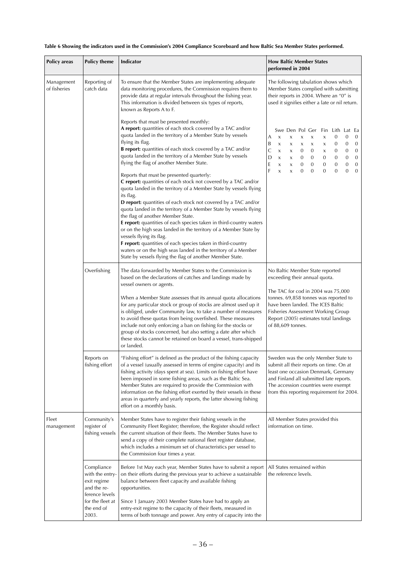| <b>Policy areas</b>        | <b>Policy theme</b>                                                                                                      | Indicator                                                                                                                                                                                                                                                                                                                                                                                                                                                                                                                                                                                                                                                                                                                                                                                                                                                                                                                                                                                                                                                                                                                      | <b>How Baltic Member States</b><br>performed in 2004                                                                                                                                                                                                                                                                                                                                                                                                                                                                                                                                                                      |  |
|----------------------------|--------------------------------------------------------------------------------------------------------------------------|--------------------------------------------------------------------------------------------------------------------------------------------------------------------------------------------------------------------------------------------------------------------------------------------------------------------------------------------------------------------------------------------------------------------------------------------------------------------------------------------------------------------------------------------------------------------------------------------------------------------------------------------------------------------------------------------------------------------------------------------------------------------------------------------------------------------------------------------------------------------------------------------------------------------------------------------------------------------------------------------------------------------------------------------------------------------------------------------------------------------------------|---------------------------------------------------------------------------------------------------------------------------------------------------------------------------------------------------------------------------------------------------------------------------------------------------------------------------------------------------------------------------------------------------------------------------------------------------------------------------------------------------------------------------------------------------------------------------------------------------------------------------|--|
| Management<br>of fisheries | Reporting of<br>catch data                                                                                               | To ensure that the Member States are implementing adequate<br>data monitoring procedures, the Commission requires them to<br>provide data at regular intervals throughout the fishing year.<br>This information is divided between six types of reports,<br>known as Reports A to F.                                                                                                                                                                                                                                                                                                                                                                                                                                                                                                                                                                                                                                                                                                                                                                                                                                           | The following tabulation shows which<br>Member States complied with submitting<br>their reports in 2004. Where an "0" is<br>used it signifies either a late or nil return.                                                                                                                                                                                                                                                                                                                                                                                                                                                |  |
|                            |                                                                                                                          | Reports that must be presented monthly:<br>A report: quantities of each stock covered by a TAC and/or<br>quota landed in the territory of a Member State by vessels<br>flying its flag.<br><b>B report:</b> quantities of each stock covered by a TAC and/or<br>quota landed in the territory of a Member State by vessels<br>flying the flag of another Member State.<br>Reports that must be presented quarterly:<br>C report: quantities of each stock not covered by a TAC and/or<br>quota landed in the territory of a Member State by vessels flying<br>its flag.<br><b>D</b> report: quantities of each stock not covered by a TAC and/or<br>quota landed in the territory of a Member State by vessels flying<br>the flag of another Member State.<br>E report: quantities of each species taken in third-country waters<br>or on the high seas landed in the territory of a Member State by<br>vessels flying its flag.<br>F report: quantities of each species taken in third-country<br>waters or on the high seas landed in the territory of a Member<br>State by vessels flying the flag of another Member State. | Swe Den Pol Ger<br>Fin Lith Lat Ea<br>0<br>$\mathbf{0}$<br>$\overline{0}$<br>A<br>X<br>$\mathsf X$<br>X<br>X<br>x<br>B<br>$\mathbf{0}$<br>$\overline{0}$<br>0<br>X<br>X<br>X<br>$\boldsymbol{\mathsf{X}}$<br>X<br>C<br>$\mathbf{0}$<br>$\mathbf{0}$<br>$\mathbf{0}$<br>0<br>0<br>X<br>X<br>X<br>D<br>0<br>$\mathbf{0}$<br>0<br>$\mathbf{0}$<br>$\mathbf{0}$<br>$\mathbf{0}$<br>X<br>X<br>E<br>$\mathbf{0}$<br>$\mathbf{0}$<br>$\mathbf{0}$<br>$\mathbf{0}$<br>$\mathbf{0}$<br>$\mathsf X$<br>0<br>X<br>F<br>$\mathbf{0}$<br>$\mathbf{0}$<br>$\Omega$<br>$\mathbf{0}$<br>$\mathbf{0}$<br>$\mathbf{0}$<br>$\mathsf{x}$<br>X |  |
|                            | Overfishing                                                                                                              | The data forwarded by Member States to the Commission is<br>based on the declarations of catches and landings made by<br>vessel owners or agents.<br>When a Member State assesses that its annual quota allocations<br>for any particular stock or group of stocks are almost used up it<br>is obliged, under Community law, to take a number of measures<br>to avoid these quotas from being overfished. These measures<br>include not only enforcing a ban on fishing for the stocks or<br>group of stocks concerned, but also setting a date after which<br>these stocks cannot be retained on board a vessel, trans-shipped<br>or landed.                                                                                                                                                                                                                                                                                                                                                                                                                                                                                  | No Baltic Member State reported<br>exceeding their annual quota.<br>The TAC for cod in 2004 was 75,000<br>tonnes. 69,858 tonnes was reported to<br>have been landed. The ICES Baltic<br>Fisheries Assessment Working Group<br>Report (2005) estimates total landings<br>of 88,609 tonnes.                                                                                                                                                                                                                                                                                                                                 |  |
|                            | Reports on<br>fishing effort                                                                                             | "Fishing effort" is defined as the product of the fishing capacity<br>of a vessel (usually assessed in terms of engine capacity) and its<br>fishing activity (days spent at sea). Limits on fishing effort have<br>been imposed in some fishing areas, such as the Baltic Sea.<br>Member States are required to provide the Commission with<br>information on the fishing effort exerted by their vessels in these<br>areas in quarterly and yearly reports, the latter showing fishing<br>effort on a monthly basis.                                                                                                                                                                                                                                                                                                                                                                                                                                                                                                                                                                                                          | Sweden was the only Member State to<br>submit all their reports on time. On at<br>least one occasion Denmark, Germany<br>and Finland all submitted late reports.<br>The accession countries were exempt<br>from this reporting requirement for 2004.                                                                                                                                                                                                                                                                                                                                                                      |  |
| Fleet<br>management        | Community's<br>register of<br>fishing vessels                                                                            | Member States have to register their fishing vessels in the<br>Community Fleet Register; therefore, the Register should reflect<br>the current situation of their fleets. The Member States have to<br>send a copy of their complete national fleet register database,<br>which includes a minimum set of characteristics per vessel to<br>the Commission four times a year.                                                                                                                                                                                                                                                                                                                                                                                                                                                                                                                                                                                                                                                                                                                                                   | All Member States provided this<br>information on time.                                                                                                                                                                                                                                                                                                                                                                                                                                                                                                                                                                   |  |
|                            | Compliance<br>with the entry-<br>exit regime<br>and the re-<br>ference levels<br>for the fleet at<br>the end of<br>2003. | Before 1st May each year, Member States have to submit a report<br>on their efforts during the previous year to achieve a sustainable<br>balance between fleet capacity and available fishing<br>opportunities.<br>Since 1 January 2003 Member States have had to apply an<br>entry-exit regime to the capacity of their fleets, measured in<br>terms of both tonnage and power. Any entry of capacity into the                                                                                                                                                                                                                                                                                                                                                                                                                                                                                                                                                                                                                                                                                                                | All States remained within<br>the reference levels.                                                                                                                                                                                                                                                                                                                                                                                                                                                                                                                                                                       |  |

### **Table 6 Showing the indicators used in the Commission's 2004 Compliance Scoreboard and how Baltic Sea Member States performed.**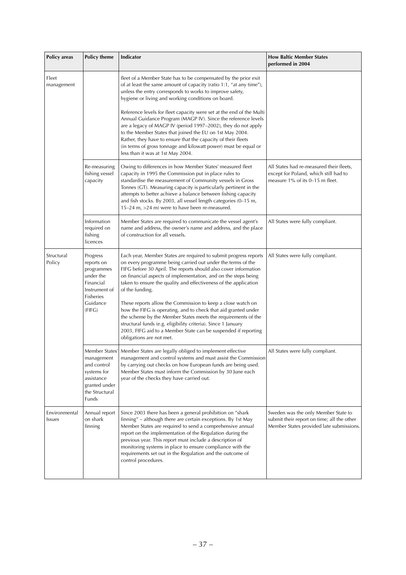| <b>Policy areas</b>     | <b>Policy theme</b>                                                                                                | Indicator                                                                                                                                                                                                                                                                                                                                                                                                                                                                                                                                                     | <b>How Baltic Member States</b><br>performed in 2004                                                                          |
|-------------------------|--------------------------------------------------------------------------------------------------------------------|---------------------------------------------------------------------------------------------------------------------------------------------------------------------------------------------------------------------------------------------------------------------------------------------------------------------------------------------------------------------------------------------------------------------------------------------------------------------------------------------------------------------------------------------------------------|-------------------------------------------------------------------------------------------------------------------------------|
| Fleet<br>management     |                                                                                                                    | fleet of a Member State has to be compensated by the prior exit<br>of at least the same amount of capacity (ratio 1:1, "at any time"),<br>unless the entry corresponds to works to improve safety,<br>hygiene or living and working conditions on board.                                                                                                                                                                                                                                                                                                      |                                                                                                                               |
|                         |                                                                                                                    | Reference levels for fleet capacity were set at the end of the Multi<br>Annual Guidance Program (MAGP IV). Since the reference levels<br>are a legacy of MAGP IV (period 1997-2002), they do not apply<br>to the Member States that joined the EU on 1st May 2004.<br>Rather, they have to ensure that the capacity of their fleets<br>(in terms of gross tonnage and kilowatt power) must be equal or<br>less than it was at 1st May 2004.                                                                                                                   |                                                                                                                               |
|                         | Re-measuring<br>fishing vessel<br>capacity                                                                         | Owing to differences in how Member States' measured fleet<br>capacity in 1995 the Commission put in place rules to<br>standardise the measurement of Community vessels in Gross<br>Tonnes (GT). Measuring capacity is particularly pertinent in the<br>attempts to better achieve a balance between fishing capacity<br>and fish stocks. By 2003, all vessel length categories (0-15 m,<br>15-24 m, >24 m) were to have been re-measured.                                                                                                                     | All States had re-measured their fleets,<br>except for Poland, which still had to<br>measure 1% of its 0-15 m fleet.          |
|                         | Information<br>required on<br>fishing<br>licences                                                                  | Member States are required to communicate the vessel agent's<br>name and address, the owner's name and address, and the place<br>of construction for all vessels.                                                                                                                                                                                                                                                                                                                                                                                             | All States were fully compliant.                                                                                              |
| Structural<br>Policy    | Progress<br>reports on<br>programmes<br>under the<br>Financial<br>Instrument of<br>Fisheries<br>Guidance<br>(FIFG) | Each year, Member States are required to submit progress reports<br>on every programme being carried out under the terms of the<br>FIFG before 30 April. The reports should also cover information<br>on financial aspects of implementation, and on the steps being<br>taken to ensure the quality and effectiveness of the application<br>of the funding.<br>These reports allow the Commission to keep a close watch on<br>how the FIFG is operating, and to check that aid granted under<br>the scheme by the Member States meets the requirements of the | All States were fully compliant.                                                                                              |
|                         |                                                                                                                    | structural funds (e.g. eligibility criteria). Since 1 January<br>2003, FIFG aid to a Member State can be suspended if reporting<br>obligations are not met.                                                                                                                                                                                                                                                                                                                                                                                                   |                                                                                                                               |
|                         | management<br>and control<br>systems for<br>assistance<br>granted under<br>the Structural<br>Funds                 | Member States'  Member States are legally obliged to implement effective<br>management and control systems and must assist the Commission<br>by carrying out checks on how European funds are being used.<br>Member States must inform the Commission by 30 June each<br>year of the checks they have carried out.                                                                                                                                                                                                                                            | All States were fully compliant.                                                                                              |
| Environmental<br>Issues | Annual report<br>on shark<br>finning                                                                               | Since 2003 there has been a general prohibition on "shark<br>finning" - although there are certain exceptions. By 1st May<br>Member States are required to send a comprehensive annual<br>report on the implementation of the Regulation during the<br>previous year. This report must include a description of<br>monitoring systems in place to ensure compliance with the<br>requirements set out in the Regulation and the outcome of<br>control procedures.                                                                                              | Sweden was the only Member State to<br>submit their report on time; all the other<br>Member States provided late submissions. |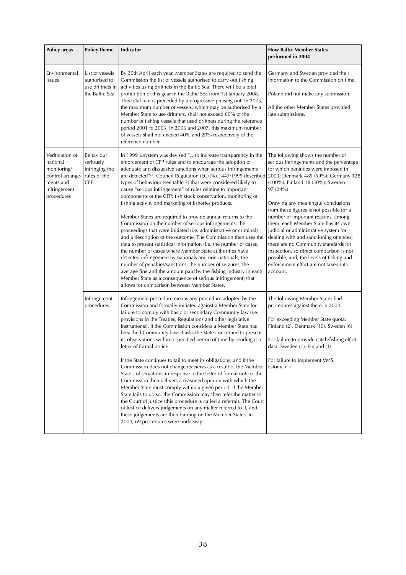| Policy areas                                                                                              | <b>Policy theme</b>                                                    | Indicator                                                                                                                                                                                                                                                                                                                                                                                                                                                                                                                                                                                                                                                                                                                                                                                                                                                                                                                                                                                                                                                                                                                                                                                                                                             | <b>How Baltic Member States</b><br>performed in 2004                                                                                                                                                                                                                                                                                                                                                                                                                                                                                                                                                                                                  |
|-----------------------------------------------------------------------------------------------------------|------------------------------------------------------------------------|-------------------------------------------------------------------------------------------------------------------------------------------------------------------------------------------------------------------------------------------------------------------------------------------------------------------------------------------------------------------------------------------------------------------------------------------------------------------------------------------------------------------------------------------------------------------------------------------------------------------------------------------------------------------------------------------------------------------------------------------------------------------------------------------------------------------------------------------------------------------------------------------------------------------------------------------------------------------------------------------------------------------------------------------------------------------------------------------------------------------------------------------------------------------------------------------------------------------------------------------------------|-------------------------------------------------------------------------------------------------------------------------------------------------------------------------------------------------------------------------------------------------------------------------------------------------------------------------------------------------------------------------------------------------------------------------------------------------------------------------------------------------------------------------------------------------------------------------------------------------------------------------------------------------------|
| Environmental<br>Issues                                                                                   | List of vessels<br>authorised to<br>use driftnets in<br>the Baltic Sea | By 30th April each year, Member States are required to send the<br>Commission the list of vessels authorised to carry out fishing<br>activities using driftnets in the Baltic Sea. There will be a total<br>prohibition of this gear in the Baltic Sea from 1st January 2008.<br>This total ban is preceded by a progressive phasing out. In 2005,<br>the maximum number of vessels, which may be authorised by a<br>Member State to use driftnets, shall not exceed 60% of the<br>number of fishing vessels that used driftnets during the reference<br>period 2001 to 2003. In 2006 and 2007, this maximum number<br>of vessels shall not exceed 40% and 20% respectively of the<br>reference number.                                                                                                                                                                                                                                                                                                                                                                                                                                                                                                                                               | Germany and Sweden provided their<br>information to the Commission on time.<br>Poland did not make any submission.<br>All the other Member States provided<br>late submissions.                                                                                                                                                                                                                                                                                                                                                                                                                                                                       |
| Verification of<br>national<br>monitoring/<br>control arrange-<br>ments and<br>infringement<br>procedures | Behaviour<br>seriously<br>infringing the<br>rules of the<br><b>CFP</b> | In 1999 a system was devised "to increase transparency in the<br>enforcement of CFP rules and to encourage the adoption of<br>adequate and dissuasive sanctions when serious infringements<br>are detected" <sup>26</sup> . Council Regulation (EC) No.1447/1999 described<br>types of behaviour (see table 7) that were considered likely to<br>cause "serious infringement" of rules relating to important<br>components of the CFP: fish stock conservation, monitoring of<br>fishing activity and marketing of fisheries products.<br>Member States are required to provide annual returns to the<br>Commission on the number of serious infringements, the<br>proceedings that were initiated (i.e. administrative or criminal)<br>and a description of the outcome. The Commission then uses the<br>data to present statistical information (i.e. the number of cases,<br>the number of cases where Member State authorities have<br>detected infringement by nationals and non-nationals, the<br>number of penalties/sanctions, the number of seizures, the<br>average fine and the amount paid by the fishing industry in each<br>Member State as a consequence of serious infringement) that<br>allows for comparison between Member States. | The following shows the number of<br>serious infringements and the percentage<br>for which penalties were imposed in<br>2003: Denmark 485 (59%); Germany 128<br>(100%), Finland 18 (50%); Sweden<br>$97(24%)$ .<br>Drawing any meaningful conclusions<br>from these figures is not possible for a<br>number of important reasons, among<br>them: each Member State has its own<br>judicial or administrative system for<br>dealing with and sanctioning offences;<br>there are no Community standards for<br>inspection, so direct comparison is not<br>possible; and, the levels of fishing and<br>enforcement effort are not taken into<br>account. |
|                                                                                                           | Infringement<br>procedures                                             | Infringement procedure means any procedure adopted by the<br>Commission and formally initiated against a Member State for<br>failure to comply with basic or secondary Community law (i.e.<br>provisions in the Treaties, Regulations and other legislative<br>instruments). If the Commission considers a Member State has<br>breached Community law, it asks the State concerned to present<br>its observations within a specified period of time by sending it a<br>letter of formal notice.<br>If the State continues to fail to meet its obligations, and if the<br>Commission does not change its views as a result of the Member<br>State's observations in response to the letter of formal notice, the<br>Commission then delivers a reasoned opinion with which the<br>Member State must comply within a given period. If the Member<br>State fails to do so, the Commission may then refer the matter to<br>the Court of Justice (this procedure is called a referral). The Court<br>of Justice delivers judgements on any matter referred to it, and<br>these judgements are then binding on the Member States. In<br>2004, 69 procedures were underway.                                                                                  | The following Member States had<br>procedures against them in 2004:<br>For exceeding Member State quota:<br>Finland (2), Denmark (10), Sweden (6)<br>For failure to provide catch/fishing effort<br>data: Sweden (1), Finland (1)<br>For failure to implement VMS:<br>Estonia (1)                                                                                                                                                                                                                                                                                                                                                                     |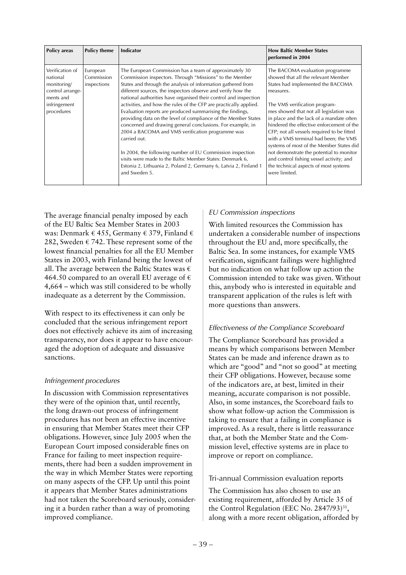| <b>Policy areas</b>                                                                                       | <b>Policy theme</b>                   | <b>Indicator</b>                                                                                                                                                                                                                                                                                                                                                                                                                                                                                                                                                                                                                                                                                                                                                                                                                                                          | <b>How Baltic Member States</b><br>performed in 2004                                                                                                                                                                                                                                                                                                                                                                                                                                                                                                                               |
|-----------------------------------------------------------------------------------------------------------|---------------------------------------|---------------------------------------------------------------------------------------------------------------------------------------------------------------------------------------------------------------------------------------------------------------------------------------------------------------------------------------------------------------------------------------------------------------------------------------------------------------------------------------------------------------------------------------------------------------------------------------------------------------------------------------------------------------------------------------------------------------------------------------------------------------------------------------------------------------------------------------------------------------------------|------------------------------------------------------------------------------------------------------------------------------------------------------------------------------------------------------------------------------------------------------------------------------------------------------------------------------------------------------------------------------------------------------------------------------------------------------------------------------------------------------------------------------------------------------------------------------------|
| Verification of<br>national<br>monitoring/<br>control arrange-<br>ments and<br>infringement<br>procedures | European<br>Commission<br>inspections | The European Commission has a team of approximately 30<br>Commission inspectors. Through "Missions" to the Member<br>States and through the analysis of information gathered from<br>different sources, the inspectors observe and verify how the<br>national authorities have organised their control and inspection<br>activities, and how the rules of the CFP are practically applied.<br>Evaluation reports are produced summarising the findings,<br>providing data on the level of compliance of the Member States<br>concerned and drawing general conclusions. For example, in<br>2004 a BACOMA and VMS verification programme was<br>carried out.<br>In 2004, the following number of EU Commission inspection<br>visits were made to the Baltic Member States: Denmark 6,<br>Estonia 2, Lithuania 2, Poland 2, Germany 6, Latvia 2, Finland 1<br>and Sweden 5. | The BACOMA evaluation programme<br>showed that all the relevant Member<br>States had implemented the BACOMA<br>measures.<br>The VMS verification program-<br>mes showed that not all legislation was<br>in place and the lack of a mandate often<br>hindered the effective enforcement of the<br>CFP; not all vessels required to be fitted<br>with a VMS terminal had been; the VMS<br>systems of most of the Member States did<br>not demonstrate the potential to monitor<br>and control fishing vessel activity; and<br>the technical aspects of most systems<br>were limited. |

The average financial penalty imposed by each of the EU Baltic Sea Member States in 2003 was: Denmark € 455, Germany € 379, Finland € 282, Sweden  $\epsilon$  742. These represent some of the lowest financial penalties for all the EU Member States in 2003, with Finland being the lowest of all. The average between the Baltic States was  $\epsilon$ 464.50 compared to an overall EU average of  $\epsilon$ 4,664 – which was still considered to be wholly inadequate as a deterrent by the Commission.

With respect to its effectiveness it can only be concluded that the serious infringement report does not effectively achieve its aim of increasing transparency, nor does it appear to have encouraged the adoption of adequate and dissuasive sanctions.

## *Infringement procedures*

In discussion with Commission representatives they were of the opinion that, until recently, the long drawn-out process of infringement procedures has not been an effective incentive in ensuring that Member States meet their CFP obligations. However, since July 2005 when the European Court imposed considerable fines on France for failing to meet inspection requirements, there had been a sudden improvement in the way in which Member States were reporting on many aspects of the CFP. Up until this point it appears that Member States administrations had not taken the Scoreboard seriously, considering it a burden rather than a way of promoting improved compliance.

## *EU Commission inspections*

With limited resources the Commission has undertaken a considerable number of inspections throughout the EU and, more specifically, the Baltic Sea. In some instances, for example VMS verification, significant failings were highlighted but no indication on what follow up action the Commission intended to take was given. Without this, anybody who is interested in equitable and transparent application of the rules is left with more questions than answers.

## *Effectiveness of the Compliance Scoreboard*

The Compliance Scoreboard has provided a means by which comparisons between Member States can be made and inference drawn as to which are "good" and "not so good" at meeting their CFP obligations. However, because some of the indicators are, at best, limited in their meaning, accurate comparison is not possible. Also, in some instances, the Scoreboard fails to show what follow-up action the Commission is taking to ensure that a failing in compliance is improved. As a result, there is little reassurance that, at both the Member State and the Commission level, effective systems are in place to improve or report on compliance.

## Tri-annual Commission evaluation reports

The Commission has also chosen to use an existing requirement, afforded by Article 35 of the Control Regulation (EEC No.  $2847/93$ )<sup>31</sup>, along with a more recent obligation, afforded by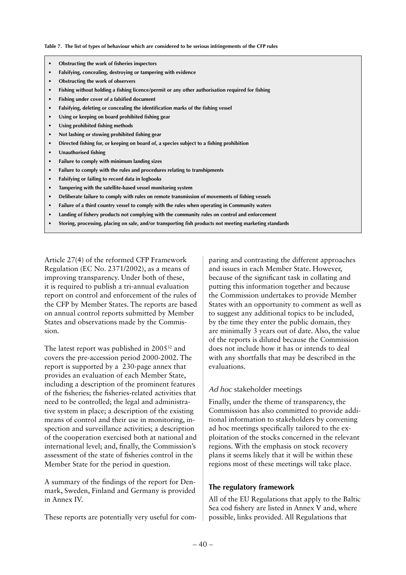#### **Table 7. The list of types of behaviour which are considered to be serious infringements of the CFP rules**

- **• Obstructing the work of fisheries inspectors**
- **• Falsifying, concealing, destroying or tampering with evidence**
- **• Obstructing the work of observers**
- **• Fishing without holding a fishing licence/permit or any other authorisation required for fishing**
- **• Fishing under cover of a falsified document**
- **• Falsifying, deleting or concealing the identification marks of the fishing vessel**
- **• Using or keeping on board prohibited fishing gear**
- **• Using prohibited fishing methods**
- **• Not lashing or stowing prohibited fishing gear**
- **• Directed fishing for, or keeping on board of, a species subject to a fishing prohibition**
- **• Unauthorised fishing**
- **• Failure to comply with minimum landing sizes**
- **• Failure to comply with the rules and procedures relating to transhipments**
- **• Falsifying or failing to record data in logbooks**
- **• Tampering with the satellite-based vessel monitoring system**
- **• Deliberate failure to comply with rules on remote transmission of movements of fishing vessels**
- **• Failure of a third country vessel to comply with the rules when operating in Community waters**
- **• Landing of fishery products not complying with the community rules on control and enforcement**
- **• Storing, processing, placing on sale, and/or transporting fish products not meeting marketing standards**

Article 27(4) of the reformed CFP Framework Regulation (EC No. 2371/2002), as a means of improving transparency. Under both of these, it is required to publish a tri-annual evaluation report on control and enforcement of the rules of the CFP by Member States. The reports are based on annual control reports submitted by Member States and observations made by the Commission.

The latest report was published in 200532 and covers the pre-accession period 2000-2002. The report is supported by a 230-page annex that provides an evaluation of each Member State, including a description of the prominent features of the fisheries; the fisheries-related activities that need to be controlled; the legal and administrative system in place; a description of the existing means of control and their use in monitoring, inspection and surveillance activities; a description of the cooperation exercised both at national and international level; and, finally, the Commission's assessment of the state of fisheries control in the Member State for the period in question.

A summary of the findings of the report for Denmark, Sweden, Finland and Germany is provided in Annex IV.

These reports are potentially very useful for com-

paring and contrasting the different approaches and issues in each Member State. However, because of the significant task in collating and putting this information together and because the Commission undertakes to provide Member States with an opportunity to comment as well as to suggest any additional topics to be included, by the time they enter the public domain, they are minimally 3 years out of date. Also, the value of the reports is diluted because the Commission does not include how it has or intends to deal with any shortfalls that may be described in the evaluations.

#### *Ad hoc* stakeholder meetings

Finally, under the theme of transparency, the Commission has also committed to provide additional information to stakeholders by convening ad hoc meetings specifically tailored to the exploitation of the stocks concerned in the relevant regions. With the emphasis on stock recovery plans it seems likely that it will be within these regions most of these meetings will take place.

#### **The regulatory framework**

All of the EU Regulations that apply to the Baltic Sea cod fishery are listed in Annex V and, where possible, links provided. All Regulations that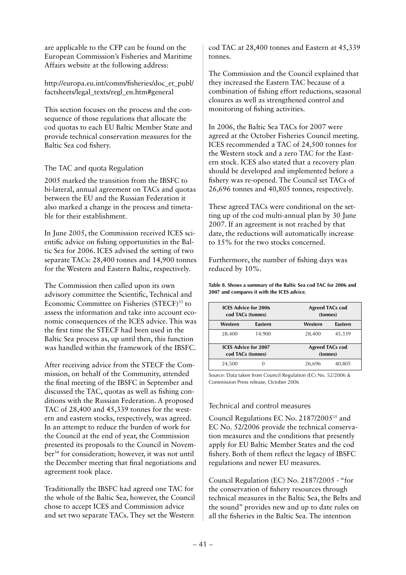are applicable to the CFP can be found on the European Commission's Fisheries and Maritime Affairs website at the following address:

http://europa.eu.int/comm/fisheries/doc\_et\_publ/ factsheets/legal\_texts/regl\_en.htm#general

This section focuses on the process and the consequence of those regulations that allocate the cod quotas to each EU Baltic Member State and provide technical conservation measures for the Baltic Sea cod fishery.

## The TAC and quota Regulation

2005 marked the transition from the IBSFC to bi-lateral, annual agreement on TACs and quotas between the EU and the Russian Federation it also marked a change in the process and timetable for their establishment.

In June 2005, the Commission received ICES scientific advice on fishing opportunities in the Baltic Sea for 2006. ICES advised the setting of two separate TACs: 28,400 tonnes and 14,900 tonnes for the Western and Eastern Baltic, respectively.

The Commission then called upon its own advisory committee the Scientific, Technical and Economic Committee on Fisheries (STECF)<sup>33</sup> to assess the information and take into account economic consequences of the ICES advice. This was the first time the STECF had been used in the Baltic Sea process as, up until then, this function was handled within the framework of the IBSFC.

After receiving advice from the STECF the Commission, on behalf of the Community, attended the final meeting of the IBSFC in September and discussed the TAC, quotas as well as fishing conditions with the Russian Federation. A proposed TAC of 28,400 and 45,339 tonnes for the western and eastern stocks, respectively, was agreed. In an attempt to reduce the burden of work for the Council at the end of year, the Commission presented its proposals to the Council in November<sup>34</sup> for consideration; however, it was not until the December meeting that final negotiations and agreement took place.

Traditionally the IBSFC had agreed one TAC for the whole of the Baltic Sea, however, the Council chose to accept ICES and Commission advice and set two separate TACs. They set the Western

cod TAC at 28,400 tonnes and Eastern at 45,339 tonnes.

The Commission and the Council explained that they increased the Eastern TAC because of a combination of fishing effort reductions, seasonal closures as well as strengthened control and monitoring of fishing activities.

In 2006, the Baltic Sea TACs for 2007 were agreed at the October Fisheries Council meeting. ICES recommended a TAC of 24,500 tonnes for the Western stock and a zero TAC for the Eastern stock. ICES also stated that a recovery plan should be developed and implemented before a fishery was re-opened. The Council set TACs of 26,696 tonnes and 40,805 tonnes, respectively.

These agreed TACs were conditional on the setting up of the cod multi-annual plan by 30 June 2007. If an agreement is not reached by that date, the reductions will automatically increase to 15% for the two stocks concerned.

Furthermore, the number of fishing days was reduced by 10%.

**Table 8. Shows a summary of the Baltic Sea cod TAC for 2006 and 2007 and compares it with the ICES advice.**

| <b>ICES Advice for 2006</b><br>cod TACs (tonnes) |         | <b>Agreed TACs cod</b><br>(tonnes) |         |  |  |
|--------------------------------------------------|---------|------------------------------------|---------|--|--|
| Western                                          | Eastern | Western                            | Eastern |  |  |
| 28,400                                           | 14,900  | 28,400                             | 45,339  |  |  |
| <b>ICES Advice for 2007</b><br>cod TACs (tonnes) |         | <b>Agreed TACs cod</b><br>(tonnes) |         |  |  |
| 24,500                                           |         | 26,696                             | 40,805  |  |  |

Source: Data taken from Council Regulation (EC) No. 52/2006 & Commission Press release, October 2006

### Technical and control measures

Council Regulations EC No. 2187/200535 and EC No. 52/2006 provide the technical conservation measures and the conditions that presently apply for EU Baltic Member States and the cod fishery. Both of them reflect the legacy of IBSFC regulations and newer EU measures.

Council Regulation (EC) No. 2187/2005 - "for the conservation of fishery resources through technical measures in the Baltic Sea, the Belts and the sound" provides new and up to date rules on all the fisheries in the Baltic Sea. The intention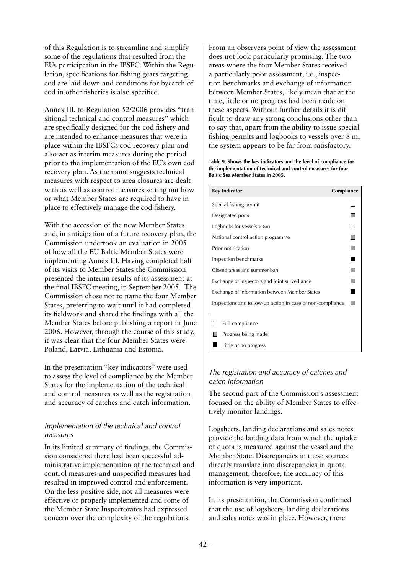of this Regulation is to streamline and simplify some of the regulations that resulted from the EUs participation in the IBSFC. Within the Regulation, specifications for fishing gears targeting cod are laid down and conditions for bycatch of cod in other fisheries is also specified.

Annex III, to Regulation 52/2006 provides "transitional technical and control measures" which are specifically designed for the cod fishery and are intended to enhance measures that were in place within the IBSFCs cod recovery plan and also act as interim measures during the period prior to the implementation of the EU's own cod recovery plan. As the name suggests technical measures with respect to area closures are dealt with as well as control measures setting out how or what Member States are required to have in place to effectively manage the cod fishery.

With the accession of the new Member States and, in anticipation of a future recovery plan, the Commission undertook an evaluation in 2005 of how all the EU Baltic Member States were implementing Annex III. Having completed half of its visits to Member States the Commission presented the interim results of its assessment at the final IBSFC meeting, in September 2005. The Commission chose not to name the four Member States, preferring to wait until it had completed its fieldwork and shared the findings with all the Member States before publishing a report in June 2006. However, through the course of this study, it was clear that the four Member States were Poland, Latvia, Lithuania and Estonia.

In the presentation "key indicators" were used to assess the level of compliance by the Member States for the implementation of the technical and control measures as well as the registration and accuracy of catches and catch information.

## *Implementation of the technical and control measures*

In its limited summary of findings, the Commission considered there had been successful administrative implementation of the technical and control measures and unspecified measures had resulted in improved control and enforcement. On the less positive side, not all measures were effective or properly implemented and some of the Member State Inspectorates had expressed concern over the complexity of the regulations.

From an observers point of view the assessment does not look particularly promising. The two areas where the four Member States received a particularly poor assessment, i.e., inspection benchmarks and exchange of information between Member States, likely mean that at the time, little or no progress had been made on these aspects. Without further details it is difficult to draw any strong conclusions other than to say that, apart from the ability to issue special fishing permits and logbooks to vessels over 8 m, the system appears to be far from satisfactory.

**Table 9. Shows the key indicators and the level of compliance for the implementation of technical and control measures for four Baltic Sea Member States in 2005.**

| <b>Key Indicator</b>                                       | Compliance     |
|------------------------------------------------------------|----------------|
| Special fishing permit                                     |                |
| Designated ports                                           | П              |
| Logbooks for vessels $> 8m$                                | $\Box$         |
| National control action programme                          | П              |
| Prior notification                                         | П              |
| Inspection benchmarks                                      | $\blacksquare$ |
| Closed areas and summer ban                                | П              |
| Exchange of inspectors and joint surveillance              | ╸              |
| Exchange of information between Member States              |                |
| Inspections and follow-up action in case of non-compliance |                |
| Full compliance                                            |                |
| Progress being made                                        |                |
| Little or no progress                                      |                |

## *The registration and accuracy of catches and catch information*

The second part of the Commission's assessment focused on the ability of Member States to effectively monitor landings.

Logsheets, landing declarations and sales notes provide the landing data from which the uptake of quota is measured against the vessel and the Member State. Discrepancies in these sources directly translate into discrepancies in quota management; therefore, the accuracy of this information is very important.

In its presentation, the Commission confirmed that the use of logsheets, landing declarations and sales notes was in place. However, there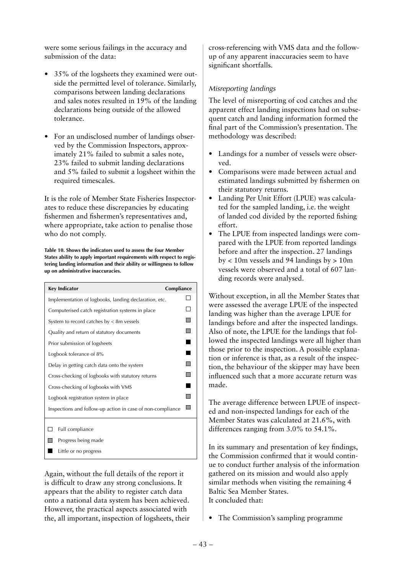were some serious failings in the accuracy and submission of the data:

- 35% of the logsheets they examined were outside the permitted level of tolerance. Similarly, comparisons between landing declarations and sales notes resulted in 19% of the landing declarations being outside of the allowed tolerance.
- For an undisclosed number of landings observed by the Commission Inspectors, approximately 21% failed to submit a sales note, 23% failed to submit landing declarations and 5% failed to submit a logsheet within the required timescales.

It is the role of Member State Fisheries Inspectorates to reduce these discrepancies by educating fishermen and fishermen's representatives and, where appropriate, take action to penalise those who do not comply.

**Table 10. Shows the indicators used to assess the four Member States ability to apply important requirements with respect to registering landing information and their ability or willingness to follow up on administrative inaccuracies.**

| <b>Key Indicator</b>                                       | Compliance |  |  |  |  |  |  |
|------------------------------------------------------------|------------|--|--|--|--|--|--|
| Implementation of logbooks, landing declaration, etc.      |            |  |  |  |  |  |  |
| Computerised catch registration systems in place           |            |  |  |  |  |  |  |
| System to record catches by $\lt$ 8m vessels               |            |  |  |  |  |  |  |
| Quality and return of statutory documents                  |            |  |  |  |  |  |  |
| Prior submission of logsheets                              |            |  |  |  |  |  |  |
| Logbook tolerance of 8%                                    |            |  |  |  |  |  |  |
| Delay in getting catch data onto the system                |            |  |  |  |  |  |  |
| Cross-checking of logbooks with statutory returns          |            |  |  |  |  |  |  |
| Cross-checking of logbooks with VMS                        |            |  |  |  |  |  |  |
| Logbook registration system in place                       |            |  |  |  |  |  |  |
| Inspections and follow-up action in case of non-compliance |            |  |  |  |  |  |  |
|                                                            |            |  |  |  |  |  |  |
| Full compliance                                            |            |  |  |  |  |  |  |
| Progress being made                                        |            |  |  |  |  |  |  |
| Little or no progress                                      |            |  |  |  |  |  |  |

Again, without the full details of the report it is difficult to draw any strong conclusions. It appears that the ability to register catch data onto a national data system has been achieved. However, the practical aspects associated with the, all important, inspection of logsheets, their cross-referencing with VMS data and the followup of any apparent inaccuracies seem to have significant shortfalls.

## *Misreporting landings*

The level of misreporting of cod catches and the apparent effect landing inspections had on subsequent catch and landing information formed the final part of the Commission's presentation. The methodology was described:

- Landings for a number of vessels were observed.
- Comparisons were made between actual and estimated landings submitted by fishermen on their statutory returns.
- Landing Per Unit Effort (LPUE) was calculated for the sampled landing, i.e. the weight of landed cod divided by the reported fishing effort.
- The LPUE from inspected landings were compared with the LPUE from reported landings before and after the inspection. 27 landings  $bv < 10m$  vessels and 94 landings  $bv > 10m$ vessels were observed and a total of 607 landing records were analysed.

Without exception, in all the Member States that were assessed the average LPUE of the inspected landing was higher than the average LPUE for landings before and after the inspected landings. Also of note, the LPUE for the landings that followed the inspected landings were all higher than those prior to the inspection. A possible explanation or inference is that, as a result of the inspection, the behaviour of the skipper may have been influenced such that a more accurate return was made.

The average difference between LPUE of inspected and non-inspected landings for each of the Member States was calculated at 21.6%, with differences ranging from 3.0% to 54.1%.

In its summary and presentation of key findings, the Commission confirmed that it would continue to conduct further analysis of the information gathered on its mission and would also apply similar methods when visiting the remaining 4 Baltic Sea Member States. It concluded that:

• The Commission's sampling programme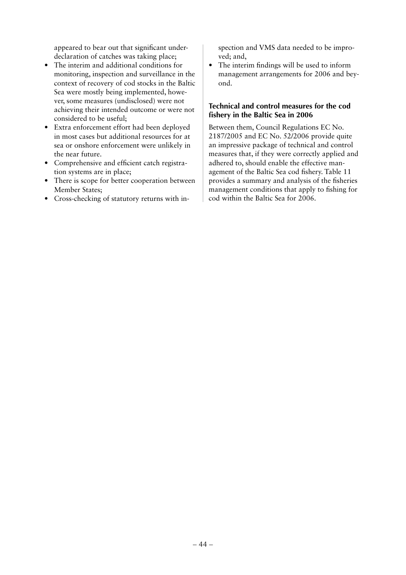appeared to bear out that significant underdeclaration of catches was taking place;

- The interim and additional conditions for monitoring, inspection and surveillance in the context of recovery of cod stocks in the Baltic Sea were mostly being implemented, however, some measures (undisclosed) were not achieving their intended outcome or were not considered to be useful;
- Extra enforcement effort had been deployed in most cases but additional resources for at sea or onshore enforcement were unlikely in the near future.
- Comprehensive and efficient catch registration systems are in place;
- There is scope for better cooperation between Member States;
- Cross-checking of statutory returns with in-

spection and VMS data needed to be improved; and,

• The interim findings will be used to inform management arrangements for 2006 and beyond.

## **Technical and control measures for the cod fishery in the Baltic Sea in 2006**

Between them, Council Regulations EC No. 2187/2005 and EC No. 52/2006 provide quite an impressive package of technical and control measures that, if they were correctly applied and adhered to, should enable the effective management of the Baltic Sea cod fishery. Table 11 provides a summary and analysis of the fisheries management conditions that apply to fishing for cod within the Baltic Sea for 2006.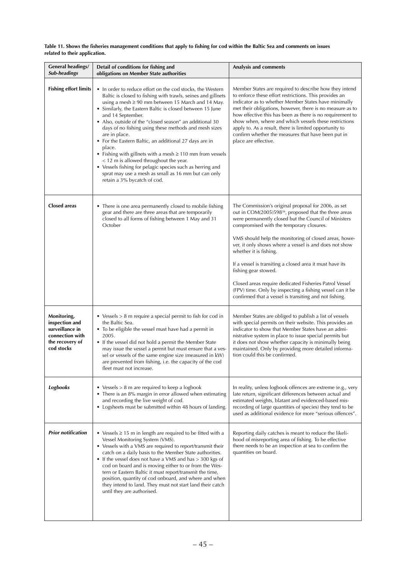| Table 11. Shows the fisheries management conditions that apply to fishing for cod within the Baltic Sea and comments on issues |  |
|--------------------------------------------------------------------------------------------------------------------------------|--|
| related to their application.                                                                                                  |  |

| <b>General headings/</b><br>Sub-headings                                                             | Detail of conditions for fishing and<br>obligations on Member State authorities                                                                                                                                                                                                                                                                                                                                                                                                                                                                                                                                                                                                                                                                | Analysis and comments                                                                                                                                                                                                                                                                                                                                                                                                                                                                                                                                                                                                                          |
|------------------------------------------------------------------------------------------------------|------------------------------------------------------------------------------------------------------------------------------------------------------------------------------------------------------------------------------------------------------------------------------------------------------------------------------------------------------------------------------------------------------------------------------------------------------------------------------------------------------------------------------------------------------------------------------------------------------------------------------------------------------------------------------------------------------------------------------------------------|------------------------------------------------------------------------------------------------------------------------------------------------------------------------------------------------------------------------------------------------------------------------------------------------------------------------------------------------------------------------------------------------------------------------------------------------------------------------------------------------------------------------------------------------------------------------------------------------------------------------------------------------|
| <b>Fishing effort limits</b>                                                                         | • In order to reduce effort on the cod stocks, the Western<br>Baltic is closed to fishing with trawls, seines and gillnets<br>using a mesh $\geq 90$ mm between 15 March and 14 May.<br>• Similarly, the Eastern Baltic is closed between 15 June<br>and 14 September.<br>• Also, outside of the "closed season" an additional 30<br>days of no fishing using these methods and mesh sizes<br>are in place.<br>• For the Eastern Baltic, an additional 27 days are in<br>place.<br>• Fishing with gillnets with a mesh $\geq 110$ mm from vessels<br>< 12 m is allowed throughout the year.<br>• Vessels fishing for pelagic species such as herring and<br>sprat may use a mesh as small as 16 mm but can only<br>retain a 3% bycatch of cod. | Member States are required to describe how they intend<br>to enforce these effort restrictions. This provides an<br>indicator as to whether Member States have minimally<br>met their obligations, however, there is no measure as to<br>how effective this has been as there is no requirement to<br>show when, where and which vessels these restrictions<br>apply to. As a result, there is limited opportunity to<br>confirm whether the measures that have been put in<br>place are effective.                                                                                                                                            |
| <b>Closed areas</b>                                                                                  | • There is one area permanently closed to mobile fishing<br>gear and there are three areas that are temporarily<br>closed to all forms of fishing between 1 May and 31<br>October                                                                                                                                                                                                                                                                                                                                                                                                                                                                                                                                                              | The Commission's original proposal for 2006, as set<br>out in COM(2005)598 <sup>36</sup> , proposed that the three areas<br>were permanently closed but the Council of Ministers<br>compromised with the temporary closures.<br>VMS should help the monitoring of closed areas, howe-<br>ver, it only shows where a vessel is and does not show<br>whether it is fishing.<br>If a vessel is transiting a closed area it must have its<br>fishing gear stowed.<br>Closed areas require dedicated Fisheries Patrol Vessel<br>(FPV) time. Only by inspecting a fishing vessel can it be<br>confirmed that a vessel is transiting and not fishing. |
| Monitoring,<br>inspection and<br>surveillance in<br>connection with<br>the recovery of<br>cod stocks | • Vessels $> 8$ m require a special permit to fish for cod in<br>the Baltic Sea.<br>• To be eligible the vessel must have had a permit in<br>2005.<br>• If the vessel did not hold a permit the Member State<br>may issue the vessel a permit but must ensure that a ves-<br>sel or vessels of the same engine size (measured in kW)<br>are prevented from fishing, i.e. the capacity of the cod<br>fleet must not increase.                                                                                                                                                                                                                                                                                                                   | Member States are obliged to publish a list of vessels<br>with special permits on their website. This provides an<br>indicator to show that Member States have an admi-<br>nistrative system in place to issue special permits but<br>it does not show whether capacity is minimally being<br>maintained. Only by providing more detailed informa-<br>tion could this be confirmed.                                                                                                                                                                                                                                                            |
| <b>Logbooks</b>                                                                                      | • Vessels $> 8$ m are required to keep a logbook<br>• There is an 8% margin in error allowed when estimating<br>and recording the live weight of cod.<br>• Logsheets must be submitted within 48 hours of landing.                                                                                                                                                                                                                                                                                                                                                                                                                                                                                                                             | In reality, unless logbook offences are extreme (e.g., very<br>late return, significant differences between actual and<br>estimated weights, blatant and evidenced-based mis-<br>recording of large quantities of species) they tend to be<br>used as additional evidence for more "serious offences".                                                                                                                                                                                                                                                                                                                                         |
| <b>Prior notification</b>                                                                            | • Vessels $\geq$ 15 m in length are required to be fitted with a<br>Vessel Monitoring System (VMS).<br>• Vessels with a VMS are required to report/transmit their<br>catch on a daily basis to the Member State authorities.<br>• If the vessel does not have a VMS and has > 300 kgs of<br>cod on board and is moving either to or from the Wes-<br>tern or Eastern Baltic it must report/transmit the time,<br>position, quantity of cod onboard, and where and when<br>they intend to land. They must not start land their catch<br>until they are authorised.                                                                                                                                                                              | Reporting daily catches is meant to reduce the likeli-<br>hood of misreporting area of fishing. To be effective<br>there needs to be an inspection at sea to confirm the<br>quantities on board.                                                                                                                                                                                                                                                                                                                                                                                                                                               |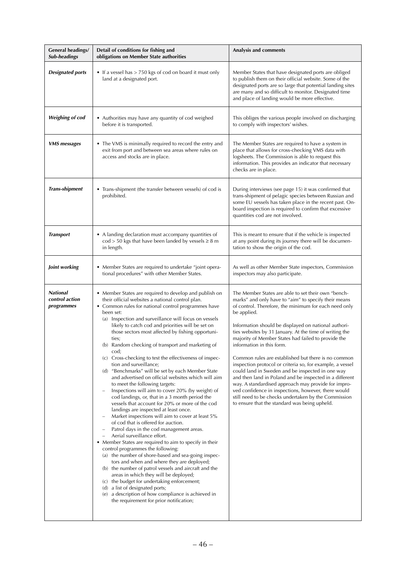| <b>General headings/</b><br><b>Sub-headings</b> | Detail of conditions for fishing and<br>obligations on Member State authorities                                                                                                                                                                                                                                                                                                                                                                                                                                                                                                                                                                                                                                                                                                                                                                                                                                                                                                                                                                                                                                                                                                                                                                                                                                                                                                                                                                                                                                             | Analysis and comments                                                                                                                                                                                                                                                                                                                                                                                                                                                                                                                                                                                                                                                                                                                                                                                                                                |
|-------------------------------------------------|-----------------------------------------------------------------------------------------------------------------------------------------------------------------------------------------------------------------------------------------------------------------------------------------------------------------------------------------------------------------------------------------------------------------------------------------------------------------------------------------------------------------------------------------------------------------------------------------------------------------------------------------------------------------------------------------------------------------------------------------------------------------------------------------------------------------------------------------------------------------------------------------------------------------------------------------------------------------------------------------------------------------------------------------------------------------------------------------------------------------------------------------------------------------------------------------------------------------------------------------------------------------------------------------------------------------------------------------------------------------------------------------------------------------------------------------------------------------------------------------------------------------------------|------------------------------------------------------------------------------------------------------------------------------------------------------------------------------------------------------------------------------------------------------------------------------------------------------------------------------------------------------------------------------------------------------------------------------------------------------------------------------------------------------------------------------------------------------------------------------------------------------------------------------------------------------------------------------------------------------------------------------------------------------------------------------------------------------------------------------------------------------|
| <b>Designated ports</b>                         | • If a vessel has > 750 kgs of cod on board it must only<br>land at a designated port.                                                                                                                                                                                                                                                                                                                                                                                                                                                                                                                                                                                                                                                                                                                                                                                                                                                                                                                                                                                                                                                                                                                                                                                                                                                                                                                                                                                                                                      | Member States that have designated ports are obliged<br>to publish them on their official website. Some of the<br>designated ports are so large that potential landing sites<br>are many and so difficult to monitor. Designated time<br>and place of landing would be more effective.                                                                                                                                                                                                                                                                                                                                                                                                                                                                                                                                                               |
| <b>Weighing of cod</b>                          | • Authorities may have any quantity of cod weighed<br>before it is transported.                                                                                                                                                                                                                                                                                                                                                                                                                                                                                                                                                                                                                                                                                                                                                                                                                                                                                                                                                                                                                                                                                                                                                                                                                                                                                                                                                                                                                                             | This obliges the various people involved on discharging<br>to comply with inspectors' wishes.                                                                                                                                                                                                                                                                                                                                                                                                                                                                                                                                                                                                                                                                                                                                                        |
| <b>VMS</b> messages                             | • The VMS is minimally required to record the entry and<br>exit from port and between sea areas where rules on<br>access and stocks are in place.                                                                                                                                                                                                                                                                                                                                                                                                                                                                                                                                                                                                                                                                                                                                                                                                                                                                                                                                                                                                                                                                                                                                                                                                                                                                                                                                                                           | The Member States are required to have a system in<br>place that allows for cross-checking VMS data with<br>logsheets. The Commission is able to request this<br>information. This provides an indicator that necessary<br>checks are in place.                                                                                                                                                                                                                                                                                                                                                                                                                                                                                                                                                                                                      |
| <b>Trans-shipment</b>                           | • Trans-shipment (the transfer between vessels) of cod is<br>prohibited.                                                                                                                                                                                                                                                                                                                                                                                                                                                                                                                                                                                                                                                                                                                                                                                                                                                                                                                                                                                                                                                                                                                                                                                                                                                                                                                                                                                                                                                    | During interviews (see page 15) it was confirmed that<br>trans-shipment of pelagic species between Russian and<br>some EU vessels has taken place in the recent past. On-<br>board inspection is required to confirm that excessive<br>quantities cod are not involved.                                                                                                                                                                                                                                                                                                                                                                                                                                                                                                                                                                              |
| <b>Transport</b>                                | • A landing declaration must accompany quantities of<br>$\text{cod} > 50$ kgs that have been landed by vessels $\geq 8$ m<br>in length.                                                                                                                                                                                                                                                                                                                                                                                                                                                                                                                                                                                                                                                                                                                                                                                                                                                                                                                                                                                                                                                                                                                                                                                                                                                                                                                                                                                     | This is meant to ensure that if the vehicle is inspected<br>at any point during its journey there will be documen-<br>tation to show the origin of the cod.                                                                                                                                                                                                                                                                                                                                                                                                                                                                                                                                                                                                                                                                                          |
| Joint working                                   | • Member States are required to undertake "joint opera-<br>tional procedures" with other Member States.                                                                                                                                                                                                                                                                                                                                                                                                                                                                                                                                                                                                                                                                                                                                                                                                                                                                                                                                                                                                                                                                                                                                                                                                                                                                                                                                                                                                                     | As well as other Member State inspectors, Commission<br>inspectors may also participate.                                                                                                                                                                                                                                                                                                                                                                                                                                                                                                                                                                                                                                                                                                                                                             |
| <b>National</b><br>control action<br>programmes | • Member States are required to develop and publish on<br>their official websites a national control plan.<br>• Common rules for national control programmes have<br>been set:<br>(a) Inspection and surveillance will focus on vessels<br>likely to catch cod and priorities will be set on<br>those sectors most affected by fishing opportuni-<br>ties;<br>(b) Random checking of transport and marketing of<br>cod;<br>(c) Cross-checking to test the effectiveness of inspec-<br>tion and surveillance;<br>(d) "Benchmarks" will be set by each Member State<br>and advertised on official websites which will aim<br>to meet the following targets:<br>Inspections will aim to cover 20% (by weight) of<br>cod landings, or, that in a 3 month period the<br>vessels that account for 20% or more of the cod<br>landings are inspected at least once.<br>Market inspections will aim to cover at least 5%<br>of cod that is offered for auction.<br>Patrol days in the cod management areas.<br>Aerial surveillance effort.<br>• Member States are required to aim to specify in their<br>control programmes the following:<br>(a) the number of shore-based and sea-going inspec-<br>tors and when and where they are deployed;<br>(b) the number of patrol vessels and aircraft and the<br>areas in which they will be deployed;<br>(c) the budget for undertaking enforcement;<br>(d) a list of designated ports;<br>(e) a description of how compliance is achieved in<br>the requirement for prior notification; | The Member States are able to set their own "bench-<br>marks" and only have to "aim" to specify their means<br>of control. Therefore, the minimum for each need only<br>be applied.<br>Information should be displayed on national authori-<br>ties websites by 31 January. At the time of writing the<br>majority of Member States had failed to provide the<br>information in this form.<br>Common rules are established but there is no common<br>inspection protocol or criteria so, for example, a vessel<br>could land in Sweden and be inspected in one way<br>and then land in Poland and be inspected in a different<br>way. A standardised approach may provide for impro-<br>ved confidence in inspections, however, there would<br>still need to be checks undertaken by the Commission<br>to ensure that the standard was being upheld. |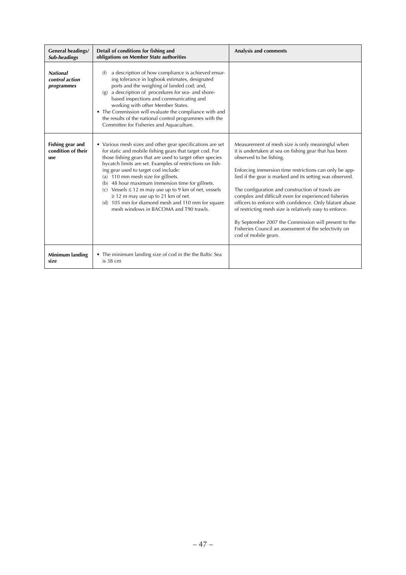| <b>General headings/</b><br>Sub-headings        | Detail of conditions for fishing and<br>obligations on Member State authorities                                                                                                                                                                                                                                                                                                                                                                                                                                                                                                            | Analysis and comments                                                                                                                                                                                                                                                                                                                                                                                                                                                                                                                                                                                                                 |
|-------------------------------------------------|--------------------------------------------------------------------------------------------------------------------------------------------------------------------------------------------------------------------------------------------------------------------------------------------------------------------------------------------------------------------------------------------------------------------------------------------------------------------------------------------------------------------------------------------------------------------------------------------|---------------------------------------------------------------------------------------------------------------------------------------------------------------------------------------------------------------------------------------------------------------------------------------------------------------------------------------------------------------------------------------------------------------------------------------------------------------------------------------------------------------------------------------------------------------------------------------------------------------------------------------|
| <b>National</b><br>control action<br>programmes | a description of how compliance is achieved ensur-<br>(f)<br>ing tolerance in logbook estimates, designated<br>ports and the weighing of landed cod; and,<br>a description of procedures for sea- and shore-<br>(g)<br>based inspections and communicating and<br>working with other Member States.<br>• The Commission will evaluate the compliance with and<br>the results of the national control programmes with the<br>Committee for Fisheries and Aquaculture.                                                                                                                       |                                                                                                                                                                                                                                                                                                                                                                                                                                                                                                                                                                                                                                       |
| Fishing gear and<br>condition of their<br>use   | • Various mesh sizes and other gear specifications are set<br>for static and mobile fishing gears that target cod. For<br>those fishing gears that are used to target other species<br>bycatch limits are set. Examples of restrictions on fish-<br>ing gear used to target cod include:<br>(a) 110 mm mesh size for gillnets.<br>(b) 48 hour maximum immersion time for gillnets.<br>(c) Vessels $\leq 12$ m may use up to 9 km of net, vessels<br>$\geq$ 12 m may use up to 21 km of net.<br>(d) 105 mm for diamond mesh and 110 mm for square<br>mesh windows in BACOMA and T90 trawls. | Measurement of mesh size is only meaningful when<br>it is undertaken at sea on fishing gear that has been<br>observed to be fishing.<br>Enforcing immersion time restrictions can only be app-<br>lied if the gear is marked and its setting was observed.<br>The configuration and construction of trawls are<br>complex and difficult even for experienced fisheries<br>officers to enforce with confidence. Only blatant abuse<br>of restricting mesh size is relatively easy to enforce.<br>By September 2007 the Commission will present to the<br>Fisheries Council an assessment of the selectivity on<br>cod of mobile gears. |
| Minimum landing<br>size                         | • The minimum landing size of cod in the the Baltic Sea<br>is 38 cm                                                                                                                                                                                                                                                                                                                                                                                                                                                                                                                        |                                                                                                                                                                                                                                                                                                                                                                                                                                                                                                                                                                                                                                       |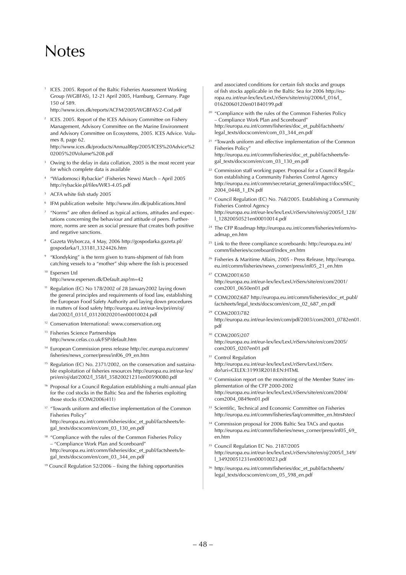## Notes

1 ICES. 2005. Report of the Baltic Fisheries Assessment Working Group (WGBFAS), 12-21 April 2005, Hamburg, Germany. Page 150 of 589.

http://www.ices.dk/reports/ACFM/2005/WGBFAS/2-Cod.pdf

<sup>2</sup> ICES. 2005. Report of the ICES Advisory Committee on Fishery Management, Advisory Committee on the Marine Environment and Advisory Committee on Ecosystems, 2005. ICES Advice. Volumes 8, page 62. http://www.ices.dk/products/AnnualRep/2005/ICES%20Advice%2

02005%20Volume%208.pdf

- 3 Owing to the delay in data collation, 2005 is the most recent year for which complete data is available
- <sup>4</sup> "Wiadomosci Rybackie" (Fisheries News) March April 2005 http://rybackie.pl/files/WR3-4.05.pdf
- <sup>5</sup> ACFA white fish study 2005
- 6 IFM publication website http://www.ifm.dk/publications.html
- $7$  "Norms" are often defined as typical actions, attitudes and expectations concerning the behaviour and attitude of peers. Furthermore, norms are seen as social pressure that creates both positive and negative sanctions.
- <sup>8</sup> Gazeta Wyborcza, 4 May, 2006 http://gospodarka.gazeta.pl/ gospodarka/1,33181,3324426.htm
- "Klondyking" is the term given to trans-shipment of fish from catching vessels to a "mother" ship where the fish is processed
- <sup>10</sup> Espersen Ltd http://www.espersen.dk/Default.asp?m=42
- <sup>11</sup> Regulation (EC) No 178/2002 of 28 January2002 laying down the general principles and requirements of food law, establishing the European Food Safety Authority and laying down procedures in matters of food safety http://europa.eu.int/eur-lex/pri/en/oj/ dat/2002/l\_031/l\_03120020201en00010024.pdf
- 12 Conservation International: www.conservation.org
- <sup>13</sup> Fisheries Science Partnerships http://www.cefas.co.uk/FSP/default.htm
- 14 European Commission press release http://ec.europa.eu/comm/ fisheries/news\_corner/press/inf06\_09\_en.htm
- <sup>15</sup> Regulation (EC) No. 2371/2002, on the conservation and sustainable exploitation of fisheries resources http://europa.eu.int/eur-lex/ pri/en/oj/dat/2002/l\_358/l\_35820021231en00590080.pdf
- <sup>16</sup> Proposal for a Council Regulation establishing a multi-annual plan for the cod stocks in the Baltic Sea and the fisheries exploiting those stocks (COM(2006)411)
- <sup>17</sup> "Towards uniform and effective implementation of the Common Fisheries Policy" http://europa.eu.int/comm/fisheries/doc\_et\_publ/factsheets/legal\_texts/docscom/en/com\_03\_130\_en.pdf
- <sup>18</sup> "Compliance with the rules of the Common Fisheries Policy – "Compliance Work Plan and Scoreboard" http://europa.eu.int/comm/fisheries/doc\_et\_publ/factsheets/legal\_texts/docscom/en/com\_03\_344\_en.pdf
- 19 Council Regulation 52/2006 fixing the fishing opportunities

and associated conditions for certain fish stocks and groups of fish stocks applicable in the Baltic Sea for 2006 http://europa.eu.int/eur-lex/lex/LexUriServ/site/en/oj/2006/l\_016/l\_ 01620060120en01840199.pdf

- <sup>20</sup> "Compliance with the rules of the Common Fisheries Policy – Compliance Work Plan and Scoreboard" http://europa.eu.int/comm/fisheries/doc\_et\_publ/factsheets/ legal\_texts/docscom/en/com\_03\_344\_en.pdf
- <sup>21</sup> "Towards uniform and effective implementation of the Common Fisheries Policy" http://europa.eu.int/comm/fisheries/doc\_et\_publ/factsheets/legal\_texts/docscom/en/com\_03\_130\_en.pdf
- <sup>22</sup> Commission staff working paper. Proposal for a Council Regulation establishing a Community Fisheries Control Agency http://europa.eu.int/comm/secretariat\_general/impact/docs/SEC\_ 2004\_0448\_1\_EN.pdf
- <sup>23</sup> Council Regulation (EC) No. 768/2005. Establishing a Community Fisheries Control Agency http://europa.eu.int/eur-lex/lex/LexUriServ/site/en/oj/2005/l\_128/ l\_12820050521en00010014.pdf
- <sup>24</sup> The CFP Roadmap http://europa.eu.int/comm/fisheries/reform/roadmap\_en.htm
- 25 Link to the three compliance scoreboards: http://europa.eu.int/ comm/fisheries/scoreboard/index\_en.htm
- <sup>26</sup> Fisheries & Maritime Affairs, 2005 Press Release, http://europa. eu.int/comm/fisheries/news\_corner/press/inf05\_21\_en.htm
- <sup>27</sup> COM(2001)650 http://europa.eu.int/eur-lex/lex/LexUriServ/site/en/com/2001/ com2001\_0650en01.pdf
- <sup>28</sup> COM(2002)687 http://europa.eu.int/comm/fisheries/doc\_et\_publ/ factsheets/legal\_texts/docscom/en/com\_02\_687\_en.pdf
- <sup>29</sup> COM(2003)782 http://europa.eu.int/eur-lex/en/com/pdf/2003/com2003\_0782en01. pdf
- <sup>30</sup> COM(2005)207 http://europa.eu.int/eur-lex/lex/LexUriServ/site/en/com/2005/ com2005\_0207en01.pdf
- Control Regulation http://europa.eu.int/eur-lex/lex/LexUriServ/LexUriServ. do?uri=CELEX:31993R2018:EN:HTML
- $32$  Commission report on the monitoring of the Member States' implementation of the CFP 2000-2002 http://europa.eu.int/eur-lex/lex/LexUriServ/site/en/com/2004/ com2004\_0849en01.pdf
- <sup>33</sup> Scientific, Technical and Economic Committee on Fisheries http://europa.eu.int/comm/fisheries/faq/committee\_en.htm#stecf
- 34 Commission proposal for 2006 Baltic Sea TACs and quotas http://europa.eu.int/comm/fisheries/news\_corner/press/inf05\_69\_ en.htm
- <sup>35</sup> Council Regulation EC No. 2187/2005 http://europa.eu.int/eur-lex/lex/LexUriServ/site/en/oj/2005/l\_349/ l\_34920051231en00010023.pdf
- <sup>36</sup> http://europa.eu.int/comm/fisheries/doc\_et\_publ/factsheets/ legal\_texts/docscom/en/com\_05\_598\_en.pdf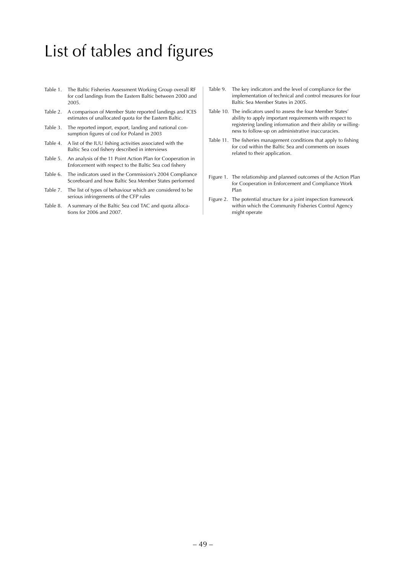## List of tables and figures

- Table 1. The Baltic Fisheries Assessment Working Group overall RF for cod landings from the Eastern Baltic between 2000 and 2005.
- Table 2. A comparison of Member State reported landings and ICES estimates of unallocated quota for the Eastern Baltic.
- Table 3. The reported import, export, landing and national consumption figures of cod for Poland in 2003
- Table 4. A list of the IUU fishing activities associated with the Baltic Sea cod fishery described in interviews
- Table 5. An analysis of the 11 Point Action Plan for Cooperation in Enforcement with respect to the Baltic Sea cod fishery
- Table 6. The indicators used in the Commission's 2004 Compliance Scoreboard and how Baltic Sea Member States performed
- Table 7. The list of types of behaviour which are considered to be serious infringements of the CFP rules
- Table 8. A summary of the Baltic Sea cod TAC and quota allocations for 2006 and 2007.
- Table 9. The key indicators and the level of compliance for the implementation of technical and control measures for four Baltic Sea Member States in 2005.
- Table 10. The indicators used to assess the four Member States' ability to apply important requirements with respect to registering landing information and their ability or willingness to follow-up on administrative inaccuracies.
- Table 11. The fisheries management conditions that apply to fishing for cod within the Baltic Sea and comments on issues related to their application.
- Figure 1. The relationship and planned outcomes of the Action Plan for Cooperation in Enforcement and Compliance Work Plan
- Figure 2. The potential structure for a joint inspection framework within which the Community Fisheries Control Agency might operate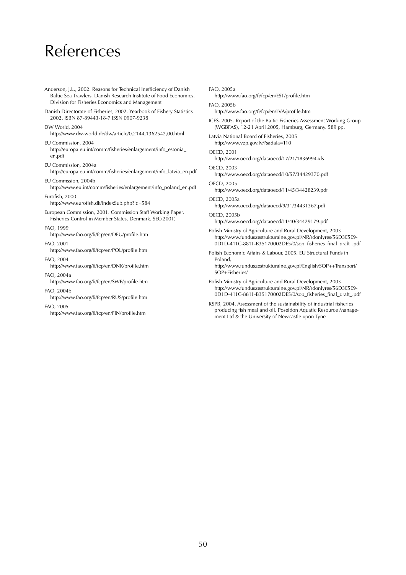## References

- Anderson, J.L., 2002. Reasons for Technical Inefficiency of Danish Baltic Sea Trawlers. Danish Research Institute of Food Economics. Division for Fisheries Economics and Management
- Danish Directorate of Fisheries, 2002. Yearbook of Fishery Statistics 2002. ISBN 87-89443-18-7 ISSN 0907-9238

### DW World, 2004

http://www.dw-world.de/dw/article/0,2144,1362542,00.html

#### EU Commission, 2004 http://europa.eu.int/comm/fisheries/enlargement/info\_estonia\_ en.pdf

EU Commission, 2004a

http://europa.eu.int/comm/fisheries/enlargement/info\_latvia\_en.pdf

EU Commssion, 2004b http://www.eu.int/comm/fisheries/enlargement/info\_poland\_en.pdf

## Eurofish, 2000

http://www.eurofish.dk/indexSub.php?id=584

European Commission, 2001. Commission Staff Working Paper, Fisheries Control in Member States, Denmark. SEC(2001)

#### FAO, 1999

http://www.fao.org/fi/fcp/en/DEU/profile.htm

#### FAO, 2001

http://www.fao.org/fi/fcp/en/POL/profile.htm

#### FAO, 2004

http://www.fao.org/fi/fcp/en/DNK/profile.htm

#### FAO, 2004a

http://www.fao.org/fi/fcp/en/SWE/profile.htm

#### FAO, 2004b

http://www.fao.org/fi/fcp/en/RUS/profile.htm

#### FAO, 2005

http://www.fao.org/fi/fcp/en/FIN/profile.htm

#### FAO, 2005a

http://www.fao.org/fi/fcp/en/EST/profile.htm

#### FAO, 2005b

http://www.fao.org/fi/fcp/en/LVA/profile.htm

ICES, 2005. Report of the Baltic Fisheries Assessment Working Group (WGBFAS), 12-21 April 2005, Hamburg, Germany. 589 pp.

#### Latvia National Board of Fisheries, 2005

http://www.vzp.gov.lv/?sadala=110

### OECD, 2001

http://www.oecd.org/dataoecd/17/21/1836994.xls

#### OECD, 2003

http://www.oecd.org/dataoecd/10/57/34429370.pdf

#### OECD, 2005

http://www.oecd.org/dataoecd/11/45/34428239.pdf

#### OECD, 2005a

http://www.oecd.org/dataoecd/9/31/34431367.pdf OECD, 2005b

http://www.oecd.org/dataoecd/11/40/34429179.pdf

Polish Ministry of Agriculture and Rural Development, 2003 http://www.funduszestrukturalne.gov.pl/NR/rdonlyres/56D3E5E9- 0D1D-411C-8811-B35170002DE5/0/sop\_fisheries\_final\_draft\_.pdf

Polish Economic Affairs & Labour, 2005. EU Structural Funds in Poland,

http://www.funduszestrukturalne.gov.pl/English/SOP++Transport/ SOP+Fisheries/

Polish Ministry of Agriculture and Rural Development, 2003. http://www.funduszestrukturalne.gov.pl/NR/rdonlyres/56D3E5E9- 0D1D-411C-8811-B35170002DE5/0/sop\_fisheries\_final\_draft\_.pdf

RSPB, 2004. Assessment of the sustainability of industrial fisheries producing fish meal and oil. Poseidon Aquatic Resource Management Ltd & the University of Newcastle upon Tyne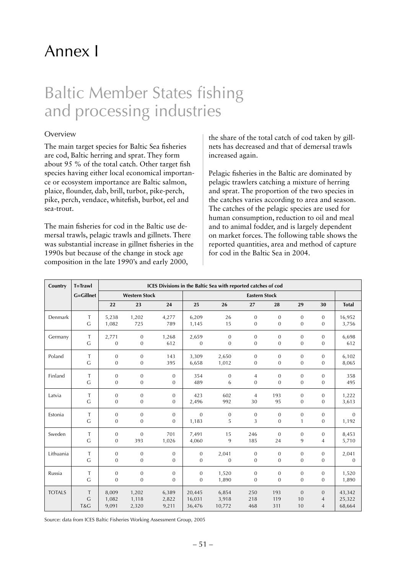## Annex I

## Baltic Member States fishing and processing industries

## Overview

The main target species for Baltic Sea fisheries are cod, Baltic herring and sprat. They form about 95 % of the total catch. Other target fish species having either local economical importance or ecosystem importance are Baltic salmon, plaice, flounder, dab, brill, turbot, pike-perch, pike, perch, vendace, whitefish, burbot, eel and sea-trout.

The main fisheries for cod in the Baltic use demersal trawls, pelagic trawls and gillnets. There was substantial increase in gillnet fisheries in the 1990s but because of the change in stock age composition in the late 1990's and early 2000,

the share of the total catch of cod taken by gillnets has decreased and that of demersal trawls increased again.

Pelagic fisheries in the Baltic are dominated by pelagic trawlers catching a mixture of herring and sprat. The proportion of the two species in the catches varies according to area and season. The catches of the pelagic species are used for human consumption, reduction to oil and meal and to animal fodder, and is largely dependent on market forces. The following table shows the reported quantities, area and method of capture for cod in the Baltic Sea in 2004.

| Country       | T=Trawl          | ICES Divisions in the Baltic Sea with reported catches of cod |                      |                  |                |                  |                      |                |              |                  |              |
|---------------|------------------|---------------------------------------------------------------|----------------------|------------------|----------------|------------------|----------------------|----------------|--------------|------------------|--------------|
|               | <b>G=Gillnet</b> |                                                               | <b>Western Stock</b> |                  |                |                  | <b>Eastern Stock</b> |                |              |                  |              |
|               |                  | 22                                                            | 23                   | 24               | 25             | 26               | 27                   | 28             | 29           | 30               | <b>Total</b> |
| Denmark       | T                | 5,238                                                         | 1,202                | 4,277            | 6,209          | 26               | $\mathbf{0}$         | $\mathbf{0}$   | $\mathbf{0}$ | $\mathbf{0}$     | 16,952       |
|               | $\mathsf{G}$     | 1,082                                                         | 725                  | 789              | 1,145          | 15               | $\mathbf{0}$         | $\mathbf{0}$   | $\mathbf{0}$ | $\mathbf{0}$     | 3,756        |
| Germany       | Т                | 2,771                                                         | $\boldsymbol{0}$     | 1,268            | 2,659          | $\mathbf{0}$     | $\mathbf{0}$         | $\mathbf{0}$   | $\mathbf{0}$ | $\mathbf{0}$     | 6,698        |
|               | G                | $\mathbf{0}$                                                  | $\boldsymbol{0}$     | 612              | $\mathbf{0}$   | $\boldsymbol{0}$ | $\mathbf{0}$         | $\overline{0}$ | $\mathbf{0}$ | $\mathbf{0}$     | 612          |
| Poland        | T                | $\mathbf{0}$                                                  | $\overline{0}$       | 143              | 3,309          | 2,650            | $\overline{0}$       | $\overline{0}$ | $\Omega$     | $\mathbf{0}$     | 6,102        |
|               | $\mathsf{G}$     | $\mathbf{0}$                                                  | $\boldsymbol{0}$     | 395              | 6,658          | 1,012            | $\mathbf{0}$         | $\mathbf{0}$   | $\mathbf{0}$ | $\mathbf{0}$     | 8,065        |
| Finland       | $\mathsf T$      | $\mathbf{0}$                                                  | $\mathbf{0}$         | $\boldsymbol{0}$ | 354            | $\boldsymbol{0}$ | 4                    | $\mathbf{0}$   | $\mathbf{0}$ | $\mathbf{0}$     | 358          |
|               | $\mathsf{G}$     | $\overline{0}$                                                | $\overline{0}$       | $\mathbf{0}$     | 489            | 6                | $\mathbf{0}$         | $\overline{0}$ | $\mathbf{0}$ | $\mathbf{0}$     | 495          |
| Latvia        | T                | $\mathbf{0}$                                                  | $\overline{0}$       | $\mathbf{0}$     | 423            | 602              | $\overline{4}$       | 193            | $\mathbf{0}$ | $\mathbf{0}$     | 1,222        |
|               | G                | $\mathbf{0}$                                                  | $\boldsymbol{0}$     | $\mathbf{0}$     | 2,496          | 992              | 30                   | 95             | $\mathbf 0$  | $\boldsymbol{0}$ | 3,613        |
| Estonia       | T                | $\mathbf{0}$                                                  | $\boldsymbol{0}$     | $\boldsymbol{0}$ | $\mathbf{0}$   | $\mathbf{0}$     | $\mathbf{0}$         | $\mathbf{0}$   | $\mathbf{0}$ | $\mathbf{0}$     | $\mathbf{0}$ |
|               | $\mathsf{G}$     | $\mathbf{0}$                                                  | $\boldsymbol{0}$     | $\boldsymbol{0}$ | 1,183          | 5                | 3                    | $\overline{0}$ | 1            | $\mathbf{0}$     | 1,192        |
| Sweden        | T                | $\mathbf{0}$                                                  | $\mathbf{0}$         | 701              | 7,491          | 15               | 246                  | $\overline{0}$ | $\mathbf{0}$ | $\mathbf{0}$     | 8,453        |
|               | G                | $\mathbf{0}$                                                  | 393                  | 1,026            | 4,060          | 9                | 185                  | 24             | 9            | $\overline{4}$   | 5,710        |
| Lithuania     | $\mathsf T$      | $\mathbf{0}$                                                  | $\mathbf{0}$         | $\boldsymbol{0}$ | $\mathbf{0}$   | 2,041            | $\boldsymbol{0}$     | $\mathbf{0}$   | $\mathbf{0}$ | $\boldsymbol{0}$ | 2,041        |
|               | $\mathsf{G}$     | $\mathbf{0}$                                                  | $\boldsymbol{0}$     | $\mathbf{0}$     | $\mathbf{0}$   | $\mathbf 0$      | $\mathbf{0}$         | $\mathbf{0}$   | $\mathbf{0}$ | $\mathbf{0}$     | $\theta$     |
| Russia        | T                | $\mathbf{0}$                                                  | $\mathbf{0}$         | $\mathbf{0}$     | $\mathbf{0}$   | 1,520            | $\boldsymbol{0}$     | $\overline{0}$ | $\mathbf{0}$ | $\mathbf{0}$     | 1,520        |
|               | G                | $\overline{0}$                                                | $\overline{0}$       | $\overline{0}$   | $\overline{0}$ | 1,890            | $\boldsymbol{0}$     | $\overline{0}$ | $\mathbf{0}$ | $\mathbf{0}$     | 1,890        |
| <b>TOTALS</b> | Τ                | 8,009                                                         | 1,202                | 6,389            | 20,445         | 6,854            | 250                  | 193            | $\Omega$     | $\mathbf{0}$     | 43,342       |
|               | G                | 1,082                                                         | 1,118                | 2,822            | 16,031         | 3,918            | 218                  | 119            | 10           | 4                | 25,322       |
|               | T&G              | 9,091                                                         | 2,320                | 9,211            | 36,476         | 10,772           | 468                  | 311            | 10           | $\overline{4}$   | 68,664       |

Source: data from ICES Baltic Fisheries Working Assessment Group, 2005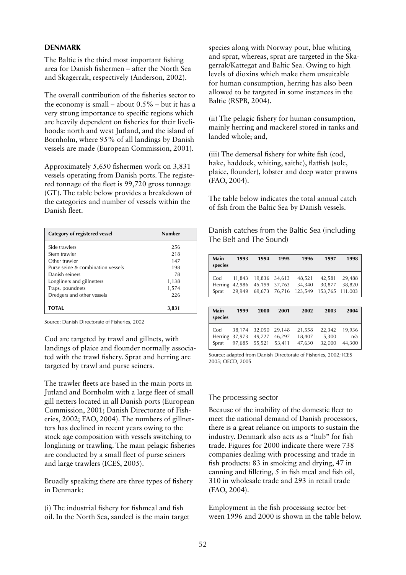## **DENMARK**

The Baltic is the third most important fishing area for Danish fishermen – after the North Sea and Skagerrak, respectively (Anderson, 2002).

The overall contribution of the fisheries sector to the economy is small – about  $0.5%$  – but it has a very strong importance to specific regions which are heavily dependent on fisheries for their livelihoods: north and west Jutland, and the island of Bornholm, where 95% of all landings by Danish vessels are made (European Commission, 2001)*.* 

Approximately 5,650 fishermen work on 3,831 vessels operating from Danish ports. The registered tonnage of the fleet is 99,720 gross tonnage (GT). The table below provides a breakdown of the categories and number of vessels within the Danish fleet.

| Category of registered vessel     | Number |
|-----------------------------------|--------|
| Side trawlers                     | 256    |
| Stern trawler                     | 218    |
| Other trawler                     | 147    |
| Purse seine & combination vessels | 198    |
| Danish seiners                    | 78     |
| Longliners and gillnetters        | 1,138  |
| Traps, poundnets                  | 1,574  |
| Dredgers and other vessels        | 226    |
| TOTAL                             | 3,831  |

Source: Danish Directorate of Fisheries, 2002

Cod are targeted by trawl and gillnets, with landings of plaice and flounder normally associated with the trawl fishery. Sprat and herring are targeted by trawl and purse seiners.

The trawler fleets are based in the main ports in Jutland and Bornholm with a large fleet of small gill netters located in all Danish ports (European Commission, 2001; Danish Directorate of Fisheries, 2002; FAO, 2004). The numbers of gillnetters has declined in recent years owing to the stock age composition with vessels switching to longlining or trawling. The main pelagic fisheries are conducted by a small fleet of purse seiners and large trawlers (ICES, 2005).

Broadly speaking there are three types of fishery in Denmark:

(i) The industrial fishery for fishmeal and fish oil. In the North Sea, sandeel is the main target

species along with Norway pout, blue whiting and sprat, whereas, sprat are targeted in the Skagerrak/Kattegat and Baltic Sea. Owing to high levels of dioxins which make them unsuitable for human consumption, herring has also been allowed to be targeted in some instances in the Baltic (RSPB, 2004).

(ii) The pelagic fishery for human consumption, mainly herring and mackerel stored in tanks and landed whole; and,

(iii) The demersal fishery for white fish (cod, hake, haddock, whiting, saithe), flatfish (sole, plaice, flounder), lobster and deep water prawns (FAO, 2004).

The table below indicates the total annual catch of fish from the Baltic Sea by Danish vessels.

Danish catches from the Baltic Sea (including The Belt and The Sound)

| Main<br>species | 1993   | 1994   | 1995   | 1996    | 1997    | 1998    |
|-----------------|--------|--------|--------|---------|---------|---------|
| Cod             | 11,843 | 19,836 | 34,613 | 48,521  | 42,581  | 29,488  |
| Herring         | 42,986 | 45,199 | 37,763 | 34,340  | 30,877  | 38,820  |
| Sprat           | 29,949 | 69,673 | 76,716 | 123,549 | 153,765 | 111.003 |
|                 |        |        |        |         |         |         |
| Main<br>species | 1999   | 2000   | 2001   | 2002    | 2003    | 2004    |
| Cod             | 38,174 | 32,050 | 29,148 | 21,558  | 22,342  | 19,936  |
| Herring         | 37,973 | 49,727 | 46,297 | 18,407  | 5,300   | n/a     |

Source: adapted from Danish Directorate of Fisheries, 2002; ICES 2005; OECD, 2005

## The processing sector

Because of the inability of the domestic fleet to meet the national demand of Danish processors, there is a great reliance on imports to sustain the industry. Denmark also acts as a "hub" for fish trade. Figures for 2000 indicate there were 738 companies dealing with processing and trade in fish products: 83 in smoking and drying, 47 in canning and filleting, 5 in fish meal and fish oil, 310 in wholesale trade and 293 in retail trade (FAO, 2004).

Employment in the fish processing sector between 1996 and 2000 is shown in the table below.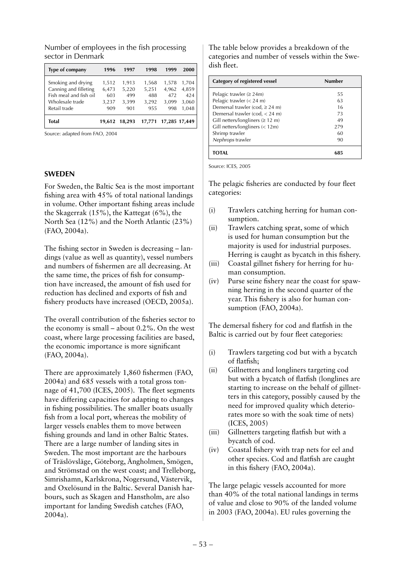| Type of company        | 1996   | 1997   | 1998   | 1999          | 2000  |
|------------------------|--------|--------|--------|---------------|-------|
| Smoking and drying     | 1,512  | 1,913  | 1,568  | 1,578         | 1,704 |
| Canning and filleting  | 6,473  | 5,220  | 5,251  | 4,962         | 4,859 |
| Fish meal and fish oil | 603    | 499    | 488    | 472           | 424   |
| Wholesale trade        | 3,237  | 3,399  | 3,292  | 3,099         | 3,060 |
| Retail trade           | 909    | 901    | 955    | 998           | 1,048 |
| Total                  | 19.612 | 18.293 | 17,771 | 17,285 17,449 |       |

Number of employees in the fish processing sector in Denmark

Source: adapted from FAO, 2004

### **SWEDEN**

For Sweden, the Baltic Sea is the most important fishing area with 45% of total national landings in volume. Other important fishing areas include the Skagerrak (15%), the Kattegat (6%), the North Sea (12%) and the North Atlantic (23%) (FAO, 2004a).

The fishing sector in Sweden is decreasing – landings (value as well as quantity), vessel numbers and numbers of fishermen are all decreasing. At the same time, the prices of fish for consumption have increased, the amount of fish used for reduction has declined and exports of fish and fishery products have increased (OECD, 2005a).

The overall contribution of the fisheries sector to the economy is small – about 0.2%. On the west coast, where large processing facilities are based, the economic importance is more significant (FAO, 2004a).

There are approximately 1,860 fishermen (FAO, 2004a) and 685 vessels with a total gross tonnage of 41,700 (ICES, 2005). The fleet segments have differing capacities for adapting to changes in fishing possibilities. The smaller boats usually fish from a local port, whereas the mobility of larger vessels enables them to move between fishing grounds and land in other Baltic States. There are a large number of landing sites in Sweden. The most important are the harbours of Träslövsläge, Göteborg, Ängholmen, Smögen, and Strömstad on the west coast; and Trelleborg, Simrishamn, Karlskrona, Nogersund, Västervik, and Oxelösund in the Baltic. Several Danish harbours, such as Skagen and Hanstholm, are also important for landing Swedish catches (FAO, 2004a).

The table below provides a breakdown of the categories and number of vessels within the Swedish fleet.

| Category of registered vessel          | Number |
|----------------------------------------|--------|
| Pelagic trawler ( $\geq$ 24m)          | 55     |
| Pelagic trawler $(< 24$ m)             | 63     |
| Demersal trawler (cod, $\geq$ 24 m)    | 16     |
| Demersal trawler (cod, $<$ 24 m)       | 73     |
| Gill netters/longliners ( $\geq 12$ m) | 49     |
| Gill netters/longliners $(< 12m)$      | 279    |
| Shrimp trawler                         | 60     |
| Nephrops trawler                       | 90     |
|                                        |        |

Source: ICES, 2005

The pelagic fisheries are conducted by four fleet categories:

- (i) Trawlers catching herring for human consumption.
- (ii) Trawlers catching sprat, some of which is used for human consumption but the majority is used for industrial purposes. Herring is caught as bycatch in this fishery.
- (iii) Coastal gillnet fishery for herring for human consumption.
- (iv) Purse seine fishery near the coast for spawning herring in the second quarter of the year. This fishery is also for human consumption (FAO, 2004a).

The demersal fishery for cod and flatfish in the Baltic is carried out by four fleet categories:

- (i) Trawlers targeting cod but with a bycatch of flatfish;
- (ii) Gillnetters and longliners targeting cod but with a bycatch of flatfish (longlines are starting to increase on the behalf of gillnetters in this category, possibly caused by the need for improved quality which deteriorates more so with the soak time of nets) (ICES, 2005)
- (iii) Gillnetters targeting flatfish but with a bycatch of cod.
- (iv) Coastal fishery with trap nets for eel and other species. Cod and flatfish are caught in this fishery (FAO, 2004a).

The large pelagic vessels accounted for more than 40% of the total national landings in terms of value and close to 90% of the landed volume in 2003 (FAO, 2004a). EU rules governing the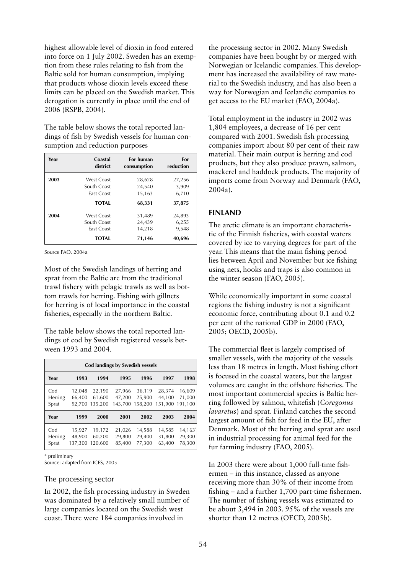highest allowable level of dioxin in food entered into force on 1 July 2002. Sweden has an exemption from these rules relating to fish from the Baltic sold for human consumption, implying that products whose dioxin levels exceed these limits can be placed on the Swedish market. This derogation is currently in place until the end of 2006 (RSPB, 2004).

The table below shows the total reported landings of fish by Swedish vessels for human consumption and reduction purposes

| Year | Coastal           | For human   | For       |
|------|-------------------|-------------|-----------|
|      | district          | consumption | reduction |
| 2003 | West Coast        | 28,628      | 27,256    |
|      | South Coast       | 24,540      | 3,909     |
|      | <b>Fast Coast</b> | 15,163      | 6,710     |
|      | <b>TOTAL</b>      | 68,331      | 37,875    |
| 2004 | <b>West Coast</b> | 31,489      | 24,893    |
|      | South Coast       | 24,439      | 6,255     |
|      | <b>Fast Coast</b> | 14,218      | 9,548     |
|      | <b>TOTAL</b>      | 71,146      | 40,696    |

Source FAO, 2004a

Most of the Swedish landings of herring and sprat from the Baltic are from the traditional trawl fishery with pelagic trawls as well as bottom trawls for herring. Fishing with gillnets for herring is of local importance in the coastal fisheries, especially in the northern Baltic.

The table below shows the total reported landings of cod by Swedish registered vessels between 1993 and 2004.

| Cod landings by Swedish vessels |                             |                             |                             |                             |                             |                             |  |
|---------------------------------|-----------------------------|-----------------------------|-----------------------------|-----------------------------|-----------------------------|-----------------------------|--|
| Year                            | 1993                        | 1994                        | 1995                        | 1996                        | 1997                        | 1998                        |  |
| Cod<br>Herring<br>Sprat         | 12,048<br>66.400<br>92.700  | 22,190<br>61.600<br>135.200 | 27,966<br>47.200<br>143.700 | 36,119<br>25.900<br>158,200 | 28,374<br>44,100<br>151,900 | 16,609<br>71,000<br>191.100 |  |
| Year                            | 1999                        | 2000                        | 2001                        | 2002                        | 2003                        | 2004                        |  |
| Cod<br>Herring<br>Sprat         | 15,927<br>48,900<br>137,300 | 19,172<br>60.200<br>120.600 | 21,026<br>29,800<br>85,400  | 14,588<br>29,400<br>77,300  | 14,585<br>31,800<br>63,400  | 14,163"<br>29,300<br>78,300 |  |

\* preliminary

Source: adapted from ICES, 2005

#### The processing sector

In 2002, the fish processing industry in Sweden was dominated by a relatively small number of large companies located on the Swedish west coast. There were 184 companies involved in

the processing sector in 2002. Many Swedish companies have been bought by or merged with Norwegian or Icelandic companies. This development has increased the availability of raw material to the Swedish industry, and has also been a way for Norwegian and Icelandic companies to get access to the EU market (FAO, 2004a).

Total employment in the industry in 2002 was 1,804 employees, a decrease of 16 per cent compared with 2001. Swedish fish processing companies import about 80 per cent of their raw material. Their main output is herring and cod products, but they also produce prawn, salmon, mackerel and haddock products. The majority of imports come from Norway and Denmark (FAO, 2004a).

### **FINLAND**

The arctic climate is an important characteristic of the Finnish fisheries, with coastal waters covered by ice to varying degrees for part of the year. This means that the main fishing period lies between April and November but ice fishing using nets, hooks and traps is also common in the winter season (FAO, 2005).

While economically important in some coastal regions the fishing industry is not a significant economic force, contributing about 0.1 and 0.2 per cent of the national GDP in 2000 (FAO, 2005; OECD, 2005b).

The commercial fleet is largely comprised of smaller vessels, with the majority of the vessels less than 18 metres in length. Most fishing effort is focused in the coastal waters, but the largest volumes are caught in the offshore fisheries. The most important commercial species is Baltic herring followed by salmon, whitefish (*Coregonus lavaretus*) and sprat. Finland catches the second largest amount of fish for feed in the EU, after Denmark. Most of the herring and sprat are used in industrial processing for animal feed for the fur farming industry (FAO, 2005).

In 2003 there were about 1,000 full-time fishermen – in this instance, classed as anyone receiving more than 30% of their income from fishing – and a further 1,700 part-time fishermen. The number of fishing vessels was estimated to be about 3,494 in 2003. 95% of the vessels are shorter than 12 metres (OECD, 2005b).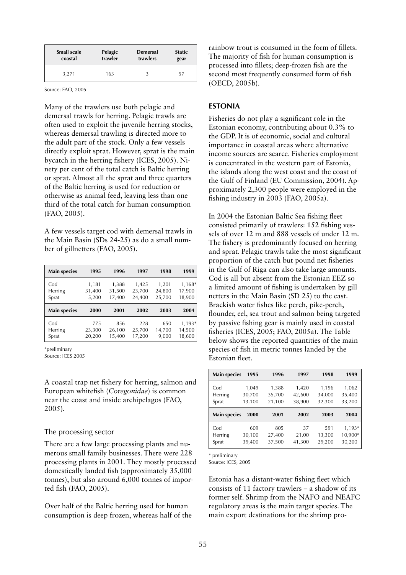| <b>Small scale</b> | Pelagic | <b>Demersal</b> | <b>Static</b> |
|--------------------|---------|-----------------|---------------|
| coastal            | trawler | trawlers        | gear          |
| 3,271              | 163     |                 | 57            |

Source: FAO, 2005

Many of the trawlers use both pelagic and demersal trawls for herring. Pelagic trawls are often used to exploit the juvenile herring stocks, whereas demersal trawling is directed more to the adult part of the stock. Only a few vessels directly exploit sprat. However, sprat is the main bycatch in the herring fishery (ICES, 2005). Ninety per cent of the total catch is Baltic herring or sprat. Almost all the sprat and three quarters of the Baltic herring is used for reduction or otherwise as animal feed, leaving less than one third of the total catch for human consumption (FAO, 2005).

A few vessels target cod with demersal trawls in the Main Basin (SDs 24-25) as do a small number of gillnetters (FAO, 2005).

| <b>Main species</b>     | 1995                     | 1996                      | 1997                      | 1998                      | 1999                       |
|-------------------------|--------------------------|---------------------------|---------------------------|---------------------------|----------------------------|
| Cod<br>Herring<br>Sprat | 1,181<br>31,400<br>5,200 | 1,388<br>31,500<br>17,400 | 1,425<br>23,700<br>24,400 | 1,201<br>24,800<br>25,700 | 1,168*<br>17,900<br>18,900 |
| <b>Main species</b>     | 2000                     | 2001                      | 2002                      | 2003                      | 2004                       |
| Cod<br>Herring          | 775                      | 856                       | 228                       | 650                       | 1,193*                     |

\*preliminary

Source: ICES 2005

A coastal trap net fishery for herring, salmon and European whitefish (*Coregonidae*) is common near the coast and inside archipelagos (FAO, 2005).

### The processing sector

There are a few large processing plants and numerous small family businesses. There were 228 processing plants in 2001. They mostly processed domestically landed fish (approximately 35,000 tonnes), but also around 6,000 tonnes of imported fish (FAO, 2005).

Over half of the Baltic herring used for human consumption is deep frozen, whereas half of the rainbow trout is consumed in the form of fillets. The majority of fish for human consumption is processed into fillets; deep-frozen fish are the second most frequently consumed form of fish (OECD, 2005b).

## **ESTONIA**

Fisheries do not play a significant role in the Estonian economy, contributing about 0.3% to the GDP. It is of economic, social and cultural importance in coastal areas where alternative income sources are scarce. Fisheries employment is concentrated in the western part of Estonia, the islands along the west coast and the coast of the Gulf of Finland (EU Commission, 2004). Approximately 2,300 people were employed in the fishing industry in 2003 (FAO, 2005a).

In 2004 the Estonian Baltic Sea fishing fleet consisted primarily of trawlers: 152 fishing vessels of over 12 m and 888 vessels of under 12 m. The fishery is predominantly focused on herring and sprat. Pelagic trawls take the most significant proportion of the catch but pound net fisheries in the Gulf of Riga can also take large amounts. Cod is all but absent from the Estonian EEZ so a limited amount of fishing is undertaken by gill netters in the Main Basin (SD 25) to the east. Brackish water fishes like perch, pike-perch, flounder, eel, sea trout and salmon being targeted by passive fishing gear is mainly used in coastal fisheries (ICES, 2005; FAO, 2005a). The Table below shows the reported quantities of the main species of fish in metric tonnes landed by the Estonian fleet.

| <b>Main species</b>     | 1995                      | 1996                      | 1997                      | 1998                      | 1999                      |
|-------------------------|---------------------------|---------------------------|---------------------------|---------------------------|---------------------------|
| Cod<br>Herring<br>Sprat | 1,049<br>30,700<br>13,100 | 1,388<br>35,700<br>21,100 | 1,420<br>42,600<br>38,900 | 1,196<br>34,000<br>32,300 | 1,062<br>35,400<br>33,200 |
|                         |                           |                           |                           |                           |                           |
| <b>Main species</b>     | 2000                      | 2001                      | 2002                      | 2003                      | 2004                      |

\* preliminary

Source: ICES, 2005

Estonia has a distant-water fishing fleet which consists of 11 factory trawlers – a shadow of its former self. Shrimp from the NAFO and NEAFC regulatory areas is the main target species. The main export destinations for the shrimp pro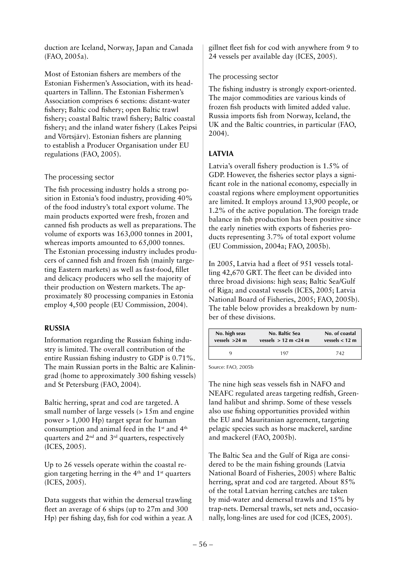duction are Iceland, Norway, Japan and Canada (FAO, 2005a).

Most of Estonian fishers are members of the Estonian Fishermen's Association, with its headquarters in Tallinn. The Estonian Fishermen's Association comprises 6 sections: distant-water fishery; Baltic cod fishery; open Baltic trawl fishery; coastal Baltic trawl fishery; Baltic coastal fishery; and the inland water fishery (Lakes Peipsi and Võrtsjärv). Estonian fishers are planning to establish a Producer Organisation under EU regulations (FAO, 2005).

## The processing sector

The fish processing industry holds a strong position in Estonia's food industry, providing 40% of the food industry's total export volume. The main products exported were fresh, frozen and canned fish products as well as preparations. The volume of exports was 163,000 tonnes in 2001, whereas imports amounted to 65,000 tonnes. The Estonian processing industry includes producers of canned fish and frozen fish (mainly targeting Eastern markets) as well as fast-food, fillet and delicacy producers who sell the majority of their production on Western markets. The approximately 80 processing companies in Estonia employ 4,500 people (EU Commission, 2004).

## **RUSSIA**

Information regarding the Russian fishing industry is limited. The overall contribution of the entire Russian fishing industry to GDP is 0.71%. The main Russian ports in the Baltic are Kaliningrad (home to approximately 300 fishing vessels) and St Petersburg (FAO, 2004).

Baltic herring, sprat and cod are targeted. A small number of large vessels (> 15m and engine power > 1,000 Hp) target sprat for human consumption and animal feed in the 1st and 4th quarters and  $2<sup>nd</sup>$  and  $3<sup>rd</sup>$  quarters, respectively (ICES, 2005).

Up to 26 vessels operate within the coastal region targeting herring in the  $4<sup>th</sup>$  and  $1<sup>st</sup>$  quarters (ICES, 2005).

Data suggests that within the demersal trawling fleet an average of 6 ships (up to 27m and 300 Hp) per fishing day, fish for cod within a year. A gillnet fleet fish for cod with anywhere from 9 to 24 vessels per available day (ICES, 2005).

## The processing sector

The fishing industry is strongly export-oriented. The major commodities are various kinds of frozen fish products with limited added value. Russia imports fish from Norway, Iceland, the UK and the Baltic countries, in particular (FAO, 2004).

## **LATVIA**

Latvia's overall fishery production is 1.5% of GDP. However, the fisheries sector plays a significant role in the national economy, especially in coastal regions where employment opportunities are limited. It employs around 13,900 people, or 1.2% of the active population. The foreign trade balance in fish production has been positive since the early nineties with exports of fisheries products representing 3.7% of total export volume (EU Commission, 2004a; FAO, 2005b).

In 2005, Latvia had a fleet of 951 vessels totalling 42,670 GRT. The fleet can be divided into three broad divisions: high seas; Baltic Sea/Gulf of Riga; and coastal vessels (ICES, 2005; Latvia National Board of Fisheries, 2005; FAO, 2005b). The table below provides a breakdown by number of these divisions.

| No. high seas   | No. Baltic Sea            | No. of coastal   |
|-----------------|---------------------------|------------------|
| vessels $>24$ m | vessels $> 12$ m $< 24$ m | vessels $< 12$ m |
| ч               | 197                       | 742              |

Source: FAO, 2005b

The nine high seas vessels fish in NAFO and NEAFC regulated areas targeting redfish, Greenland halibut and shrimp. Some of these vessels also use fishing opportunities provided within the EU and Mauritanian agreement, targeting pelagic species such as horse mackerel, sardine and mackerel (FAO, 2005b).

The Baltic Sea and the Gulf of Riga are considered to be the main fishing grounds (Latvia National Board of Fisheries, 2005) where Baltic herring, sprat and cod are targeted. About 85% of the total Latvian herring catches are taken by mid-water and demersal trawls and 15% by trap-nets. Demersal trawls, set nets and, occasionally, long-lines are used for cod (ICES, 2005).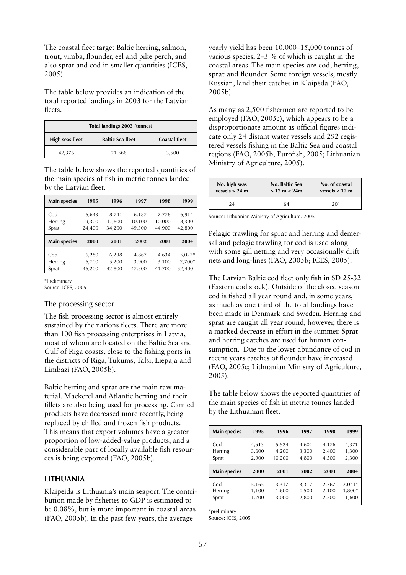The coastal fleet target Baltic herring, salmon, trout, vimba, flounder, eel and pike perch, and also sprat and cod in smaller quantities (ICES, 2005)

The table below provides an indication of the total reported landings in 2003 for the Latvian fleets.

|                 | Total landings 2003 (tonnes) |                      |
|-----------------|------------------------------|----------------------|
| High seas fleet | <b>Baltic Sea fleet</b>      | <b>Coastal fleet</b> |
| 42,376          | 71,566                       | 3,500                |

The table below shows the reported quantities of the main species of fish in metric tonnes landed by the Latvian fleet.

| <b>Main species</b>     | 1995                     | 1996                      | 1997                      | 1998                      | 1999                     |
|-------------------------|--------------------------|---------------------------|---------------------------|---------------------------|--------------------------|
| Cod<br>Herring<br>Sprat | 6,643<br>9,300<br>24,400 | 8,741<br>11,600<br>34,200 | 6,187<br>10,100<br>49,300 | 7,778<br>10,000<br>44,900 | 6,914<br>8,300<br>42,800 |
|                         |                          |                           |                           |                           |                          |
| <b>Main species</b>     | 2000                     | 2001                      | 2002                      | 2003                      | 2004                     |

\*Preliminary

Source: ICES, 2005

## The processing sector

The fish processing sector is almost entirely sustained by the nations fleets. There are more than 100 fish processing enterprises in Latvia, most of whom are located on the Baltic Sea and Gulf of Riga coasts, close to the fishing ports in the districts of Riga, Tukums, Talsi, Liepaja and Limbazi (FAO, 2005b).

Baltic herring and sprat are the main raw material. Mackerel and Atlantic herring and their fillets are also being used for processing. Canned products have decreased more recently, being replaced by chilled and frozen fish products. This means that export volumes have a greater proportion of low-added-value products, and a considerable part of locally available fish resources is being exported (FAO, 2005b).

## **LITHUANIA**

Klaipeida is Lithuania's main seaport. The contribution made by fisheries to GDP is estimated to be 0.08%, but is more important in coastal areas (FAO, 2005b). In the past few years, the average

yearly yield has been 10,000–15,000 tonnes of various species, 2–3 % of which is caught in the coastal areas. The main species are cod, herring, sprat and flounder. Some foreign vessels, mostly Russian, land their catches in Klaipëda (FAO, 2005b).

As many as 2,500 fishermen are reported to be employed (FAO, 2005c), which appears to be a disproportionate amount as official figures indicate only 24 distant water vessels and 292 registered vessels fishing in the Baltic Sea and coastal regions (FAO, 2005b; Eurofish, 2005; Lithuanian Ministry of Agriculture, 2005).

| No. high seas    | No. Baltic Sea                  | No. of coastal   |
|------------------|---------------------------------|------------------|
| vessels $> 24$ m | $> 12 \text{ m} < 24 \text{ m}$ | vessels $< 12$ m |
| 24               | 64                              | 201              |

Source: Lithuanian Ministry of Agriculture, 2005

Pelagic trawling for sprat and herring and demersal and pelagic trawling for cod is used along with some gill netting and very occasionally drift nets and long-lines (FAO, 2005b; ICES, 2005).

The Latvian Baltic cod fleet only fish in SD 25-32 (Eastern cod stock). Outside of the closed season cod is fished all year round and, in some years, as much as one third of the total landings have been made in Denmark and Sweden. Herring and sprat are caught all year round, however, there is a marked decrease in effort in the summer. Sprat and herring catches are used for human consumption. Due to the lower abundance of cod in recent years catches of flounder have increased (FAO, 2005c; Lithuanian Ministry of Agriculture, 2005).

The table below shows the reported quantities of the main species of fish in metric tonnes landed by the Lithuanian fleet.

| <b>Main species</b>     | 1995                    | 1996                     | 1997                    | 1998                    | 1999                    |
|-------------------------|-------------------------|--------------------------|-------------------------|-------------------------|-------------------------|
| Cod<br>Herring<br>Sprat | 4,513<br>3,600<br>2,900 | 5,524<br>4,200<br>10,200 | 4,601<br>3,300<br>4,800 | 4,176<br>2,400<br>4,500 | 4,371<br>1,300<br>2,300 |
| <b>Main species</b>     | 2000                    | 2001                     | 2002                    | 2003                    | 2004                    |
| Cod<br>Herring          | 5,165<br>1,100          | 3,317<br>1,600           | 3,317<br>1,500          | 2,767<br>2,100          | $2,041*$<br>1,800*      |

\*preliminary

Source: ICES, 2005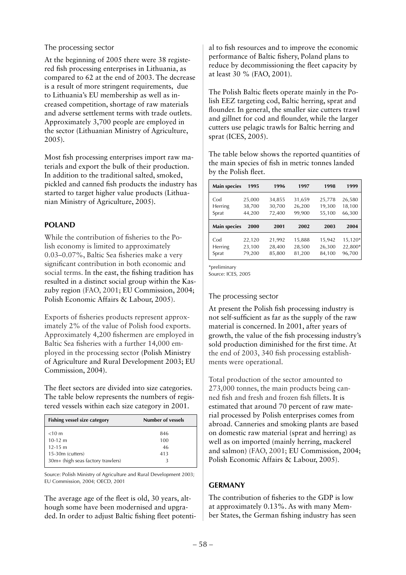### The processing sector

At the beginning of 2005 there were 38 registered fish processing enterprises in Lithuania, as compared to 62 at the end of 2003. The decrease is a result of more stringent requirements, due to Lithuania's EU membership as well as increased competition, shortage of raw materials and adverse settlement terms with trade outlets. Approximately 3,700 people are employed in the sector (Lithuanian Ministry of Agriculture, 2005).

Most fish processing enterprises import raw materials and export the bulk of their production. In addition to the traditional salted, smoked, pickled and canned fish products the industry has started to target higher value products (Lithuanian Ministry of Agriculture, 2005).

## **POLAND**

While the contribution of fisheries to the Polish economy is limited to approximately 0.03–0.07%, Baltic Sea fisheries make a very significant contribution in both economic and social terms. In the east, the fishing tradition has resulted in a distinct social group within the Kaszuby region (FAO, 2001; EU Commission, 2004; Polish Economic Affairs & Labour, 2005).

Exports of fisheries products represent approximately 2% of the value of Polish food exports. Approximately 4,200 fishermen are employed in Baltic Sea fisheries with a further 14,000 employed in the processing sector (Polish Ministry of Agriculture and Rural Development 2003; EU Commission, 2004).

The fleet sectors are divided into size categories. The table below represents the numbers of registered vessels within each size category in 2001.

| Fishing vessel size category      | Number of vessels |
|-----------------------------------|-------------------|
| $<$ 10 m                          | 846               |
| $10-12$ m                         | 100               |
| $12 - 15$ m                       | 46                |
| 15-30m (cutters)                  | 413               |
| 30m+ (high seas factory trawlers) |                   |

Source: Polish Ministry of Agriculture and Rural Development 2003; EU Commission, 2004; OECD, 2001

The average age of the fleet is old, 30 years, although some have been modernised and upgraded. In order to adjust Baltic fishing fleet potenti-

al to fish resources and to improve the economic performance of Baltic fishery, Poland plans to reduce by decommissioning the fleet capacity by at least 30 % (FAO, 2001).

The Polish Baltic fleets operate mainly in the Polish EEZ targeting cod, Baltic herring, sprat and flounder. In general, the smaller size cutters trawl and gillnet for cod and flounder, while the larger cutters use pelagic trawls for Baltic herring and sprat (ICES, 2005).

The table below shows the reported quantities of the main species of fish in metric tonnes landed by the Polish fleet.

| <b>Main species</b>     | 1995                       | 1996                       | 1997                       | 1998                       | 1999                       |
|-------------------------|----------------------------|----------------------------|----------------------------|----------------------------|----------------------------|
| Cod<br>Herring<br>Sprat | 25,000<br>38,700<br>44,200 | 34,855<br>30,700<br>72,400 | 31,659<br>26,200<br>99,900 | 25,778<br>19,300<br>55,100 | 26,580<br>18,100<br>66,300 |
|                         |                            |                            |                            |                            |                            |
| <b>Main species</b>     | 2000                       | 2001                       | 2002                       | 2003                       | 2004                       |

\*preliminary

Source: ICES, 2005

## The processing sector

At present the Polish fish processing industry is not self-sufficient as far as the supply of the raw material is concerned. In 2001, after years of growth, the value of the fish processing industry's sold production diminished for the first time. At the end of 2003, 340 fish processing establishments were operational.

Total production of the sector amounted to 273,000 tonnes, the main products being canned fish and fresh and frozen fish fillets. It is estimated that around 70 percent of raw material processed by Polish enterprises comes from abroad. Canneries and smoking plants are based on domestic raw material (sprat and herring) as well as on imported (mainly herring, mackerel and salmon) (FAO, 2001; EU Commission, 2004; Polish Economic Affairs & Labour, 2005).

## **GERMANY**

The contribution of fisheries to the GDP is low at approximately 0.13%. As with many Member States, the German fishing industry has seen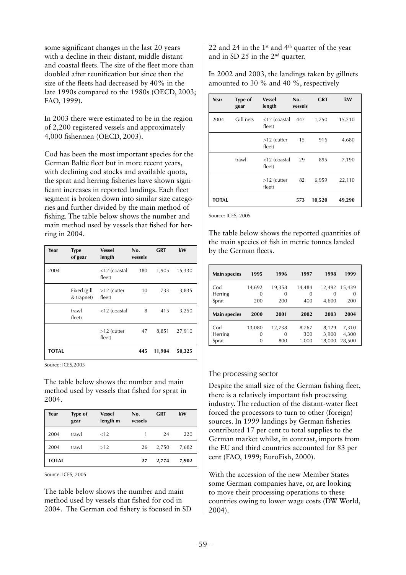some significant changes in the last 20 years with a decline in their distant, middle distant and coastal fleets. The size of the fleet more than doubled after reunification but since then the size of the fleets had decreased by 40% in the late 1990s compared to the 1980s (OECD, 2003; FAO, 1999).

In 2003 there were estimated to be in the region of 2,200 registered vessels and approximately 4,000 fishermen (OECD, 2003).

Cod has been the most important species for the German Baltic fleet but in more recent years, with declining cod stocks and available quota, the sprat and herring fisheries have shown significant increases in reported landings. Each fleet segment is broken down into similar size categories and further divided by the main method of fishing. The table below shows the number and main method used by vessels that fished for herring in 2004.

| Year         | <b>Type</b><br>of gear    | <b>Vessel</b><br>length | No.<br>vessels | GRT    | kW     |
|--------------|---------------------------|-------------------------|----------------|--------|--------|
| 2004         |                           | <12 (coastal<br>fleet)  | 380            | 1,905  | 15,330 |
|              | Fixed (gill<br>& trapnet) | $>12$ (cutter<br>fleet) | 10             | 733    | 3,835  |
|              | trawl<br>fleet)           | $<$ 12 (coastal         | 8              | 415    | 3,250  |
|              |                           | >12 (cutter<br>fleet)   | 47             | 8,851  | 27,910 |
| <b>TOTAL</b> |                           |                         | 445            | 11,904 | 50,325 |

Source: ICES,2005

The table below shows the number and main method used by vessels that fished for sprat in 2004.

| Year         | <b>Type of</b><br>gear | <b>Vessel</b><br>length m | No.<br>vessels | <b>GRT</b> | kW    |
|--------------|------------------------|---------------------------|----------------|------------|-------|
| 2004         | trawl                  | < 12                      |                | 24         | 220   |
| 2004         | trawl                  | >12                       | 26             | 2,750      | 7,682 |
| <b>TOTAL</b> |                        |                           | 27             | 2,774      | 7,902 |

Source: ICES, 2005

The table below shows the number and main method used by vessels that fished for cod in 2004. The German cod fishery is focused in SD 22 and 24 in the 1<sup>st</sup> and 4<sup>th</sup> quarter of the year and in SD 25 in the 2nd quarter.

In 2002 and 2003, the landings taken by gillnets amounted to 30 % and 40 %, respectively

| Year  | <b>Type of</b><br>gear | <b>Vessel</b><br>length   | No.<br>vessels | <b>GRT</b> | kW     |
|-------|------------------------|---------------------------|----------------|------------|--------|
| 2004  | Gill nets              | $<$ 12 (coastal<br>fleet) | 447            | 1,750      | 15,210 |
|       |                        | $>12$ (cutter<br>fleet)   | 15             | 916        | 4,680  |
|       | trawl                  | $<$ 12 (coastal<br>fleet) | 29             | 895        | 7,190  |
|       |                        | $>12$ (cutter<br>fleet)   | 82             | 6,959      | 22,110 |
| TOTAL |                        |                           | 573            | 10,520     | 49,290 |

Source: ICES, 2005

The table below shows the reported quantities of the main species of fish in metric tonnes landed by the German fleets.

| <b>Main species</b>     | 1995               | 1996               | 1997                      | 1998                 | 1999               |
|-------------------------|--------------------|--------------------|---------------------------|----------------------|--------------------|
| Cod<br>Herring<br>Sprat | 14,692<br>0<br>200 | 19,358<br>0<br>200 | 14,484<br>$\Omega$<br>400 | 12,492<br>0<br>4,600 | 15,439<br>0<br>200 |
|                         |                    |                    |                           |                      |                    |
| <b>Main species</b>     | 2000               | 2001               | 2002                      | 2003                 | 2004               |

## The processing sector

Despite the small size of the German fishing fleet, there is a relatively important fish processing industry. The reduction of the distant-water fleet forced the processors to turn to other (foreign) sources. In 1999 landings by German fisheries contributed 17 per cent to total supplies to the German market whilst, in contrast, imports from the EU and third countries accounted for 83 per cent (FAO, 1999; EuroFish, 2000).

With the accession of the new Member States some German companies have, or, are looking to move their processing operations to these countries owing to lower wage costs (DW World, 2004).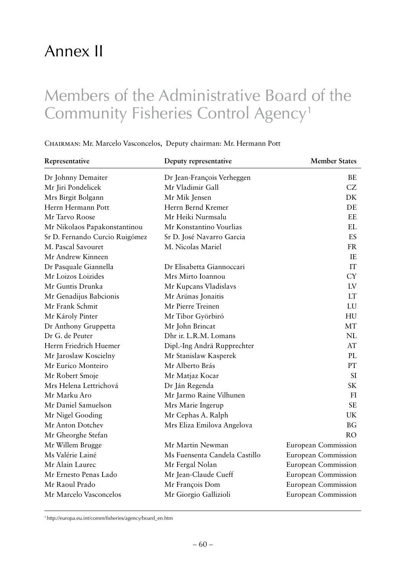## Annex II

## Members of the Administrative Board of the Community Fisheries Control Agency<sup>1</sup>

## Chairman: Mr. Marcelo Vasconcelos, Deputy chairman: Mr. Hermann Pott

| Representative                 | Deputy representative         | <b>Member States</b>       |
|--------------------------------|-------------------------------|----------------------------|
| Dr Johnny Demaiter             | Dr Jean-François Verheggen    | BE                         |
| Mr Jiri Pondelicek             | Mr Vladimir Gall              | CZ                         |
| Mrs Birgit Bolgann             | Mr Mik Jensen                 | DK                         |
| Herrn Hermann Pott             | Herrn Bernd Kremer            | DE                         |
| Mr Tarvo Roose                 | Mr Heiki Nurmsalu             | EE                         |
| Mr Nikolaos Papakonstantinou   | Mr Konstantino Vourlias       | EL                         |
| Sr D. Fernando Curcio Ruigómez | Sr D. José Navarro Garcia     | ES                         |
| M. Pascal Savouret             | M. Nicolas Mariel             | <b>FR</b>                  |
| Mr Andrew Kinneen              |                               | IE                         |
| Dr Pasquale Giannella          | Dr Elisabetta Giannoccari     | IT                         |
| Mr Loizos Loizides             | Mrs Mirto Ioannou             | <b>CY</b>                  |
| Mr Guntis Drunka               | Mr Kupcans Vladislavs         | LV                         |
| Mr Genadijus Babcionis         | Mr Arünas Jonaitis            | <b>LT</b>                  |
| Mr Frank Schmit                | Mr Pierre Treinen             | LU                         |
| Mr Károly Pinter               | Mr Tibor Györbiró             | HU                         |
| Dr Anthony Gruppetta           | Mr John Brincat               | MT                         |
| Dr G. de Peuter                | Dhr ir. L.R.M. Lomans         | NL                         |
| Herrn Friedrich Huemer         | Dipl.-Ing Andrä Rupprechter   | AT                         |
| Mr Jaroslaw Koscielny          | Mr Stanislaw Kasperek         | PL                         |
| Mr Eurico Monteiro             | Mr Alberto Brás               | PT                         |
| Mr Robert Smoje                | Mr Matjaz Kocar               | <b>SI</b>                  |
| Mrs Helena Lettrichová         | Dr Ján Regenda                | <b>SK</b>                  |
| Mr Marku Aro                   | Mr Jarmo Raine Vilhunen       | FI                         |
| Mr Daniel Samuelson            | Mrs Marie Ingerup             | <b>SE</b>                  |
| Mr Nigel Gooding               | Mr Cephas A. Ralph            | <b>UK</b>                  |
| Mr Anton Dotchev               | Mrs Eliza Emilova Angelova    | <b>BG</b>                  |
| Mr Gheorghe Stefan             |                               | RO                         |
| Mr Willem Brugge               | Mr Martin Newman              | European Commission        |
| Ms Valérie Lainé               | Ms Fuensenta Candela Castillo | European Commission        |
| Mr Alain Laurec                | Mr Fergal Nolan               | European Commission        |
| Mr Ernesto Penas Lado          | Mr Jean-Claude Cueff          | European Commission        |
| Mr Raoul Prado                 | Mr François Dom               | <b>European Commission</b> |
| Mr Marcelo Vasconcelos         | Mr Giorgio Gallizioli         | European Commission        |

<sup>1</sup> http://europa.eu.int/comm/fisheries/agency/board\_en.htm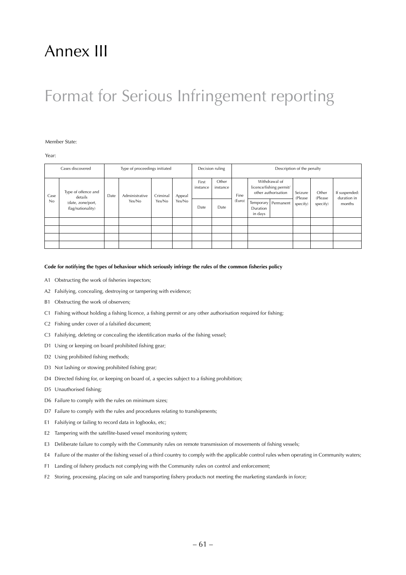## Annex III

## Format for Serious Infringement reporting

#### Member State:

Year:

|      | Cases discovered                       | Type of proceedings initiated      |        | Decision ruling |        | Description of the penalty |      |        |                     |                       |                   |          |        |                                                                 |                    |                  |                              |
|------|----------------------------------------|------------------------------------|--------|-----------------|--------|----------------------------|------|--------|---------------------|-----------------------|-------------------|----------|--------|-----------------------------------------------------------------|--------------------|------------------|------------------------------|
| Case | Type of offence and<br>details         | Administrative<br>Criminal<br>Date |        |                 |        |                            |      |        | Appeal              | First<br>instance     | Other<br>instance | Fine     |        | Withdrawal of<br>licence/fishing permit/<br>other authorisation | Seizure<br>(Please | Other<br>(Please | If suspended:<br>duration in |
| No   | (date, zone/port,<br>flag/nationality) |                                    | Yes/No | Yes/No          | Yes/No | Date                       | Date | (Euro) | Duration<br>in days | Temporary   Permanent | specify)          | specify) | months |                                                                 |                    |                  |                              |
|      |                                        |                                    |        |                 |        |                            |      |        |                     |                       |                   |          |        |                                                                 |                    |                  |                              |
|      |                                        |                                    |        |                 |        |                            |      |        |                     |                       |                   |          |        |                                                                 |                    |                  |                              |
|      |                                        |                                    |        |                 |        |                            |      |        |                     |                       |                   |          |        |                                                                 |                    |                  |                              |
|      |                                        |                                    |        |                 |        |                            |      |        |                     |                       |                   |          |        |                                                                 |                    |                  |                              |

#### **Code for notifying the types of behaviour which seriously infringe the rules of the common fisheries policy**

- A1 Obstructing the work of fisheries inspectors;
- A2 Falsifying, concealing, destroying or tampering with evidence;
- B1 Obstructing the work of observers;
- C1 Fishing without holding a fishing licence, a fishing permit or any other authorisation required for fishing;
- C2 Fishing under cover of a falsified document;
- C3 Falsifying, deleting or concealing the identification marks of the fishing vessel;
- D1 Using or keeping on board prohibited fishing gear;
- D<sub>2</sub> Using prohibited fishing methods;
- D3 Not lashing or stowing prohibited fishing gear;
- D4 Directed fishing for, or keeping on board of, a species subject to a fishing prohibition;
- D5 Unauthorised fishing;
- D6 Failure to comply with the rules on minimum sizes;
- D7 Failure to comply with the rules and procedures relating to transhipments;
- E1 Falsifying or failing to record data in logbooks, etc;
- E2 Tampering with the satellite-based vessel monitoring system;
- E3 Deliberate failure to comply with the Community rules on remote transmission of movements of fishing vessels;
- E4 Failure of the master of the fishing vessel of a third country to comply with the applicable control rules when operating in Community waters;
- F1 Landing of fishery products not complying with the Community rules on control and enforcement;
- F2 Storing, processing, placing on sale and transporting fishery products not meeting the marketing standards in force;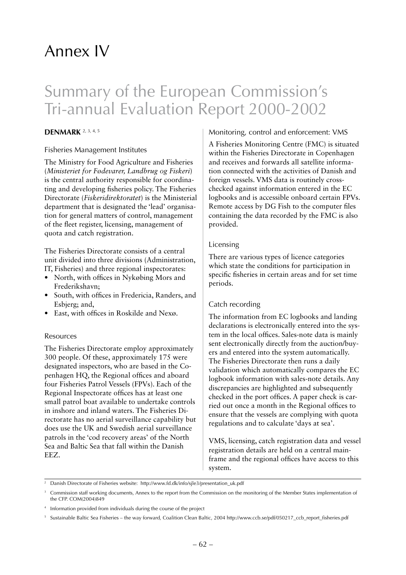## Annex IV

## Summary of the European Commission's Tri-annual Evaluation Report 2000-2002

## **Denmark** 2, 3, 4, 5

## Fisheries Management Institutes

The Ministry for Food Agriculture and Fisheries (*Ministeriet for Fødevarer, Landbrug og Fiskeri*) is the central authority responsible for coordinating and developing fisheries policy. The Fisheries Directorate (*Fiskeridirektoratet*) is the Ministerial department that is designated the 'lead' organisation for general matters of control, management of the fleet register, licensing, management of quota and catch registration.

The Fisheries Directorate consists of a central unit divided into three divisions (Administration,

IT, Fisheries) and three regional inspectorates:

- North, with offices in Nykøbing Mors and Frederikshavn;
- South, with offices in Fredericia, Randers, and Esbjerg; and,
- East, with offices in Roskilde and Nexø.

### Resources

The Fisheries Directorate employ approximately 300 people. Of these, approximately 175 were designated inspectors, who are based in the Copenhagen HQ, the Regional offices and aboard four Fisheries Patrol Vessels (FPVs). Each of the Regional Inspectorate offices has at least one small patrol boat available to undertake controls in inshore and inland waters. The Fisheries Directorate has no aerial surveillance capability but does use the UK and Swedish aerial surveillance patrols in the 'cod recovery areas' of the North Sea and Baltic Sea that fall within the Danish EEZ.

## Monitoring, control and enforcement: VMS

A Fisheries Monitoring Centre (FMC) is situated within the Fisheries Directorate in Copenhagen and receives and forwards all satellite information connected with the activities of Danish and foreign vessels. VMS data is routinely crosschecked against information entered in the EC logbooks and is accessible onboard certain FPVs. Remote access by DG Fish to the computer files containing the data recorded by the FMC is also provided.

## Licensing

There are various types of licence categories which state the conditions for participation in specific fisheries in certain areas and for set time periods.

## Catch recording

The information from EC logbooks and landing declarations is electronically entered into the system in the local offices. Sales-note data is mainly sent electronically directly from the auction/buyers and entered into the system automatically. The Fisheries Directorate then runs a daily validation which automatically compares the EC logbook information with sales-note details. Any discrepancies are highlighted and subsequently checked in the port offices. A paper check is carried out once a month in the Regional offices to ensure that the vessels are complying with quota regulations and to calculate 'days at sea'.

VMS, licensing, catch registration data and vessel registration details are held on a central mainframe and the regional offices have access to this system.

<sup>&</sup>lt;sup>2</sup> Danish Directorate of Fisheries website: http://www.fd.dk/info/sjle3/presentation\_uk.pdf

<sup>3</sup> Commission staff working documents, Annex to the report from the Commission on the monitoring of the Member States implementation of the CFP. COM(2004)849

<sup>4</sup> Information provided from individuals during the course of the project

<sup>5</sup> Sustainable Baltic Sea Fisheries – the way forward, Coalition Clean Baltic, 2004 http://www.ccb.se/pdf/050217\_ccb\_report\_fisheries.pdf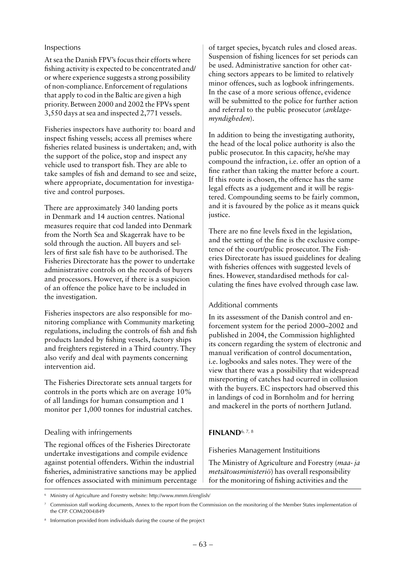### Inspections

At sea the Danish FPV's focus their efforts where fishing activity is expected to be concentrated and/ or where experience suggests a strong possibility of non-compliance. Enforcement of regulations that apply to cod in the Baltic are given a high priority. Between 2000 and 2002 the FPVs spent 3,550 days at sea and inspected 2,771 vessels.

Fisheries inspectors have authority to: board and inspect fishing vessels; access all premises where fisheries related business is undertaken; and, with the support of the police, stop and inspect any vehicle used to transport fish. They are able to take samples of fish and demand to see and seize, where appropriate, documentation for investigative and control purposes.

There are approximately 340 landing ports in Denmark and 14 auction centres. National measures require that cod landed into Denmark from the North Sea and Skagerrak have to be sold through the auction. All buyers and sellers of first sale fish have to be authorised. The Fisheries Directorate has the power to undertake administrative controls on the records of buyers and processors. However, if there is a suspicion of an offence the police have to be included in the investigation.

Fisheries inspectors are also responsible for monitoring compliance with Community marketing regulations, including the controls of fish and fish products landed by fishing vessels, factory ships and freighters registered in a Third country. They also verify and deal with payments concerning intervention aid.

The Fisheries Directorate sets annual targets for controls in the ports which are on average 10% of all landings for human consumption and 1 monitor per 1,000 tonnes for industrial catches.

## Dealing with infringements

The regional offices of the Fisheries Directorate undertake investigations and compile evidence against potential offenders. Within the industrial fisheries, administrative sanctions may be applied for offences associated with minimum percentage

of target species, bycatch rules and closed areas. Suspension of fishing licences for set periods can be used. Administrative sanction for other catching sectors appears to be limited to relatively minor offences, such as logbook infringements. In the case of a more serious offence, evidence will be submitted to the police for further action and referral to the public prosecutor (*anklagemyndigheden*).

In addition to being the investigating authority, the head of the local police authority is also the public prosecutor. In this capacity, he/she may compound the infraction, i.e. offer an option of a fine rather than taking the matter before a court. If this route is chosen, the offence has the same legal effects as a judgement and it will be registered. Compounding seems to be fairly common, and it is favoured by the police as it means quick justice.

There are no fine levels fixed in the legislation, and the setting of the fine is the exclusive competence of the court/public prosecutor. The Fisheries Directorate has issued guidelines for dealing with fisheries offences with suggested levels of fines. However, standardised methods for calculating the fines have evolved through case law.

## Additional comments

In its assessment of the Danish control and enforcement system for the period 2000–2002 and published in 2004, the Commission highlighted its concern regarding the system of electronic and manual verification of control documentation, i.e. logbooks and sales notes. They were of the view that there was a possibility that widespread misreporting of catches had ocurred in collusion with the buyers. EC inspectors had observed this in landings of cod in Bornholm and for herring and mackerel in the ports of northern Jutland.

## **Finland**6, 7, 8

Fisheries Management Instituitions

The Ministry of Agriculture and Forestry (*maa- ja metsätousministeriö*) has overall responsibility for the monitoring of fishing activities and the

<sup>6</sup> Ministry of Agriculture and Forestry website: http://www.mmm.fi/english/

<sup>7</sup> Commission staff working documents, Annex to the report from the Commission on the monitoring of the Member States implementation of the CFP. COM(2004)849

<sup>&</sup>lt;sup>8</sup> Information provided from individuals during the course of the project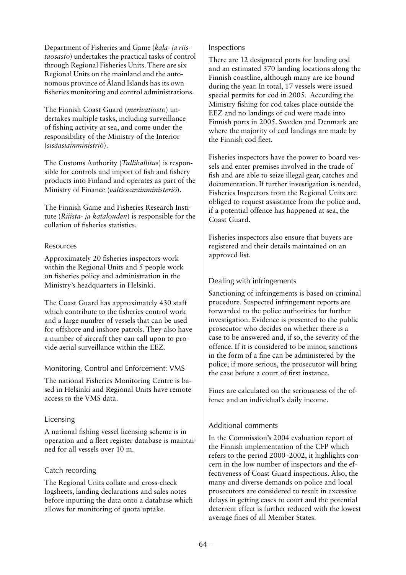Department of Fisheries and Game (*kala- ja riistaosasto*) undertakes the practical tasks of control through Regional Fisheries Units. There are six Regional Units on the mainland and the autonomous province of Åland Islands has its own fisheries monitoring and control administrations.

The Finnish Coast Guard (*merivatiosto*) undertakes multiple tasks, including surveillance of fishing activity at sea, and come under the responsibility of the Ministry of the Interior (*sisäasiainministriö*).

The Customs Authority (*Tullihallitus*) is responsible for controls and import of fish and fishery products into Finland and operates as part of the Ministry of Finance (*valtiovarainministeriö*).

The Finnish Game and Fisheries Research Institute (*Riiista- ja katalouden*) is responsible for the collation of fisheries statistics.

## Resources

Approximately 20 fisheries inspectors work within the Regional Units and 5 people work on fisheries policy and administration in the Ministry's headquarters in Helsinki.

The Coast Guard has approximately 430 staff which contribute to the fisheries control work and a large number of vessels that can be used for offshore and inshore patrols. They also have a number of aircraft they can call upon to provide aerial surveillance within the EEZ.

## Monitoring, Control and Enforcement: VMS

The national Fisheries Monitoring Centre is based in Helsinki and Regional Units have remote access to the VMS data.

## Licensing

A national fishing vessel licensing scheme is in operation and a fleet register database is maintained for all vessels over 10 m.

## Catch recording

The Regional Units collate and cross-check logsheets, landing declarations and sales notes before inputting the data onto a database which allows for monitoring of quota uptake.

### Inspections

There are 12 designated ports for landing cod and an estimated 370 landing locations along the Finnish coastline, although many are ice bound during the year. In total, 17 vessels were issued special permits for cod in 2005. According the Ministry fishing for cod takes place outside the EEZ and no landings of cod were made into Finnish ports in 2005. Sweden and Denmark are where the majority of cod landings are made by the Finnish cod fleet.

Fisheries inspectors have the power to board vessels and enter premises involved in the trade of fish and are able to seize illegal gear, catches and documentation. If further investigation is needed, Fisheries Inspectors from the Regional Units are obliged to request assistance from the police and, if a potential offence has happened at sea, the Coast Guard.

Fisheries inspectors also ensure that buyers are registered and their details maintained on an approved list.

## Dealing with infringements

Sanctioning of infringements is based on criminal procedure. Suspected infringement reports are forwarded to the police authorities for further investigation. Evidence is presented to the public prosecutor who decides on whether there is a case to be answered and, if so, the severity of the offence. If it is considered to be minor, sanctions in the form of a fine can be administered by the police; if more serious, the prosecutor will bring the case before a court of first instance.

Fines are calculated on the seriousness of the offence and an individual's daily income.

## Additional comments

In the Commission's 2004 evaluation report of the Finnish implementation of the CFP which refers to the period 2000–2002, it highlights concern in the low number of inspectors and the effectiveness of Coast Guard inspections. Also, the many and diverse demands on police and local prosecutors are considered to result in excessive delays in getting cases to court and the potential deterrent effect is further reduced with the lowest average fines of all Member States.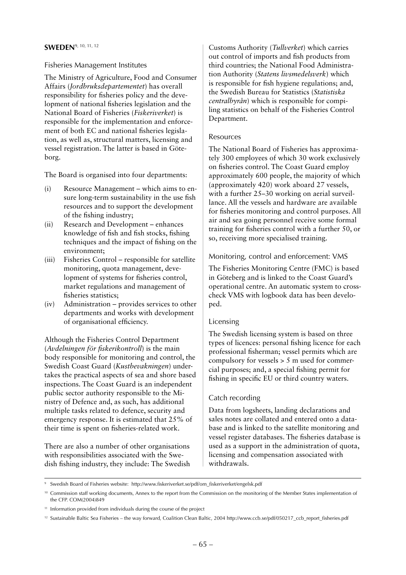## **Sweden**9, 10, 11, 12

### Fisheries Management Institutes

The Ministry of Agriculture, Food and Consumer Affairs (*Jordbruksdepartementet*) has overall responsibility for fisheries policy and the development of national fisheries legislation and the National Board of Fisheries (*Fiskeriverket*) is responsible for the implementation and enforcement of both EC and national fisheries legislation, as well as, structural matters, licensing and vessel registration. The latter is based in Göteborg.

The Board is organised into four departments:

- (i) Resource Management which aims to ensure long-term sustainability in the use fish resources and to support the development of the fishing industry;
- (ii) Research and Development enhances knowledge of fish and fish stocks, fishing techniques and the impact of fishing on the environment;
- (iii) Fisheries Control responsible for satellite monitoring, quota management, development of systems for fisheries control, market regulations and management of fisheries statistics;
- (iv) Administration provides services to other departments and works with development of organisational efficiency.

Although the Fisheries Control Department (*Avdelningen för fiskerikontroll*) is the main body responsible for monitoring and control, the Swedish Coast Guard (*Kustbevakningen*) undertakes the practical aspects of sea and shore based inspections. The Coast Guard is an independent public sector authority responsible to the Ministry of Defence and, as such, has additional multiple tasks related to defence, security and emergency response. It is estimated that 25% of their time is spent on fisheries-related work.

There are also a number of other organisations with responsibilities associated with the Swedish fishing industry, they include: The Swedish

Customs Authority (*Tullverket*) which carries out control of imports and fish products from third countries; the National Food Administration Authority (*Statens livsmedelsverk*) which is responsible for fish hygiene regulations; and, the Swedish Bureau for Statistics (*Statistiska centralbyrån*) which is responsible for compiling statistics on behalf of the Fisheries Control Department.

### Resources

The National Board of Fisheries has approximately 300 employees of which 30 work exclusively on fisheries control. The Coast Guard employ approximately 600 people, the majority of which (approximately 420) work aboard 27 vessels, with a further 25–30 working on aerial surveillance. All the vessels and hardware are available for fisheries monitoring and control purposes. All air and sea going personnel receive some formal training for fisheries control with a further 50, or so, receiving more specialised training.

## Monitoring, control and enforcement: VMS

The Fisheries Monitoring Centre (FMC) is based in Göteberg and is linked to the Coast Guard's operational centre. An automatic system to crosscheck VMS with logbook data has been developed.

## Licensing

The Swedish licensing system is based on three types of licences: personal fishing licence for each professional fisherman; vessel permits which are compulsory for vessels > 5 m used for commercial purposes; and, a special fishing permit for fishing in specific EU or third country waters.

## Catch recording

Data from logsheets, landing declarations and sales notes are collated and entered onto a database and is linked to the satellite monitoring and vessel register databases. The fisheries database is used as a support in the administration of quota, licensing and compensation associated with withdrawals.

<sup>9</sup> Swedish Board of Fisheries website: http://www.fiskeriverket.se/pdf/om\_fiskeriverket/engelsk.pdf

<sup>&</sup>lt;sup>10</sup> Commission staff working documents, Annex to the report from the Commission on the monitoring of the Member States implementation of the CFP. COM(2004)849

<sup>&</sup>lt;sup>11</sup> Information provided from individuals during the course of the project

<sup>&</sup>lt;sup>12</sup> Sustainable Baltic Sea Fisheries – the way forward, Coalition Clean Baltic, 2004 http://www.ccb.se/pdf/050217\_ccb\_report\_fisheries.pdf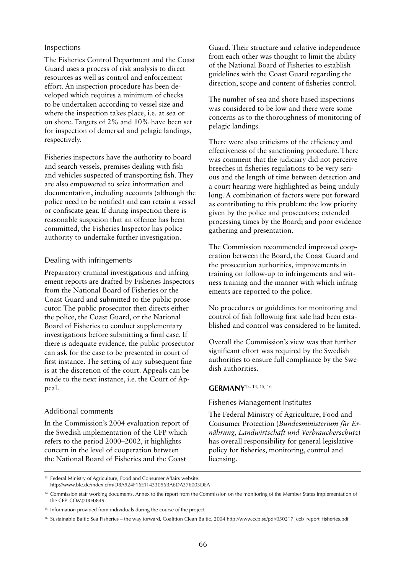### Inspections

The Fisheries Control Department and the Coast Guard uses a process of risk analysis to direct resources as well as control and enforcement effort. An inspection procedure has been developed which requires a minimum of checks to be undertaken according to vessel size and where the inspection takes place, i.e. at sea or on shore. Targets of 2% and 10% have been set for inspection of demersal and pelagic landings, respectively.

Fisheries inspectors have the authority to board and search vessels, premises dealing with fish and vehicles suspected of transporting fish. They are also empowered to seize information and documentation, including accounts (although the police need to be notified) and can retain a vessel or confiscate gear. If during inspection there is reasonable suspicion that an offence has been committed, the Fisheries Inspector has police authority to undertake further investigation.

## Dealing with infringements

Preparatory criminal investigations and infringement reports are drafted by Fisheries Inspectors from the National Board of Fisheries or the Coast Guard and submitted to the public prosecutor. The public prosecutor then directs either the police, the Coast Guard, or the National Board of Fisheries to conduct supplementary investigations before submitting a final case. If there is adequate evidence, the public prosecutor can ask for the case to be presented in court of first instance. The setting of any subsequent fine is at the discretion of the court. Appeals can be made to the next instance, i.e. the Court of Appeal.

### Additional comments

In the Commission's 2004 evaluation report of the Swedish implementation of the CFP which refers to the period 2000–2002, it highlights concern in the level of cooperation between the National Board of Fisheries and the Coast

Guard. Their structure and relative independence from each other was thought to limit the ability of the National Board of Fisheries to establish guidelines with the Coast Guard regarding the direction, scope and content of fisheries control.

The number of sea and shore based inspections was considered to be low and there were some concerns as to the thoroughness of monitoring of pelagic landings.

There were also criticisms of the efficiency and effectiveness of the sanctioning procedure. There was comment that the judiciary did not perceive breeches in fisheries regulations to be very serious and the length of time between detection and a court hearing were highlighted as being unduly long. A combination of factors were put forward as contributing to this problem: the low priority given by the police and prosecutors; extended processing times by the Board; and poor evidence gathering and presentation.

The Commission recommended improved cooperation between the Board, the Coast Guard and the prosecution authorities, improvements in training on follow-up to infringements and witness training and the manner with which infringements are reported to the police.

No procedures or guidelines for monitoring and control of fish following first sale had been established and control was considered to be limited.

Overall the Commission's view was that further significant effort was required by the Swedish authorities to ensure full compliance by the Swedish authorities.

### **Germany**13, 14, 15, 16

Fisheries Management Institutes

The Federal Ministry of Agriculture, Food and Consumer Protection (*Bundesministerium für Ernährung, Landwirtschaft und Verbraucherschutz*) has overall responsibility for general legislative policy for fisheries, monitoring, control and licensing.

<sup>&</sup>lt;sup>13</sup> Federal Ministry of Agriculture, Food and Consumer Affairs website: http://www.ble.de/index.cfm/D8A924F16E11433096BA6DA376003DEA

<sup>&</sup>lt;sup>14</sup> Commission staff working documents, Annex to the report from the Commission on the monitoring of the Member States implementation of the CFP. COM(2004)849

<sup>&</sup>lt;sup>15</sup> Information provided from individuals during the course of the project

<sup>16</sup> Sustainable Baltic Sea Fisheries – the way forward, Coalition Clean Baltic, 2004 http://www.ccb.se/pdf/050217\_ccb\_report\_fisheries.pdf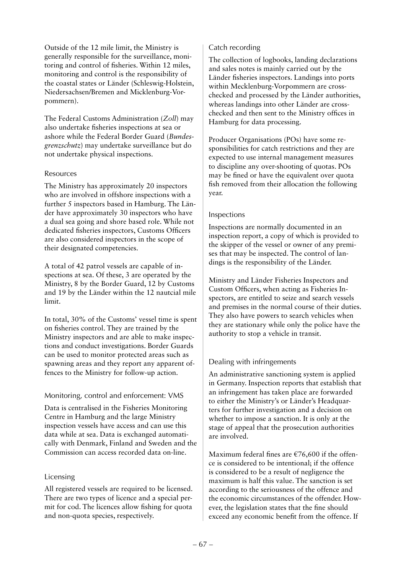Outside of the 12 mile limit, the Ministry is generally responsible for the surveillance, monitoring and control of fisheries. Within 12 miles, monitoring and control is the responsibility of the coastal states or Länder (Schleswig-Holstein, Niedersachsen/Bremen and Micklenburg-Vorpommern).

The Federal Customs Administration (*Zoll*) may also undertake fisheries inspections at sea or ashore while the Federal Border Guard (*Bundesgrenzschutz*) may undertake surveillance but do not undertake physical inspections.

## Resources

The Ministry has approximately 20 inspectors who are involved in offshore inspections with a further 5 inspectors based in Hamburg. The Länder have approximately 30 inspectors who have a dual sea going and shore based role. While not dedicated fisheries inspectors, Customs Officers are also considered inspectors in the scope of their designated competencies.

A total of 42 patrol vessels are capable of inspections at sea. Of these, 3 are operated by the Ministry, 8 by the Border Guard, 12 by Customs and 19 by the Länder within the 12 nautcial mile limit.

In total, 30% of the Customs' vessel time is spent on fisheries control. They are trained by the Ministry inspectors and are able to make inspections and conduct investigations. Border Guards can be used to monitor protected areas such as spawning areas and they report any apparent offences to the Ministry for follow-up action.

## Monitoring, control and enforcement: VMS

Data is centralised in the Fisheries Monitoring Centre in Hamburg and the large Ministry inspection vessels have access and can use this data while at sea. Data is exchanged automatically with Denmark, Finland and Sweden and the Commission can access recorded data on-line.

## Licensing

All registered vessels are required to be licensed. There are two types of licence and a special permit for cod. The licences allow fishing for quota and non-quota species, respectively.

## Catch recording

The collection of logbooks, landing declarations and sales notes is mainly carried out by the Länder fisheries inspectors. Landings into ports within Mecklenburg-Vorpommern are crosschecked and processed by the Länder authorities, whereas landings into other Länder are crosschecked and then sent to the Ministry offices in Hamburg for data processing.

Producer Organisations (POs) have some responsibilities for catch restrictions and they are expected to use internal management measures to discipline any over-shooting of quotas. POs may be fined or have the equivalent over quota fish removed from their allocation the following year.

## Inspections

Inspections are normally documented in an inspection report, a copy of which is provided to the skipper of the vessel or owner of any premises that may be inspected. The control of landings is the responsibility of the Länder.

Ministry and Länder Fisheries Inspectors and Custom Officers, when acting as Fisheries Inspectors, are entitled to seize and search vessels and premises in the normal course of their duties. They also have powers to search vehicles when they are stationary while only the police have the authority to stop a vehicle in transit.

## Dealing with infringements

An administrative sanctioning system is applied in Germany. Inspection reports that establish that an infringement has taken place are forwarded to either the Ministry's or Länder's Headquarters for further investigation and a decision on whether to impose a sanction. It is only at the stage of appeal that the prosecution authorities are involved.

Maximum federal fines are  $\epsilon$ 76,600 if the offence is considered to be intentional; if the offence is considered to be a result of negligence the maximum is half this value. The sanction is set according to the seriousness of the offence and the economic circumstances of the offender. However, the legislation states that the fine should exceed any economic benefit from the offence. If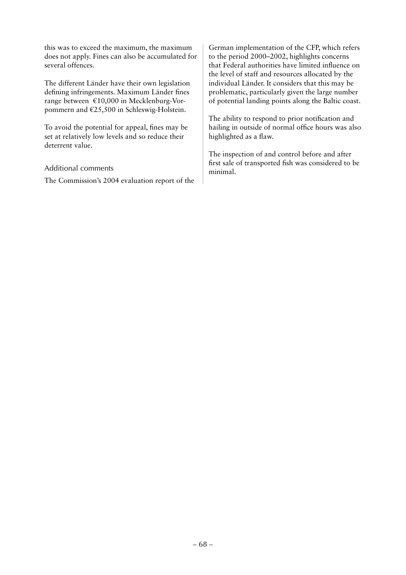this was to exceed the maximum, the maximum does not apply. Fines can also be accumulated for several offences.

The different Länder have their own legislation defining infringements. Maximum Länder fines range between €10,000 in Mecklenburg-Vorpommern and €25,500 in Schleswig-Holstein.

To avoid the potential for appeal, fines may be set at relatively low levels and so reduce their deterrent value.

## Additional comments

The Commission's 2004 evaluation report of the

German implementation of the CFP, which refers to the period 2000–2002, highlights concerns that Federal authorities have limited influence on the level of staff and resources allocated by the individual Länder. It considers that this may be problematic, particularly given the large number of potential landing points along the Baltic coast.

The ability to respond to prior notification and hailing in outside of normal office hours was also highlighted as a flaw.

The inspection of and control before and after first sale of transported fish was considered to be minimal.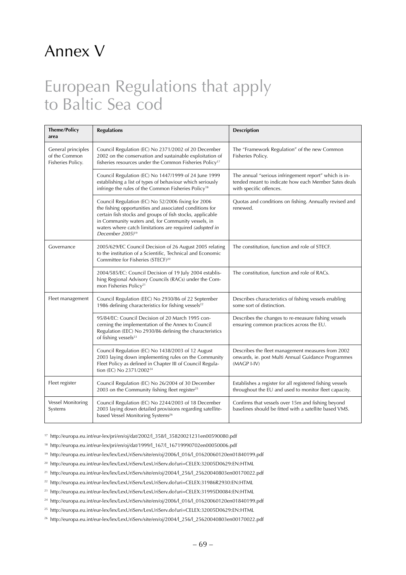## Annex V

## European Regulations that apply to Baltic Sea cod

| <b>Theme/Policy</b><br>area                              | <b>Regulations</b>                                                                                                                                                                                                                                                                                                          | <b>Description</b>                                                                                                                       |
|----------------------------------------------------------|-----------------------------------------------------------------------------------------------------------------------------------------------------------------------------------------------------------------------------------------------------------------------------------------------------------------------------|------------------------------------------------------------------------------------------------------------------------------------------|
| General principles<br>of the Common<br>Fisheries Policy. | Council Regulation (EC) No 2371/2002 of 20 December<br>2002 on the conservation and sustainable exploitation of<br>fisheries resources under the Common Fisheries Policy <sup>17</sup>                                                                                                                                      | The "Framework Regulation" of the new Common<br>Fisheries Policy.                                                                        |
|                                                          | Council Regulation (EC) No 1447/1999 of 24 June 1999<br>establishing a list of types of behaviour which seriously<br>infringe the rules of the Common Fisheries Policy <sup>18</sup>                                                                                                                                        | The annual "serious infringement report" which is in-<br>tended meant to indicate how each Member Sates deals<br>with specific offences. |
|                                                          | Council Regulation (EC) No 52/2006 fixing for 2006<br>the fishing opportunities and associated conditions for<br>certain fish stocks and groups of fish stocks, applicable<br>in Community waters and, for Community vessels, in<br>waters where catch limitations are required (adopted in<br>December 2005) <sup>19</sup> | Quotas and conditions on fishing. Annually revised and<br>renewed.                                                                       |
| Governance                                               | 2005/629/EC Council Decision of 26 August 2005 relating<br>to the institution of a Scientific, Technical and Economic<br>Committee for Fisheries (STECF) <sup>20</sup>                                                                                                                                                      | The constitution, function and role of STECF.                                                                                            |
|                                                          | 2004/585/EC: Council Decision of 19 July 2004 establis-<br>hing Regional Advisory Councils (RACs) under the Com-<br>mon Fisheries Policy <sup>21</sup>                                                                                                                                                                      | The constitution, function and role of RACs.                                                                                             |
| Fleet management                                         | Council Regulation (EEC) No 2930/86 of 22 September<br>1986 defining characteristics for fishing vessels <sup>22</sup>                                                                                                                                                                                                      | Describes characteristics of fishing vessels enabling<br>some sort of distinction.                                                       |
|                                                          | 95/84/EC: Council Decision of 20 March 1995 con-<br>cerning the implementation of the Annex to Council<br>Regulation (EEC) No 2930/86 defining the characteristics<br>of fishing vessels <sup>23</sup>                                                                                                                      | Describes the changes to re-measure fishing vessels<br>ensuring common practices across the EU.                                          |
|                                                          | Council Regulation (EC) No 1438/2003 of 12 August<br>2003 laying down implementing rules on the Community<br>Fleet Policy as defined in Chapter III of Council Regula-<br>tion (EC) No 2371/2002 <sup>24</sup>                                                                                                              | Describes the fleet management measures from 2002<br>onwards, ie. post Multi Annual Guidance Programmes<br>(MAGP I-IV)                   |
| Fleet register                                           | Council Regulation (EC) No 26/2004 of 30 December<br>2003 on the Community fishing fleet register <sup>25</sup>                                                                                                                                                                                                             | Establishes a register for all registered fishing vessels<br>throughout the EU and used to monitor fleet capacity.                       |
| Vessel Monitoring<br>Systems                             | Council Regulation (EC) No 2244/2003 of 18 December<br>2003 laying down detailed provisions regarding satellite-<br>based Vessel Monitoring Systems <sup>26</sup>                                                                                                                                                           | Confirms that vessels over 15m and fishing beyond<br>baselines should be fitted with a satellite based VMS.                              |

<sup>17</sup> http://europa.eu.int/eur-lex/pri/en/oj/dat/2002/l\_358/l\_35820021231en00590080.pdf

- <sup>18</sup> http://europa.eu.int/eur-lex/pri/en/oj/dat/1999/l\_167/l\_16719990702en00050006.pdf
- <sup>19</sup> http://europa.eu.int/eur-lex/lex/LexUriServ/site/en/oj/2006/l\_016/l\_01620060120en01840199.pdf
- <sup>20</sup> http://europa.eu.int/eur-lex/lex/LexUriServ/LexUriServ.do?uri=CELEX:32005D0629:EN:HTML
- <sup>21</sup> http://europa.eu.int/eur-lex/lex/LexUriServ/site/en/oj/2004/l\_256/l\_25620040803en00170022.pdf
- <sup>22</sup> http://europa.eu.int/eur-lex/lex/LexUriServ/LexUriServ.do?uri=CELEX:31986R2930:EN:HTML
- <sup>23</sup> http://europa.eu.int/eur-lex/lex/LexUriServ/LexUriServ.do?uri=CELEX:31995D0084:EN:HTML
- <sup>24</sup> http://europa.eu.int/eur-lex/lex/LexUriServ/site/en/oj/2006/l\_016/l\_01620060120en01840199.pdf
- <sup>25</sup> http://europa.eu.int/eur-lex/lex/LexUriServ/LexUriServ.do?uri=CELEX:32005D0629:EN:HTML
- <sup>26</sup> http://europa.eu.int/eur-lex/lex/LexUriServ/site/en/oj/2004/l\_256/l\_25620040803en00170022.pdf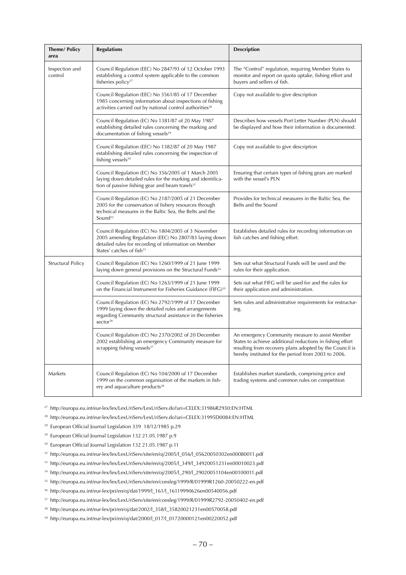| <b>Theme/Policy</b><br>area | <b>Regulations</b>                                                                                                                                                                                            | <b>Description</b>                                                                                                                                                                                                             |
|-----------------------------|---------------------------------------------------------------------------------------------------------------------------------------------------------------------------------------------------------------|--------------------------------------------------------------------------------------------------------------------------------------------------------------------------------------------------------------------------------|
| Inspection and<br>control   | Council Regulation (EEC) No 2847/93 of 12 October 1993<br>establishing a control system applicable to the common<br>fisheries policy <sup>27</sup>                                                            | The "Control" regulation, requiring Member States to<br>monitor and report on quota uptake, fishing effort and<br>buyers and sellers of fish.                                                                                  |
|                             | Council Regulation (EEC) No 3561/85 of 17 December<br>1985 concerning information about inspections of fishing<br>activities carried out by national control authorities <sup>28</sup>                        | Copy not available to give description                                                                                                                                                                                         |
|                             | Council Regulation (EC) No 1381/87 of 20 May 1987<br>establishing detailed rules concerning the marking and<br>documentation of fishing vessels <sup>29</sup>                                                 | Describes how vessels Port Letter Number (PLN) should<br>be displayed and how their information is documented.                                                                                                                 |
|                             | Council Regulation (EEC) No 1382/87 of 20 May 1987<br>establishing detailed rules concerning the inspection of<br>fishing vessels <sup>30</sup>                                                               | Copy not available to give description                                                                                                                                                                                         |
|                             | Council Regulation (EC) No 356/2005 of 1 March 2005<br>laying down detailed rules for the marking and identifica-<br>tion of passive fishing gear and beam trawls <sup>31</sup>                               | Ensuring that certain types of fishing gears are marked<br>with the vessel's PLN                                                                                                                                               |
|                             | Council Regulation (EC) No 2187/2005 of 21 December<br>2005 for the conservation of fishery resources through<br>technical measures in the Baltic Sea, the Belts and the<br>Sound $32$                        | Provides for technical measures in the Baltic Sea, the<br>Belts and the Sound                                                                                                                                                  |
|                             | Council Regulation (EC) No 1804/2005 of 3 November<br>2005 amending Regulation (EEC) No 2807/83 laying down<br>detailed rules for recording of information on Member<br>States' catches of fish <sup>33</sup> | Establishes detailed rules for recording information on<br>fish catches and fishing effort.                                                                                                                                    |
| Structural Policy           | Council Regulation (EC) No 1260/1999 of 21 June 1999<br>laying down general provisions on the Structural Funds <sup>34</sup>                                                                                  | Sets out what Structural Funds will be used and the<br>rules for their application.                                                                                                                                            |
|                             | Council Regulation (EC) No 1263/1999 of 21 June 1999<br>on the Financial Instrument for Fisheries Guidance (FIFG) <sup>35</sup>                                                                               | Sets out what FIFG will be used for and the rules for<br>their application and administration.                                                                                                                                 |
|                             | Council Regulation (EC) No 2792/1999 of 17 December<br>1999 laying down the detailed rules and arrangements<br>regarding Community structural assistance in the fisheries<br>sector <sup>36</sup>             | Sets rules and administrative requirements for restructur-<br>ing.                                                                                                                                                             |
|                             | Council Regulation (EC) No 2370/2002 of 20 December<br>2002 establishing an emergency Community measure for<br>scrapping fishing vessels <sup>37</sup>                                                        | An emergency Community measure to assist Member<br>States to achieve additional reductions in fishing effort<br>resulting from recovery plans adopted by the Council is<br>hereby instituted for the period from 2003 to 2006. |
| Markets                     | Council Regulation (EC) No 104/2000 of 17 December<br>1999 on the common organisation of the markets in fish-<br>ery and aquaculture products <sup>38</sup>                                                   | Establishes market standards, comprising price and<br>trading systems and common rules on competition                                                                                                                          |

<sup>27</sup> http://europa.eu.int/eur-lex/lex/LexUriServ/LexUriServ.do?uri=CELEX:31986R2930:EN:HTML

- <sup>28</sup> http://europa.eu.int/eur-lex/lex/LexUriServ/LexUriServ.do?uri=CELEX:31995D0084:EN:HTML
- 29 European Official Journal Legislation 339 18/12/1985 p.29
- <sup>30</sup> European Official Journal Legislation 132 21.05.1987 p.9
- <sup>30</sup> European Official Journal Legislation 132 21.05.1987 p.11
- <sup>32</sup> http://europa.eu.int/eur-lex/lex/LexUriServ/site/en/oj/2005/l\_056/l\_05620050302en00080011.pdf
- <sup>33</sup> http://europa.eu.int/eur-lex/lex/LexUriServ/site/en/oj/2005/l\_349/l\_34920051231en00010023.pdf
- <sup>34</sup> http://europa.eu.int/eur-lex/lex/LexUriServ/site/en/oj/2005/l\_290/l\_29020051104en00100011.pdf
- <sup>35</sup> http://europa.eu.int/eur-lex/lex/LexUriServ/site/en/consleg/1999/R/01999R1260-20050222-en.pdf
- $36$  http://europa.eu.int/eur-lex/pri/en/oj/dat/1999/l\_161/l\_16119990626en00540056.pdf
- <sup>37</sup> http://europa.eu.int/eur-lex/lex/LexUriServ/site/en/consleg/1999/R/01999R2792-20050402-en.pdf
- <sup>38</sup> http://europa.eu.int/eur-lex/pri/en/oj/dat/2002/l\_358/l\_35820021231en00570058.pdf
- <sup>39</sup> http://europa.eu.int/eur-lex/pri/en/oj/dat/2000/l\_017/l\_01720000121en00220052.pdf